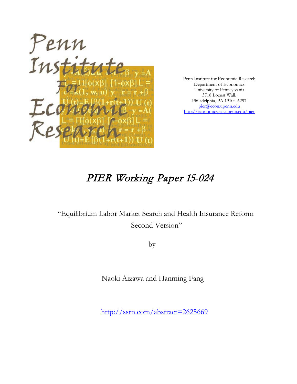

Penn Institute for Economic Research Department of Economics University of Pennsylvania 3718 Locust Walk Philadelphia, PA 19104-6297 [pier@econ.upenn.edu](mailto:pier@econ.upenn.edu) <http://economics.sas.upenn.edu/pier>

# PIER Working Paper 15-024

# "Equilibrium Labor Market Search and Health Insurance Reform Second Version"

by

Naoki Aizawa and Hanming Fang

[http://ssrn.com/abstract=2](http://ssrn.com/abstract_id=)625669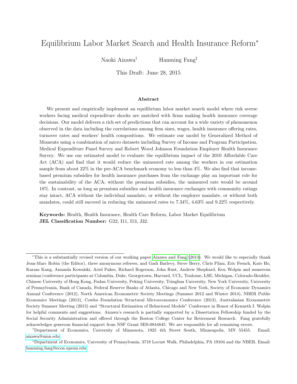# Equilibrium Labor Market Search and Health Insurance Reform<sup>∗</sup>

Naoki Aizawa† Hanming Fang‡

This Draft: June 28, 2015

#### Abstract

We present and empirically implement an equilibrium labor market search model where risk averse workers facing medical expenditure shocks are matched with firms making health insurance coverage decisions. Our model delivers a rich set of predictions that can account for a wide variety of phenomenon observed in the data including the correlations among firm sizes, wages, health insurance offering rates, turnover rates and workers' health compositions. We estimate our model by Generalized Method of Moments using a combination of micro datasets including Survey of Income and Program Participation, Medical Expenditure Panel Survey and Robert Wood Johnson Foundation Employer Health Insurance Survey. We use our estimated model to evaluate the equilibrium impact of the 2010 Affordable Care Act (ACA) and find that it would reduce the uninsured rate among the workers in our estimation sample from about 22% in the pre-ACA benchmark economy to less than 4%. We also find that incomebased premium subsidies for health insurance purchases from the exchange play an important role for the sustainability of the ACA; without the premium subsidies, the uninsured rate would be around 18%. In contrast, as long as premium subsidies and health insurance exchanges with community ratings stay intact, ACA without the individual mandate, or without the employer mandate, or without both mandates, could still succeed in reducing the uninsured rates to 7.34%, 4.63% and 9.22% respectively.

Keywords: Health, Health Insurance, Health Care Reform, Labor Market Equilibrium JEL Classification Number: G22, I11, I13, J32.

<sup>∗</sup>This is a substantially revised version of our working paper [Aizawa and Fang](#page-48-0) [\(2013\)](#page-48-0). We would like to especially thank Jean-Marc Robin (the Editor), three anonymous referees, and Gadi Barlevy, Steve Berry, Chris Flinn, Eric French, Kate Ho, Karam Kang, Amanda Kowalski, Ariel Pakes, Richard Rogerson, John Rust, Andrew Shephard, Ken Wolpin and numerous seminar/conference participants at Columbia, Duke, Georgetown, Harvard, UCL, Toulouse, LSE, Michigan, Colorado-Boulder, Chinese University of Hong Kong, Fudan University, Peking University, Tsinghua University, New York University, University of Pennsylvania, Bank of Canada, Federal Reserve Banks of Atlanta, Chicago and New York, Society of Economic Dynamics Annual Conference (2012), North American Econometric Society Meetings (Summer 2012 and Winter 2014), NBER Public Economics Meetings (2013), Cowles Foundation Structural Microeconomics Conference (2013), Australasian Econometric Society Summer Meeting (2013) and "Structural Estimation of Behavioral Models" Conference in Honor of Kenneth I. Wolpin for helpful comments and suggestions. Aizawa's research is partially supported by a Dissertation Fellowship funded by the Social Security Administration and offered through the Boston College Center for Retirement Research. Fang gratefully acknowledges generous financial support from NSF Grant SES-0844845. We are responsible for all remaining errors.

<sup>†</sup>Department of Economics, University of Minnesota, 1925 4th Street South, Minneapolis, MN 55455. Email: [aizawa@umn.edu](mailto:aizawa@umn.edu)

<sup>‡</sup>Department of Economics, University of Pennsylvania, 3718 Locust Walk, Philadelphia, PA 19104 and the NBER. Email: [hanming.fang@econ.upenn.edu](mailto:hanming.fang@econ.upenn.edu)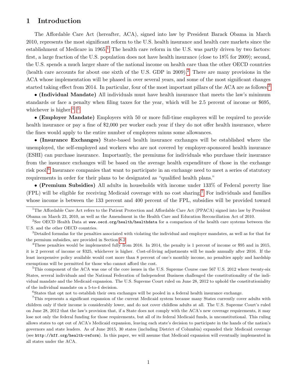# 1 Introduction

The Affordable Care Act (hereafter, ACA), signed into law by President Barack Obama in March 2010, represents the most significant reform to the U.S. health insurance and health care markets since the establishment of Medicare in  $1965<sup>1</sup>$  $1965<sup>1</sup>$ . The health care reform in the U.S. was partly driven by two factors: first, a large fraction of the U.S. population does not have health insurance (close to 18% for 2009); second, the U.S. spends a much larger share of the national income on health care than the other OECD countries (health care accounts for about one sixth of the U.S. GDP in 2009).[2](#page-2-1) There are many provisions in the ACA whose implementation will be phased in over several years, and some of the most significant changes started taking effect from 2014. In particular, four of the most important pillars of the ACA are as follows:<sup>[3](#page-2-2)</sup>

• (Individual Mandate) All individuals must have health insurance that meets the law's minimum standards or face a penalty when filing taxes for the year, which will be 2.5 percent of income or \$695, whichever is higher.<sup>[4](#page-2-3), [5](#page-2-4)</sup>

• (Employer Mandate) Employers with 50 or more full-time employees will be required to provide health insurance or pay a fine of \$2,000 per worker each year if they do not offer health insurance, where the fines would apply to the entire number of employees minus some allowances.

• (Insurance Exchanges) State-based health insurance exchanges will be established where the unemployed, the self-employed and workers who are not covered by employer-sponsored health insurance (ESHI) can purchase insurance. Importantly, the premiums for individuals who purchase their insurance from the insurance exchanges will be based on the average health expenditure of those in the exchange risk pool.<sup>[6](#page-2-5)</sup> Insurance companies that want to participate in an exchange need to meet a series of statutory requirements in order for their plans to be designated as "qualified health plans."

• (Premium Subsidies) All adults in households with income under 133% of Federal poverty line (FPL) will be eligible for receiving Medicaid coverage with no cost sharing.[7](#page-2-6) For individuals and families whose income is between the 133 percent and 400 percent of the FPL, subsidies will be provided toward

<span id="page-2-3"></span><sup>4</sup>These penalties would be implemented fully from 2016. In 2014, the penalty is 1 percent of income or \$95 and in 2015, it is 2 percent of income or \$325, whichever is higher. Cost-of-living adjustments will be made annually after 2016. If the least inexpensive policy available would cost more than 8 percent of one's monthly income, no penalties apply and hardship exemptions will be permitted for those who cannot afford the cost.

<span id="page-2-4"></span><sup>5</sup>This component of the ACA was one of the core issues in the U.S. Supreme Course case 567 U.S. 2012 where twenty-six States, several individuals and the National Federation of Independent Business challenged the constitutionality of the individual mandate and the Medicaid expansion. The U.S. Supreme Court ruled on June 28, 2012 to uphold the constitutioniality of the individual mandate on a 5-to-4 decision.

<span id="page-2-6"></span><span id="page-2-5"></span><sup>6</sup>States that opt not to establish their own exchanges will be pooled in a federal health insurance exchange.

<sup>7</sup>This represents a significant expansion of the current Medicaid system because many States currently cover adults with children only if their income is considerably lower, and do not cover childless adults at all. The U.S. Supreme Court's ruled on June 28, 2012 that the law's provision that, if a State does not comply with the ACA's new coverage requirements, it may lose not only the federal funding for those requirements, but all of its federal Medicaid funds, is unconstitutional. This ruling allows states to opt out of ACA's Medicaid expansion, leaving each state's decision to participate in the hands of the nation's governors and state leaders. As of June 2015, 30 states (including District of Columbia) expanded their Medicaid coverage (see http://kff.org/health-reform). In this paper, we will assume that Medicaid expansion will eventually implemented in all states under the ACA.

<span id="page-2-0"></span> $1$ The Affordable Care Act refers to the Patient Protection and Affordable Care Act (PPACA) signed into law by President Obama on March 23, 2010, as well as the Amendment in the Health Care and Education Reconciliation Act of 2010.

<span id="page-2-1"></span><sup>&</sup>lt;sup>2</sup>See OECD Health Data at www.oecd.org/health/healthdata for a comparison of the health care systems between the U.S. and the other OECD countries.

<span id="page-2-2"></span><sup>&</sup>lt;sup>3</sup>Detailed formulas for the penalties associated with violating the individual and employer mandates, as well as for that for the permium subsidies, are provided in Section [8.2.](#page-38-0)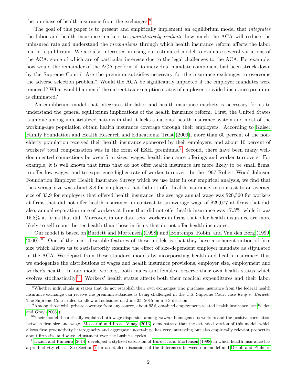the purchase of health insurance from the exchanges. $8$ 

The goal of this paper is to present and empirically implement an equilibrium model that *integrates* the labor and health insurance markets to *quantitatively evaluate* how much the ACA will reduce the uninsured rate and understand the *mechanisms* through which health insurance reform affects the labor market equilibrium. We are also interested in using our estimated model to evaluate several variations of the ACA, some of which are of particular interests due to the legal challenges to the ACA. For example, how would the remainder of the ACA perform if its individual mandate component had been struck down by the Supreme Court? Are the premium subsidies necessary for the insurance exchanges to overcome the adverse selection problem? Would the ACA be significantly impacted if the employer mandates were removed? What would happen if the current tax exemption status of employer-provided insurance premium is eliminated?

An equilibrium model that integrates the labor and health insurance markets is necessary for us to understand the general equilibrium implications of the health insurance reform. First, the United States is unique among industrialized nations in that it lacks a national health insurance system and most of the working-age population obtain health insurance coverage through their employers. According to [Kaiser](#page-50-0) [Family Foundation and Health Research and Educational Trust \(2009\)](#page-50-0), more than 60 percent of the nonelderly population received their health insurance sponsored by their employers, and about 10 percent of workers' total compensation was in the form of ESHI premiums.<sup>[9](#page-3-1)</sup> Second, there have been many welldocumented connections between firm sizes, wages, health insurance offerings and worker turnovers. For example, it is well known that firms that do not offer health insurance are more likely to be small firms, to offer low wages, and to experience higher rate of worker turnover. In the 1997 Robert Wood Johnson Foundation Employer Health Insurance Survey which we use later in our empirical analysis, we find that the average size was about 8.8 for employers that did not offer health insurance, in contrast to an average size of 33.9 for employers that offered health insurance; the average annual wage was \$20,560 for workers at firms that did not offer health insurance, in contrast to an average wage of \$29,077 at firms that did; also, annual separation rate of workers at firms that did not offer health insurance was 17.3%, while it was 15.8% at firms that did. Moreover, in our data sets, workers in firms that offer health insurance are more likely to self report better health than those in firms that do not offer health insurance.

Our model is based on [Burdett and Mortensen \(1998\)](#page-48-1) and [Bontemps, Robin, and Van den Berg \(1999,](#page-48-2) [2000\)](#page-48-3).[10](#page-3-2) One of the most desirable features of these models is that they have a coherent notion of firm size which allows us to satisfactorily examine the effect of size-dependent employer mandate as stipulated in the ACA. We depart from these standard models by incorporating health and health insurance; thus we endogenize the distributions of wages and health insurance provisions, employer size, employment and worker's health. In our model workers, both males and females, observe their own health status which evolves stochastically.[11](#page-3-3) Workers' health status affects both their medical expenditures and their labor

<span id="page-3-0"></span><sup>8</sup>Whether individuals in states that do not establish their own exchanges who purchase insurance from the federal health insurance exchange can receive the premium subsidies is being challenged in the U.S. Supreme Court case King v. Burwell. The Supreme Court ruled to allow all subsidies on June 25, 2015 on a 6-3 decision.

<span id="page-3-1"></span><sup>9</sup>Among those with private coverage from any source, about 95% obtained employment-related health insurance (see [Selden](#page-51-0) [and Gray](#page-51-0) [\(2006\)](#page-51-0)).

<span id="page-3-2"></span><sup>&</sup>lt;sup>10</sup>Their model theoretically explains both wage dispersion among *ex ante* homogeneous workers and the positive correlation between firm size and wage. [Moscarini and Postel-Vinay](#page-50-1) [\(2013\)](#page-50-1) demonstrate that the extended version of this model, which allows firm productivity heterogeneity and aggregate uncertainty, has very interesting but also empirically relevant properties about firm size and wage adjustment over the business cycles.

<span id="page-3-3"></span> $11$ [Dizioli and Pinheiro](#page-49-0) [\(2014\)](#page-49-0) developed a stylized extension of [Burdett and Mortensen](#page-48-1) [\(1998\)](#page-48-1) in which health insurance has a productivity effect. See Section [2](#page-6-0) for a detailed discussion of the differences between our model and [Dizioli and Pinheiro](#page-49-0)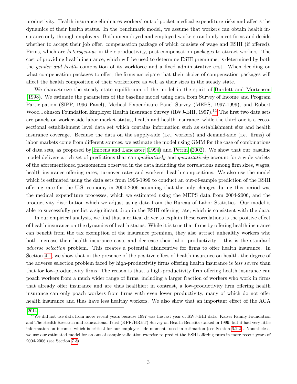productivity. Health insurance eliminates workers' out-of-pocket medical expenditure risks and affects the dynamics of their health status. In the benchmark model, we assume that workers can obtain health insurance only through employers. Both unemployed and employed workers randomly meet firms and decide whether to accept their job offer, compensation package of which consists of wage and ESHI (if offered). Firms, which are heterogenous in their productivity, post compensation packages to attract workers. The cost of providing health insurance, which will be used to determine ESHI premiums, is determined by both the gender and health composition of its workforce and a fixed administrative cost. When deciding on what compensation packages to offer, the firms anticipate that their choice of compensation packages will affect the health composition of their workerforce as well as their sizes in the steady state.

We characterize the steady state equilibrium of the model in the spirit of [Burdett and Mortensen](#page-48-1) [\(1998\)](#page-48-1). We estimate the parameters of the baseline model using data from Survey of Income and Program Participation (SIPP, 1996 Panel), Medical Expenditure Panel Survey (MEPS, 1997-1999), and Robert Wood Johnson Foundation Employer Health Insurance Survey (RWJ-EHI, 1997).<sup>[12](#page-4-0)</sup> The first two data sets are panels on worker-side labor market status, health and health insurance, while the third one is a crosssectional establishment level data set which contains information such as establishment size and health insurance coverage. Because the data on the supply-side (i.e., workers) and demand-side (i.e. firms) of labor markets come from different sources, we estimate the model using GMM for the case of combinations of data sets, as proposed by [Imbens and Lancaster \(1994\)](#page-50-2) and [Petrin \(2002\)](#page-51-1). We show that our baseline model delivers a rich set of predictions that can *qualitatively* and *quantitatively* account for a wide variety of the aforementioned phenomenon observed in the data including the correlations among firm sizes, wages, health insurance offering rates, turnover rates and workers' health compositions. We also use the model which is estimated using the data sets from 1996-1999 to conduct an out-of-sample prediction of the ESHI offering rate for the U.S. economy in 2004-2006 assuming that the only changes during this period was the medical expenditure processes, which we estimated using the MEPS data from 2004-2006, and the productivity distribution which we adjust using data from the Bureau of Labor Statistics. Our model is able to successfully predict a significant drop in the ESHI offering rate, which is consistent with the data.

In our empirical analysis, we find that a critical driver to explain these correlations is the positive effect of health insurance on the dynamics of health status. While it is true that firms by offering health insurance can benefit from the tax exemption of the insurance premium, they also attract unhealthy workers who both increase their health insurance costs and decrease their labor productivity – this is the standard adverse selection problem. This creates a potential disincentive for firms to offer health insurance. In Section [4.1,](#page-20-0) we show that in the presence of the positive effect of health insurance on health, the degree of the adverse selection problem faced by high-productivity firms offering health insurance is less severe than that for low-productivity firms. The reason is that, a high-productivity firm offering health insurance can poach workers from a much wider range of firms, including a larger fraction of workers who work in firms that already offer insurance and are thus healthier; in contrast, a low-productivity firm offering health insurance can only poach workers from firms with even lower productivity, many of which do not offer health insurance and thus have less healthy workers. We also show that an important effect of the ACA

<span id="page-4-0"></span>[<sup>\(2014\)</sup>](#page-49-0).

 $12$ We did not use data from more recent years because 1997 was the last year of RWJ-EHI data. Kaiser Family Foundation and The Health Research and Educational Trust (KFF/HRET) Survey on Health Benefits started in 1999, but it had very little information on incomes which is critical for our employer-side moments used in estimation (see Section [6.2.2\)](#page-31-0). Nonetheless, we use our estimated model for an out-of-sample validation exercise to predict the ESHI offering rates in more recent years of 2004-2006 (see Section [7.3\)](#page-35-0).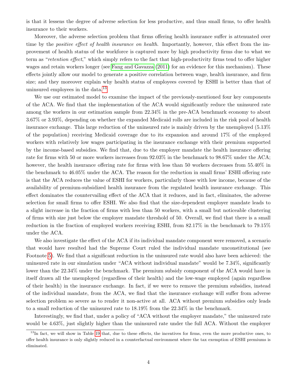is that it lessens the degree of adverse selection for less productive, and thus small firms, to offer health insurance to their workers.

Moreover, the adverse selection problem that firms offering health insurance suffer is attenuated over time by the *positive effect of health insurance on health*. Importantly, however, this effect from the improvement of health status of the workforce is captured more by high productivity firms due to what we term as "retention effect," which simply refers to the fact that high-productivity firms tend to offer higher wages and retain workers longer (see [Fang and Gavazza \(2011\)](#page-49-1) for an evidence for this mechanism). These effects jointly allow our model to generate a positive correlation between wage, health insurance, and firm size; and they moreover explain why health status of employees covered by ESHI is better than that of uninsured employees in the data.[13](#page-5-0)

We use our estimated model to examine the impact of the previously-mentioned four key components of the ACA. We find that the implementation of the ACA would significantly reduce the uninsured rate among the workers in our estimation sample from 22.34% in the pre-ACA benchmark economy to about 3.67% or 3.93%, depending on whether the expanded Medicaid rolls are included in the risk pool of health insurance exchange. This large reduction of the uninsured rate is mainly driven by the unemployed (5.13% of the population) receiving Medicaid coverage due to its expansion and around 17% of the employed workers with relatively low wages participating in the insurance exchange with their premium supported by the income-based subsidies. We find that, due to the employer mandate the health insurance offering rate for firms with 50 or more workers increases from 92.03% in the benchmark to 98.67% under the ACA; however, the health insurance offering rate for firms with less than 50 workers decreases from 55.40% in the benchmark to 46.05% under the ACA. The reason for the reduction in small firms' ESHI offering rate is that the ACA reduces the value of ESHI for workers, particularly those with low income, because of the availability of premium-subsidized health insurance from the regulated health insurance exchange. This effect dominates the countervailing effect of the ACA that it reduces, and in fact, eliminates, the adverse selection for small firms to offer ESHI. We also find that the size-dependent employer mandate leads to a slight increase in the fraction of firms with less than 50 workers, with a small but noticeable clustering of firms with size just below the employer mandate threshold of 50. Overall, we find that there is a small reduction in the fraction of employed workers receiving ESHI, from 82.17% in the benchmark to 79.15% under the ACA.

We also investigate the effect of the ACA if its individual mandate component were removed, a scenario that would have resulted had the Supreme Court ruled the individual mandate unconstitutional (see Footnote [5\)](#page-2-4). We find that a significant reduction in the uninsured rate would also have been achieved: the uninsured rate in our simulation under "ACA without individual mandate" would be 7.34%, significantly lower than the 22.34% under the benchmark. The premium subsidy component of the ACA would have in itself drawn all the unemployed (regardless of their health) and the low-wage employed (again regardless of their health) in the insurance exchange. In fact, if we were to remove the premium subsidies, instead of the individual mandate, from the ACA, we find that the insurance exchange will suffer from adverse selection problem so severe as to render it non-active at all. ACA without premium subsidies only leads to a small reduction of the uninsured rate to 18.19% from the 22.34% in the benchmark.

Interestingly, we find that, under a policy of "ACA without the employer mandate," the uninsured rate would be 4.63%, just slightly higher than the uninsured rate under the full ACA. Without the employer

<span id="page-5-0"></span> $13$ In fact, we will show in Table [19](#page-62-0) that, due to these effects, the incentives for firms, even the more productive ones, to offer health insurance is only slightly reduced in a counterfactual environment where the tax exemption of ESHI premiums is eliminated.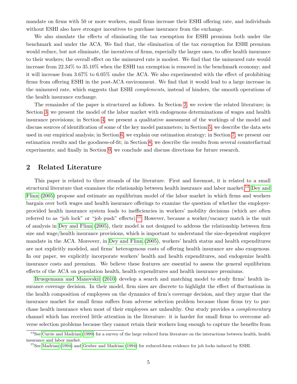mandate on firms with 50 or more workers, small firms increase their ESHI offering rate, and individuals without ESHI also have stronger incentives to purchase insurance from the exchange.

We also simulate the effects of eliminating the tax exemption for ESHI premium both under the benchmark and under the ACA. We find that, the elimination of the tax exemption for ESHI premium would reduce, but not eliminate, the incentives of firms, especially the larger ones, to offer health insurance to their workers; the overall effect on the uninsured rate is modest. We find that the uninsured rate would increase from 22.34% to 35.10% when the ESHI tax exemption is removed in the benchmark economy; and it will increase from 3.67% to 6.05% under the ACA. We also experimented with the effect of prohibiting firms from offering ESHI in the post-ACA environment. We find that it would lead to a large increase in the uninsured rate, which suggests that ESHI complements, instead of hinders, the smooth operations of the health insurance exchange.

The remainder of the paper is structured as follows. In Section [2,](#page-6-0) we review the related literature; in Section [3,](#page-9-0) we present the model of the labor market with endogenous determinations of wages and health insurance provisions; in Section [4,](#page-20-1) we present a qualitative assessment of the workings of the model and discuss sources of identification of some of the key model parameters; in Section [5,](#page-24-0) we describe the data sets used in our empirical analysis; in Section [6,](#page-27-0) we explain our estimation strategy; in Section [7,](#page-31-1) we present our estimation results and the goodness-of-fit; in Section [8,](#page-35-1) we describe the results from several counterfactual experiments; and finally in Section [9,](#page-46-0) we conclude and discuss directions for future research.

## <span id="page-6-0"></span>2 Related Literature

This paper is related to three strands of the literature. First and foremost, it is related to a small structural literature that examines the relationship between health insurance and labor market.<sup>[14](#page-6-1)</sup> [Dey and](#page-49-2) [Flinn \(2005\)](#page-49-2) propose and estimate an equilibrium model of the labor market in which firms and workers bargain over both wages and health insurance offerings to examine the question of whether the employerprovided health insurance system leads to inefficiencies in workers' mobility decisions (which are often referred to as "job lock" or "job push" effects).<sup>[15](#page-6-2)</sup> However, because a worker/vacancy match is the unit of analysis in [Dey and Flinn \(2005\)](#page-49-2), their model is not designed to address the relationship between firm size and wage/health insurance provisions, which is important to understand the size-dependent employer mandate in the ACA. Moreover, in [Dey and Flinn \(2005\)](#page-49-2), workers' health status and health expenditures are not explicitly modeled, and firms' heterogenous costs of offering health insurance are also exogenous. In our paper, we explicitly incorporate workers' health and health expenditures, and endogenize health insurance costs and premium. We believe these features are essential to assess the general equilibrium effects of the ACA on population health, health expenditures and health insurance premiums.

[Bruegemann and Manovskii \(2010\)](#page-48-4) develop a search and matching model to study firms' health insurance coverage decision. In their model, firm sizes are discrete to highlight the effect of fluctuations in the health composition of employees on the dynamics of firm's coverage decision, and they argue that the insurance market for small firms suffers from adverse selection problem because those firms try to purchase health insurance when most of their employees are unhealthy. Our study provides a *complementary* channel which has received little attention in the literature: it is harder for small firms to overcome adverse selection problems because they cannot retain their workers long enough to capture the benefits from

<span id="page-6-1"></span> $14$ See [Currie and Madrian](#page-48-5) [\(1999\)](#page-48-5) for a survey of the large reduced form literature on the interactions between health, health insurance and labor market.

<span id="page-6-2"></span><sup>&</sup>lt;sup>15</sup>See [Madrian](#page-50-3) [\(1994\)](#page-49-3) and [Gruber and Madrian](#page-49-3) (1994) for reduced-form evidence for job locks induced by ESHI.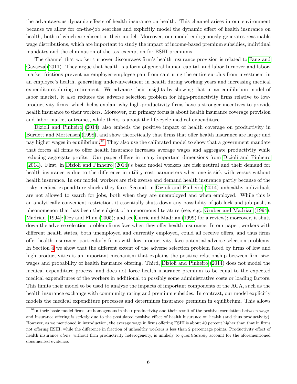the advantageous dynamic effects of health insurance on health. This channel arises in our environment because we allow for on-the-job searches and explicitly model the dynamic effect of health insurance on health, both of which are absent in their model. Moreover, our model endogenously generates reasonable wage distributions, which are important to study the impact of income-based premium subsidies, individual mandates and the elimination of the tax exemption for ESHI premiums.

The channel that worker turnover discourages firm's health insurance provision is related to [Fang and](#page-49-1) [Gavazza \(2011\)](#page-49-1). They argue that health is a form of general human capital, and labor turnover and labormarket frictions prevent an employer-employee pair from capturing the entire surplus from investment in an employee's health, generating under-investment in health during working years and increasing medical expenditures during retirement. We advance their insights by showing that in an equilibrium model of labor market, it also reduces the adverse selection problem for high-productivity firms relative to lowproductivity firms, which helps explain why high-productivity firms have a stronger incentives to provide health insurance to their workers. Moreover, our primary focus is about health insurance coverage provision and labor market outcomes, while theirs is about the life-cycle medical expenditure.

[Dizioli and Pinheiro \(2014\)](#page-49-0) also embeds the positive impact of health coverage on productivity in [Burdett and Mortensen \(1998\)](#page-48-1), and show theoretically that firms that offer health insurance are larger and pay higher wages in equilibrium.[16](#page-7-0) They also use the calibrated model to show that a government mandate that forces all firms to offer health insurance increases average wages and aggregate productivity while reducing aggregate profits. Our paper differs in many important dimensions from [Dizioli and Pinheiro](#page-49-0) [\(2014\)](#page-49-0). First, in [Dizioli and Pinheiro \(2014\)](#page-49-0)'s basic model workers are risk neutral and their demand for health insurance is due to the difference in utility cost parameters when one is sick with versus without health insurance. In our model, workers are risk averse and demand health insurance partly because of the risky medical expenditure shocks they face. Second, in [Dizioli and Pinheiro \(2014\)](#page-49-0) unhealthy individuals are not allowed to search for jobs, both when they are unemployed and when employed. While this is an analytically convenient restriction, it essentially shuts down any possibility of job lock and job push, a pheonomenon that has been the subject of an enormous literature (see, e.g., [Gruber and Madrian \(1994\)](#page-49-3); [Madrian \(1994\)](#page-50-3); [Dey and Flinn \(2005\)](#page-49-2); and see [Currie and Madrian \(1999\)](#page-48-5) for a review); moreover, it shuts down the adverse selection problem firms face when they offer health insurance. In our paper, workers with different health states, both unemployed and currently employed, could all receive offers, and thus firms offer health insurance, particularly firms with low productivity, face potential adverse selection problems. In Section [4](#page-20-1) we show that the different extent of the adverse selection problem faced by firms of low and high productivities is an important mechanism that explains the positive relationship between firm size, wages and probability of health insurance offering. Third, [Dizioli and Pinheiro \(2014\)](#page-49-0) does not model the medical expenditure process, and does not force health insurance premium to be equal to the expected medical expenditures of the workers in additional to possibly some administrative costs or loading factors. This limits their model to be used to analyze the impacts of important components of the ACA, such as the health insurance exchange with community rating and premium subsides. In contrast, our model explicitly models the medical expenditure processes and determines insurance premium in equilibrium. This allows

<span id="page-7-0"></span><sup>&</sup>lt;sup>16</sup>In their basic model firms are homogenous in their productivity and their result of the positive correlation between wages and insurance offering is strictly due to the postulated positive effect of health insurance on health (and thus productivity). However, as we mentioned in introduction, the average wage in firms offering ESHI is about 40 percent higher than that in firms not offering ESHI, while the difference in fraction of unhealthy workers is less than 2 percentage points. Productivity effect of health insurance alone, without firm productivity heterogeneity, is unlikely to quantitatively account for the aforementioned documented evidence.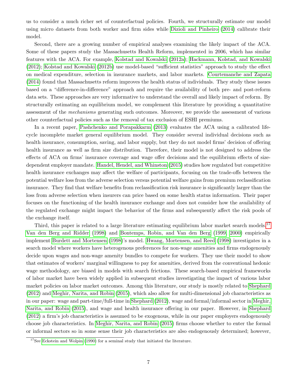us to consider a much richer set of counterfactual policies. Fourth, we structurally estimate our model using micro datasets from both worker and firm sides while [Dizioli and Pinheiro \(2014\)](#page-49-0) calibrate their model.

Second, there are a growing number of empirical analyses examining the likely impact of the ACA. Some of these papers study the Massachusetts Health Reform, implemented in 2006, which has similar features with the ACA. For example, [Kolstad and Kowalski \(2012a\)](#page-50-4); [Hackmann, Kolstad, and Kowalski](#page-49-4) [\(2012\)](#page-49-4); [Kolstad and Kowalski \(2012b\)](#page-50-5) use model-based "sufficient statistics" approach to study the effect on medical expenditure, selection in insurance markets, and labor markets. [Courtemanche and Zapata](#page-48-6) [\(2014\)](#page-48-6) found that Massachusetts reform improves the health status of individuals. They study these issues based on a "difference-in-difference" approach and require the availability of both pre- and post-reform data sets. These approaches are very informative to understand the overall and likely impact of reform. By structurally estimating an equilibrium model, we complement this literature by providing a quantitative assessment of the mechanisms generating such outcomes. Moreover, we provide the assessment of various other counterfactual policies such as the removal of tax exclusion of ESHI premiums.

In a recent paper, [Pashchenko and Porapakkarm \(2013\)](#page-50-6) evaluates the ACA using a calibrated lifecycle incomplete market general equilibrium model. They consider several individual decisions such as health insurance, consumption, saving, and labor supply, but they do not model firms' decision of offering health insurance as well as firm size distribution. Therefore, their model is not designed to address the effects of ACA on firms' insurance coverage and wage offer decisions and the equilibrium effects of sizedependent employer mandate. [Handel, Hendel, and Whinston \(2015\)](#page-49-5) studies how regulated but competitive health insurance exchanges may affect the welfare of participants, focusing on the trade-offs between the potential welfare loss from the adverse selection versus potential welfare gains from premium reclassification insurance. They find that welfare benefits from reclassification risk insurance is significantly larger than the loss from adverse selection when insurers can price based on some health status information. Their paper focuses on the functioning of the health insurance exchange and does not consider how the availability of the regulated exchange might impact the behavior of the firms and subsequently affect the risk pools of the exchange itself.

Third, this paper is related to a large literature estimating equilibrium labor market search models.<sup>[17](#page-8-0)</sup> [Van den Berg and Ridder \(1998\)](#page-51-2) and [Bontemps, Robin, and Van den Berg \(1999,](#page-48-2) [2000\)](#page-48-3) empirically implement [Burdett and Mortensen \(1998\)](#page-48-1)'s model. [Hwang, Mortensen, and Reed \(1998\)](#page-50-7) investigates in a search model where workers have heterogenous preferences for non-wage amenities and firms endogenously decide upon wages and non-wage amenity bundles to compete for workers. They use their model to show that estimates of workers' marginal willingness to pay for amenities, derived from the conventional hedonic wage methodology, are biased in models with search frictions. These search-based empirical frameworks of labor market have been widely applied in subsequent studies investigating the impact of various labor market policies on labor market outcomes. Among this literature, our study is mostly related to [Shephard](#page-51-3) [\(2012\)](#page-51-3) and [Meghir, Narita, and Robin \(2015\)](#page-50-8), which also allow for multi-dimensional job characteristics as in our paper: wage and part-time/full-time in [Shephard \(2012\)](#page-51-3), wage and formal/informal sector in [Meghir,](#page-50-8) [Narita, and Robin \(2015\)](#page-50-8), and wage and health insurance offering in our paper. However, in [Shephard](#page-51-3) [\(2012\)](#page-51-3) a firm's job characteristics is assumed to be exogenous, while in our paper employers endogenously choose job characteristics. In [Meghir, Narita, and Robin \(2015\)](#page-50-8) firms choose whether to enter the formal or informal sectors so in some sense their job characteristics are also endogenously determined; however,

<span id="page-8-0"></span><sup>&</sup>lt;sup>17</sup>See [Eckstein and Wolpin](#page-49-6) [\(1990\)](#page-49-6) for a seminal study that initiated the literature.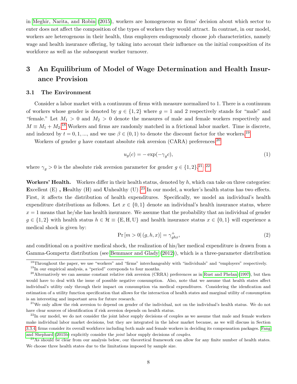in [Meghir, Narita, and Robin \(2015\)](#page-50-8), workers are homogeneous so firms' decision about which sector to enter does not affect the composition of the types of workers they would attract. In contrast, in our model, workers are heterogenous in their health, thus employers endogenously choose job characteristics, namely wage and health insurance offering, by taking into account their influence on the initial composition of its workforce as well as the subsequent worker turnover.

# <span id="page-9-0"></span>3 An Equilibrium of Model of Wage Determination and Health Insurance Provision

#### <span id="page-9-9"></span>3.1 The Environment

Consider a labor market with a continuum of firms with measure normalized to 1. There is a continuum of workers whose gender is denoted by  $g \in \{1,2\}$  where  $g = 1$  and 2 respectively stands for "male" and "female." Let  $M_1 > 0$  and  $M_2 > 0$  denote the measures of male and female workers respectively and  $M \equiv M_1 + M_2$ <sup>[18](#page-9-1)</sup> Workers and firms are randomly matched in a frictional labor market. Time is discrete, and indexed by  $t = 0, 1, \dots$ , and we use  $\beta \in (0, 1)$  to denote the discount factor for the workers.<sup>[19](#page-9-2)</sup>

Workers of gender  $g$  have constant absolute risk aversion (CARA) preferences:<sup>[20](#page-9-3)</sup>

<span id="page-9-8"></span>
$$
u_g(c) = -\exp(-\gamma_g c),\tag{1}
$$

where  $\gamma_g > 0$  is the absolute risk aversion parameter for gender  $g \in \{1, 2\}$ .<sup>[21](#page-9-4), [22](#page-9-5)</sup>

Workers' Health. Workers differ in their health status, denoted by  $h$ , which can take on three categories: Excellent  $(E)$ , Healthy  $(H)$  and Unhealthy  $(U)$ .<sup>[23](#page-9-6)</sup> In our model, a worker's health status has two effects. First, it affects the distribution of health expenditures. Specifically, we model an individual's health expenditure distributions as follows. Let  $x \in \{0,1\}$  denote an individual's health insurance status, where  $x = 1$  means that he/she has health insurance. We assume that the probability that an individual of gender  $g \in \{1,2\}$  with health status  $h \in \mathcal{H} \equiv \{E,H,U\}$  and health insurance status  $x \in \{0,1\}$  will experience a medical shock is given by:

<span id="page-9-7"></span>
$$
\Pr\left[m>0|\left(g,h,x\right)\right] = \gamma_{ghx}^{\dagger},\tag{2}
$$

and conditional on a positive medical shock, the realization of his/her medical expenditure is drawn from a Gamma-Gompertz distribution (see [Bemmaor and Glady \(2012\)](#page-48-7)), which is a three-parameter distribution

<span id="page-9-1"></span><sup>18</sup>Throughout the paper, we use "workers" and "firms" interchangeably with "individuals" and "employers" respectively.

<span id="page-9-3"></span><span id="page-9-2"></span> $19$ In our empirical analysis, a "period" correponds to four months.

 $^{20}$ Alternatively we can assume constant relative risk aversion (CRRA) preferences as in [Rust and Phelan](#page-51-4) [\(1997\)](#page-51-4), but then would have to deal with the issue of possible negative consumption. Also, note that we assume that health states affect individual's utility only through their impact on consumption via medical expenditures. Considering the idenfication and estimation of a utility function specification that allows for the interaction of health states and marginal utility of consumption is an interesting and important area for future research.

<span id="page-9-4"></span> $21$ We only allow the risk aversion to depend on gender of the individual, not on the individual's health status. We do not have clear sources of identification if risk aversion depends on health status.

<span id="page-9-5"></span> $^{22}$ In our model, we do not consider the joint labor supply decisions of couples as we assume that male and female workers make individual labor market decisions, but they are integrated in the labor market because, as we will discuss in Section [3.3.4,](#page-18-0) firms consider its overall workforce including both male and female workers in deciding its compensation packages. [Fang](#page-49-7) [and Shephard](#page-49-7) [\(2015b\)](#page-49-7) explicitly consider the joint labor supply decisions of couples.

<span id="page-9-6"></span><sup>&</sup>lt;sup>23</sup>As should be clear from our analysis below, our theoretical framework can allow for any finite number of health states. We choose three health states due to the limitations imposed by sample size.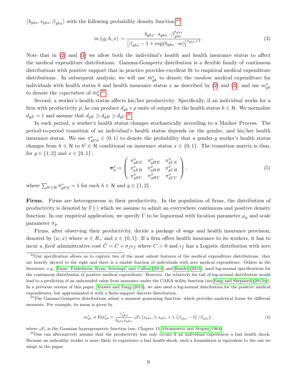$\langle b_{ghx}, s_{ghx}, \beta_{ghx} \rangle$  with the following probability density function:<sup>[24](#page-10-0)</sup>

<span id="page-10-1"></span>
$$
m|(g,h,x) \sim \frac{b_{ghx} \cdot s_{ghx} \cdot \beta_{ghx}^{s_{ghx}}}{\left[\beta_{ghx} - 1 + \exp(b_{ghx} \cdot m)\right]^{s_{ghx}+1}}.
$$
\n(3)

Note that in [\(2\)](#page-9-7) and [\(3\)](#page-10-1) we allow both the individual's health and health insurance status to affect the medical expenditure distributions. Gamma-Gompertz distribution is a flexible family of continuous distributions with positive support that in practice provides excellent fit to empirical medical expenditure distributions. In subsequent analysis, we will use  $\tilde{m}_{gh}^x$  to denote the *random* medical expenditure for individuals with health status h and health insurance status x as described by [\(2\)](#page-9-7) and [\(3\)](#page-10-1), and use  $m_{gh}^x$ to denote the *expectation* of  $\tilde{m}_h^x$ <sup>[25](#page-10-2)</sup>

Second, a worker's health status affects his/her productivity. Specifically, if an individual works for a firm with productivity p, he can produce  $d_{gh} \times p$  units of output for the health status  $h \in \mathcal{H}$ . We normalize  $d_{gE} = 1$  and assume that  $d_{gE} \geq d_{gH} \geq d_{gU}$ .<sup>[26](#page-10-3)</sup>

In each period, a worker's health status changes stochastically according to a Markov Process. The period-to-period transition of an individual's health status depends on the gender, and his/her health insurance status. We use  $\pi_{gh'h}^x \in (0,1)$  to denote the probability that a gender-g worker's health status changes from  $h \in \mathcal{H}$  to  $h' \in \mathcal{H}$  conditional on insurance status  $x \in \{0,1\}$ . The transition matrix is thus, for  $g \in \{1,2\}$  and  $x \in \{0,1\}$ ,

<span id="page-10-4"></span>
$$
\boldsymbol{\pi}_g^x = \begin{pmatrix} \pi_{gEE}^x & \pi_{gHE}^x & \pi_{gUE}^x \\ \pi_{gEH}^x & \pi_{gHH}^x & \pi_{gUH}^x \\ \pi_{gEU}^x & \pi_{gHU}^x & \pi_{gUU}^x \end{pmatrix},
$$
(5)

where  $\sum_{h' \in \mathcal{H}} \pi_{gh'h}^x = 1$  for each  $h \in \mathcal{H}$  and  $g \in \{1, 2\}$ .

Firms. Firms are heterogeneous in their productivity. In the population of firms, the distribution of productivity is denoted by  $\Gamma(\cdot)$  which we assume to admit an everywhere continuous and positive density function. In our empirical application, we specify  $\Gamma$  to be lognormal with location parameter  $\mu_n$  and scale parameter  $\sigma_p$ .

Firms, after observing their productivity, decide a package of wage and health insurance provision, denoted by  $(w, x)$  where  $w \in R_+$  and  $x \in \{0, 1\}$ . If a firm offers health insurance to its workers, it has to incur a *fixed* administrative cost  $\tilde{C} = C + \sigma_f \epsilon_f$  where  $C > 0$  and  $\epsilon_f$  has a Logistic distribution with zero

<span id="page-10-5"></span>
$$
m_{gh}^{x} \equiv \mathbf{E}\tilde{m}_{gh}^{x} = \frac{\gamma_{ghx}^{+}}{b_{ghx}s_{ghx}} \; {}_{2}F_{1} \left(s_{ghx}, 1; s_{ghx} + 1; \left(\beta_{ghx} - 1\right) / \beta_{ghx}\right). \tag{4}
$$

where  ${}_2F_1$  is the Gaussian hypergeometric function (see, Chapter 15 [Abramowitz and Stegun, 1964\)](#page-47-0).

<span id="page-10-0"></span> $^{24}$ Our specification allows us to capture two of the most salient features of the medical expenditure distributions: they are heavily skewed to the right and there is a sizable fraction of individuals with zero medical expenditure. Others in the literature, e.g., [Einav, Finkelstein, Ryan, Schrimpf, and Cullen](#page-49-8) [\(2013\)](#page-49-8) and [Handel](#page-49-9) [\(2013\)](#page-49-9), used log-normal specifications for the continuous distribution of positive medical expenditure. However, the relatively fat tail of log-normal distribution would lead to a prediction of an unbounded value from insurance under the CARA utility function (see [Fang and Shephard](#page-49-7) [\(2015b\)](#page-49-7)). In a previous version of this paper, [Aizawa and Fang](#page-48-0) [\(2013\)](#page-48-0), we also used a log-normal distribution for the positive medical expenditures, but approximated it with a finite-support discrete distribution.

<span id="page-10-2"></span><sup>&</sup>lt;sup>25</sup>The Gamma-Gompertz distributions admit a moment generating function, which provides analytical forms for different moments. For example, its mean is given by

<span id="page-10-3"></span><sup>&</sup>lt;sup>26</sup>One can alternatively assume that the productivity loss only occurs if an individual experiences a bad health shock. Because an unhealthy worker is more likely to experience a bad health shock, such a formulation is equivalent to the one we adopt in the paper.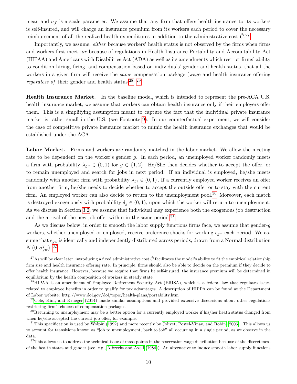mean and  $\sigma_f$  is a scale parameter. We assume that any firm that offers health insurance to its workers is self-insured, and will charge an insurance premium from its workers each period to cover the necessary reimbursement of all the realized health expenditures in addition to the administrative cost  $\tilde{C}^{27}$  $\tilde{C}^{27}$  $\tilde{C}^{27}$ 

Importantly, we assume, either because workers' health status is not observed by the firms when firms and workers first meet, or because of regulations in Health Insurance Portability and Accountability Act (HIPAA) and Americans with Disabilities Act (ADA) as well as its amendments which restrict firms' ability to condition hiring, firing, and compensation based on individuals' gender and health status, that all the workers in a given firm will receive the *same* compensation package (wage and health insurance offering regardless of their gender and health status.<sup>[28](#page-11-1), [29](#page-11-2)</sup>

Health Insurance Market. In the baseline model, which is intended to represent the pre-ACA U.S. health insurance market, we assume that workers can obtain health insurance only if their employers offer them. This is a simplifying assumption meant to capture the fact that the individual private insurance market is rather small in the U.S. (see Footnote [9\)](#page-3-1). In our counterfactual experiment, we will consider the case of competitive private insurance market to mimic the health insurance exchanges that would be established under the ACA.

Labor Market. Firms and workers are randomly matched in the labor market. We allow the meeting rate to be dependent on the worker's gender g. In each period, an unemployed worker randomly meets a firm with probability  $\lambda_{gu} \in (0,1)$  for  $g \in \{1,2\}$ . He/She then decides whether to accept the offer, or to remain unemployed and search for jobs in next period. If an individual is employed, he/she meets randomly with another firm with probability  $\lambda_{ge} \in (0,1)$ . If a currently employed worker receives an offer from another firm, he/she needs to decide whether to accept the outside offer or to stay with the current firm. An employed worker can also decide to return to the unemployment pool.<sup>[30](#page-11-3)</sup> Moreover, each match is destroyed exogenously with probability  $\delta_g \in (0, 1)$ , upon which the worker will return to unemployment. As we discuss in Section [3.2,](#page-12-0) we assume that individual may experience both the exogenous job destruction and the arrival of the new job offer within in the same period.<sup>[31](#page-11-4)</sup>

As we discuss below, in order to smooth the labor supply functions firms face, we assume that gender-q workers, whether unemployed or employed, receive preference shocks for working  $\epsilon_{aw}$  each period. We assume that  $\epsilon_{gw}$  is identically and independently distributed across periods, drawn from a Normal distribution  $N\left( 0,\sigma_{gw}^2\right) .^{32}$  $N\left( 0,\sigma_{gw}^2\right) .^{32}$  $N\left( 0,\sigma_{gw}^2\right) .^{32}$ 

<span id="page-11-0"></span><sup>&</sup>lt;sup>27</sup>As will be clear later, introducing a fixed administrative cost  $\tilde{C}$  facilitates the model's ability to fit the empirical relationship firm size and health insurance offering rate. In principle, firms should also be able to decide on the premium if they decide to offer health insurance. However, because we require that firms be self-insured, the insurance premium will be determined in equilibrium by the health composition of workers in steady state.

<span id="page-11-1"></span> $^{28}$ HIPAA is an amendment of Employee Retirement Security Act (ERISA), which is a federal law that regulates issues related to employee benefits in order to qualify for tax advantages. A description of HIPPA can be found at the Department of Labor website: http://www.dol.gov/dol/topic/health-plans/portability.htm

<span id="page-11-2"></span> $^{29}$ [Cole, Kim, and Krueger](#page-48-8) [\(2014\)](#page-48-8) made similar assumptions and provided extensive discussions about other regulations restricting firm's choices of compensation packages.

<span id="page-11-3"></span> $30$ Returning to unemployment may be a better option for a currently employed worker if his/her heath status changed from when he/she accepted the current job offer, for example.

<span id="page-11-4"></span> $31$ This specification is used by [Wolpin](#page-51-5) [\(1992\)](#page-51-5) and more recently by [Jolivet, Postel-Vinay, and Robin](#page-50-9) [\(2006\)](#page-50-9). This allows us to account for transitions known as "job to unemployment, back to job" all occurring in a single period, as we observe in the data.

<span id="page-11-5"></span> $32$ This allows us to address the technical issue of mass points in the reservation wage distribution because of the discreteness of the health states and gender (see, e.g., [Albrecht and Axell](#page-48-9) [\(1984\)](#page-48-9)). An alternative to induce smooth labor supply functions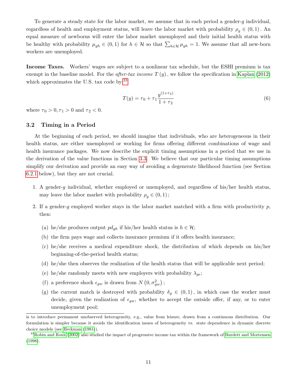To generate a steady state for the labor market, we assume that in each period a gender-g individual, regardless of health and employment status, will leave the labor market with probability  $\rho_q \in (0,1)$ . An equal measure of newborns will enter the labor market unemployed and their initial health status with be healthy with probability  $\mu_{gh} \in (0,1)$  for  $h \in \mathcal{H}$  so that  $\sum_{h \in \mathcal{H}} \mu_{gh} = 1$ . We assume that all new-born workers are unemployed.

Income Taxes. Workers' wages are subject to a nonlinear tax schedule, but the ESHI premium is tax exempt in the baseline model. For the *after-tax income T*  $(y)$ , we follow the specification in [Kaplan \(2012\)](#page-50-10) which approximates the U.S. tax code by:<sup>[33](#page-12-1)</sup>

<span id="page-12-2"></span>
$$
T(y) = \tau_0 + \tau_1 \frac{y^{(1+\tau_2)}}{1+\tau_2} \tag{6}
$$

where  $\tau_0 > 0, \tau_1 > 0$  and  $\tau_2 < 0$ .

#### <span id="page-12-0"></span>3.2 Timing in a Period

At the beginning of each period, we should imagine that individuals, who are heterogeneous in their health status, are either unemployed or working for firms offering different combinations of wage and health insurance packages. We now describe the explicit timing assumptions in a period that we use in the derivation of the value functions in Section [3.3.](#page-13-0) We believe that our particular timing assumptions simplify our derivation and provide an easy way of avoiding a degenerate likelihood function (see Section [6.2.1](#page-29-0) below), but they are not crucial.

- 1. A gender-q individual, whether employed or unemployed, and regardless of his/her health status, may leave the labor market with probability  $\rho_q \in (0,1)$ ;
- 2. If a gender-g employed worker stays in the labor market matched with a firm with productivity  $p$ , then:
	- (a) he/she produces output  $pd_{ah}$  if his/her health status is  $h \in \mathcal{H}$ ;
	- (b) the firm pays wage and collects insurance premium if it offers health insurance;
	- (c) he/she receives a medical expenditure shock, the distribution of which depends on his/her beginning-of-the-period health status;
	- (d) he/she then observes the realization of the health status that will be applicable next period;
	- (e) he/she randomly meets with new employers with probability  $\lambda_{qe}$ ;
	- (f) a preference shock  $\epsilon_{gw}$  is drawn from  $N(0, \sigma_{gw}^2)$ ;
	- (g) the current match is destroyed with probability  $\delta_q \in (0,1)$ , in which case the worker must decide, given the realization of  $\epsilon_{gw}$ , whether to accept the outside offer, if any, or to enter unemployment pool;

is to introduce permanent unobserved heterogeneity, e.g., value from leisure, drawn from a continuous distribution. Our formulation is simpler because it avoids the identification issues of heterogeneity vs. state dependence in dynamic discrete choice models (see [Heckman](#page-49-10) [\(1981\)](#page-49-10)).

<span id="page-12-1"></span> $33$ [Robin and Roux](#page-51-6) [\(2002\)](#page-51-6) also studied the impact of progressive income tax within the framework of [Burdett and Mortensen](#page-48-1) [\(1998\)](#page-48-1).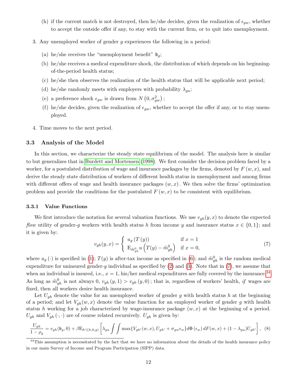- (h) if the current match is not destroyed, then he/she decides, given the realization of  $\epsilon_{qw}$ , whether to accept the outside offer if any, to stay with the current firm, or to quit into unemployment.
- 3. Any unemployed worker of gender g experiences the following in a period:
	- (a) he/she receives the "unemployment benefit"  $\mathfrak{b}_q$ ;
	- (b) he/she receives a medical expenditure shock, the distribution of which depends on his beginningof-the-period health status;
	- (c) he/she then observes the realization of the health status that will be applicable next period;
	- (d) he/she randomly meets with employers with probability  $\lambda_{gu}$ ;
	- (e) a preference shock  $\epsilon_{gw}$  is drawn from  $N(0, \sigma_{gw}^2)$ ;
	- (f) he/she decides, given the realization of  $\epsilon_{qw}$ , whether to accept the offer if any, or to stay unemployed.
- 4. Time moves to the next period.

#### <span id="page-13-0"></span>3.3 Analysis of the Model

In this section, we characterize the steady state equilibrium of the model. The analysis here is similar to but generalizes that in [Burdett and Mortensen \(1998\)](#page-48-1). We first consider the decision problem faced by a worker, for a postulated distribution of wage and insurance packages by the firms, denoted by  $F(w, x)$ , and derive the steady state distribution of workers of different health status in unemployment and among firms with different offers of wage and health insurance packages  $(w, x)$ . We then solve the firms' optimization problem and provide the conditions for the postulated  $F(w, x)$  to be consistent with equilibrium.

#### 3.3.1 Value Functions

We first introduce the notation for several valuation functions. We use  $v_{gh}(y, x)$  to denote the expected flow utility of gender-q workers with health status h from income y and insurance status  $x \in \{0, 1\}$ ; and it is given by:

<span id="page-13-1"></span>
$$
v_{gh}(y,x) = \begin{cases} u_g(T(y)) & \text{if } x = 1\\ \mathcal{E}_{\tilde{m}_{gh}^0} u\left(T(y) - \tilde{m}_{gh}^0\right) & \text{if } x = 0, \end{cases}
$$
(7)

where  $u_g(\cdot)$  is specified in [\(1\)](#page-9-8);  $T(y)$  is after-tax income as specified in [\(6\)](#page-12-2); and  $\tilde{m}_{gh}^0$  is the random medical expenditure for uninsured gender-q individual as specified by  $(2)$  and  $(3)$ . Note that in  $(7)$ , we assume that when an individual is insured, i.e.,  $x = 1$ , his/her medical expenditures are fully covered by the insurance.<sup>[34](#page-13-2)</sup> As long as  $\tilde{m}_{gh}^0$  is not always 0,  $v_{gh}(y,1) > v_{gh}(y,0)$ ; that is, regardless of workers' health, if wages are fixed, then all workers desire health insurance.

Let  $U_{gh}$  denote the value for an unemployed worker of gender g with health status h at the beginning of a period; and let  $V_{gh}(w, x)$  denote the value function for an employed worker of gender g with health status h working for a job characterized by wage-insurance package  $(w, x)$  at the beginning of a period.  $U_{gh}$  and  $V_{gh}(\cdot, \cdot)$  are of course related recursively.  $U_{gh}$  is given by:

<span id="page-13-3"></span>
$$
\frac{U_{gh}}{1-\rho_g} = v_{gh}(\mathfrak{b}_g,0) + \beta \mathcal{E}_{h'|(h,0,g)} \left[ \lambda_{gu} \int \int \max \{ V_{gh'}(w,x), U_{gh'} + \sigma_{gw}\epsilon_w \} d\Phi\left(\epsilon_w\right) dF(w,x) + (1-\lambda_{gu})U_{gh'} \right], \tag{8}
$$

<span id="page-13-2"></span><sup>&</sup>lt;sup>34</sup>This assumption is necessitated by the fact that we have no information about the details of the health insurance policy in our main Survey of Income and Program Participation (SIPP) data.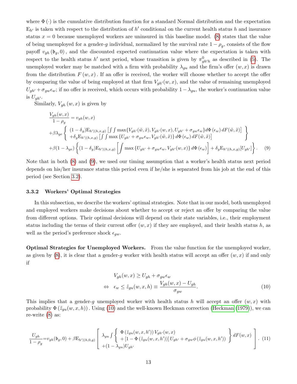where  $\Phi(\cdot)$  is the cumulative distribution function for a standard Normal distribution and the expectation  $E_{h'}$  is taken with respect to the distribution of h' conditional on the current health status h and insurance status  $x = 0$  because unemployed workers are uninsured in this baseline model. [\(8\)](#page-13-3) states that the value of being unemployed for a gender-g individual, normalized by the survival rate  $1 - \rho_g$ , consists of the flow payoff  $v_{gh}(\mathfrak{b}_q, 0)$ , and the discounted expected continuation value where the expectation is taken with respect to the health status h' next period, whose transition is given by  $\pi_{gh'h}^0$  as described in [\(5\)](#page-10-4). The unemployed worker may be matched with a firm with probability  $\lambda_{qu}$  and the firm's offer  $(w, x)$  is drawn from the distribution  $F(w, x)$ . If an offer is received, the worker will choose whether to accept the offer by comparing the value of being employed at that firm  $V_{gh}(w, x)$ , and the value of remaining unemployed  $U_{gh'} + \sigma_{gw}\epsilon_w$ ; if no offer is received, which occurs with probability  $1 - \lambda_{gu}$ , the worker's continuation value is  $U_{ah}$ .

Similarly,  $V_{gh}(w, x)$  is given by

<span id="page-14-0"></span>
$$
\frac{V_{gh}(w,x)}{1-\rho_g} = v_{gh}(w,x)
$$
\n
$$
+ \beta \lambda_{ge} \left\{ \begin{array}{l} (1-\delta_g) \mathbb{E}_{h'|(h,x,g)} \left[ \int \int \max \{ V_{gh'}(\tilde{w}, \tilde{x}), V_{gh'}(w,x), U_{gh'} + \sigma_{gw}\epsilon_w \} d\Phi(\epsilon_w) dF(\tilde{w}, \tilde{x}) \right] \\ + \delta_g \mathbb{E}_{h'|(h,x,g)} \left[ \int \int \max \{ U_{gh'} + \sigma_{gw}\epsilon_w, V_{gh'}(\tilde{w}, \tilde{x}) \} d\Phi(\epsilon_w) dF(\tilde{w}, \tilde{x}) \right] \end{array} \right\}
$$
\n
$$
+ \beta (1-\lambda_{ge}) \left\{ (1-\delta_g) \mathbb{E}_{h'|(h,x,g)} \left[ \int \max \{ U_{gh'} + \sigma_{gw}\epsilon_w, V_{gh'}(w,x) \} d\Phi(\epsilon_w) \right] + \delta_g \mathbb{E}_{h'|(h,x,g)} [U_{gh'}] \right\}. \tag{9}
$$

Note that in both [\(8\)](#page-13-3) and [\(9\)](#page-14-0), we used our timing assumption that a worker's health status next period depends on his/her insurance status this period even if he/she is separated from his job at the end of this period (see Section [3.2\)](#page-12-0).

#### 3.3.2 Workers' Optimal Strategies

In this subsection, we describe the workers' optimal strategies. Note that in our model, both unemployed and employed workers make decisions about whether to accept or reject an offer by comparing the value from different options. Their optimal decisions will depend on their state variables, i.e., their employment status including the terms of their current offer  $(w, x)$  if they are employed, and their health status h, as well as the period's preference shock  $\epsilon_{qw}$ .

Optimal Strategies for Unemployed Workers. From the value function for the unemployed worker, as given by  $(8)$ , it is clear that a gender-g worker with health status will accept an offer  $(w, x)$  if and only if

<span id="page-14-1"></span>
$$
V_{gh}(w, x) \ge U_{gh} + \sigma_{gw}\epsilon_w
$$
  
\n
$$
\Leftrightarrow \epsilon_w \le \tilde{z}_{gu}(w, x, h) \equiv \frac{V_{gh}(w, x) - U_{gh}}{\sigma_{gw}}.
$$
\n(10)

This implies that a gender-g unemployed worker with health status h will accept an offer  $(w, x)$  with probability  $\Phi(\tilde{z}_{gu}(w, x, h))$ . Using [\(10\)](#page-14-1) and the well-known Heckman correction [\(Heckman \(1979\)](#page-49-11)), we can re-write [\(8\)](#page-13-3) as:

$$
\frac{U_{gh}}{1-\rho_g} = v_{gh}(\mathfrak{b}_g,0) + \beta \mathcal{E}_{h'|(h,0,g)} \left[ \begin{array}{c} \lambda_{gu} \int \left\{ \begin{array}{c} \Phi\left(\tilde{z}_{gu}(w,x,h')\right) V_{gh'}(w,x) \\ +\left[1-\Phi\left(\tilde{z}_{gu}(w,x,h')\right)\right] U_{gh'} + \sigma_{gw}\phi\left(\tilde{z}_{gu}(w,x,h')\right) \end{array} \right\} dF(w,x) \\ + (1-\lambda_{gu}) U_{gh'} \end{array} \right]. \tag{11}
$$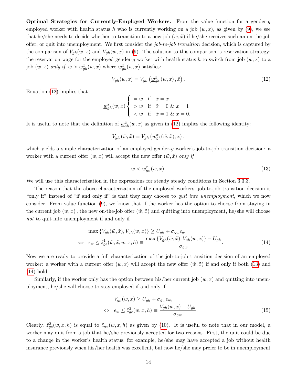Optimal Strategies for Currently-Employed Workers. From the value function for a gender-g employed worker with health status h who is currently working on a job  $(w, x)$ , as given by [\(9\)](#page-14-0), we see that he/she needs to decide whether to transition to a new job  $(\tilde{w}, \tilde{x})$  if he/she receives such an on-the-job offer, or quit into unemployment. We first consider the job-to-job transition decision, which is captured by the comparison of  $V_{gh}(\tilde{w}, \tilde{x})$  and  $V_{gh}(w, x)$  in [\(9\)](#page-14-0). The solution to this comparison is reservation strategy: the reservation wage for the employed gender-g worker with health status h to switch from job  $(w, x)$  to a job  $(\tilde{w}, \tilde{x})$  only if  $\tilde{w} > \underline{w}_{gh}^{\tilde{x}}(w, x)$  where  $\underline{w}_{gh}^{\tilde{x}}(w, x)$  satisfies:

<span id="page-15-0"></span>
$$
V_{gh}(w,x) = V_{gh}\left(\underline{w}_{gh}^{\tilde{x}}\left(w,x\right),\tilde{x}\right).
$$
\n<sup>(12)</sup>

Equation [\(12\)](#page-15-0) implies that

$$
\frac{w\tilde{x}}{g_h}(w, x) \begin{cases} = w & \text{if } \tilde{x} = x \\ > w & \text{if } \tilde{x} = 0 \& x = 1 \\ < w & \text{if } \tilde{x} = 1 \& x = 0. \end{cases}
$$

It is useful to note that the definition of  $\frac{w_{gh}^{\tilde{x}}(w,x)}{w_{gh}(w,x)}$  as given in [\(12\)](#page-15-0) implies the following identity:

$$
V_{gh}(\tilde{w}, \tilde{x}) = V_{gh}(\underline{w}_{gh}^x(\tilde{w}, \tilde{x}), x),
$$

which yields a simple characterization of an employed gender-g worker's job-to-job transition decision: a worker with a current offer  $(w, x)$  will accept the new offer  $(\tilde{w}, \tilde{x})$  only if

<span id="page-15-1"></span>
$$
w < \underline{w}_{gh}^x(\tilde{w}, \tilde{x}).\tag{13}
$$

We will use this characterization in the expressions for steady steady conditions in Section [3.3.3.](#page-16-0)

The reason that the above characterization of the employed workers' job-to-job transition decision is "only if" instead of "if and only if" is that they may choose to *quit into unemployment*, which we now consider. From value function [\(9\)](#page-14-0), we know that if the worker has the option to choose from staying in the current job  $(w, x)$ , the new on-the-job offer  $(\tilde{w}, \tilde{x})$  and quitting into unemployment, he/she will choose not to quit into unemployment if and only if

<span id="page-15-2"></span>
$$
\max \{ V_{gh}(\tilde{w}, \tilde{x}), V_{gh}(w, x) \} \ge U_{gh} + \sigma_{gw} \epsilon_w
$$
  
\n
$$
\Leftrightarrow \epsilon_w \le \tilde{z}_{ge}^1(\tilde{w}, \tilde{x}, w, x, h) \equiv \frac{\max \{ V_{gh}(\tilde{w}, \tilde{x}), V_{gh}(w, x) \} - U_{gh}}{\sigma_{gw}}.
$$
\n(14)

Now we are ready to provide a full characterization of the job-to-job transition decision of an employed worker: a worker with a current offer  $(w, x)$  will accept the new offer  $(\tilde{w}, \tilde{x})$  if and only if both [\(13\)](#page-15-1) and [\(14\)](#page-15-2) hold.

Similarly, if the worker only has the option between his/her current job  $(w, x)$  and quitting into unemployment, he/she will choose to stay employed if and only if

<span id="page-15-3"></span>
$$
V_{gh}(w, x) \ge U_{gh} + \sigma_{gw}\epsilon_w,
$$
  
\n
$$
\Leftrightarrow \epsilon_w \le \tilde{z}_{ge}^2(w, x, h) \equiv \frac{V_{gh}(w, x) - U_{gh}}{\sigma_{gw}}.
$$
\n(15)

Clearly,  $\tilde{z}_{ge}^2(w, x, h)$  is equal to  $\tilde{z}_{gu}(w, x, h)$  as given by [\(10\)](#page-14-1). It is useful to note that in our model, a worker may quit from a job that he/she previously accepted for two reasons. First, the quit could be due to a change in the worker's health status; for example, he/she may have accepted a job without health insurance previously when his/her health was excellent, but now he/she may prefer to be in unemployment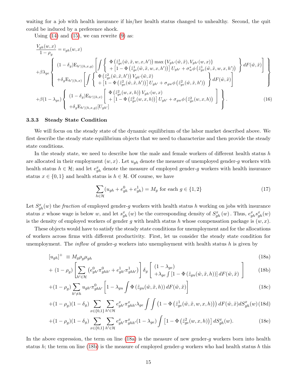waiting for a job with health insurance if his/her health status changed to unhealthy. Second, the quit could be induced by a preference shock.

Using  $(14)$  and  $(15)$ , we can rewrite  $(9)$  as:

$$
\frac{V_{gh}(w,x)}{1-\rho_{g}} = v_{gh}(w,x)
$$
\n
$$
+ \beta \lambda_{ge} \left\{ \begin{array}{l} (1-\delta_{g}) \mathcal{E}_{h'|(h,x,g)} \left[ \int \left\{ \begin{array}{l} \Phi\left(\tilde{z}_{ge}^{1}(\tilde{w},\tilde{x},w,x,h')\right) \max\left\{V_{gh'}(\tilde{w},\tilde{x}),V_{gh'}(w,x)\right\} \\ + \left[1 - \Phi\left(\tilde{z}_{ge}^{1}(\tilde{w},\tilde{x},w,x,h')\right)\right] U_{gh'} + \sigma_{w}^{s} \phi\left(\tilde{z}_{ge}^{1}(\tilde{w},\tilde{x},w,x,h')\right) \end{array} \right\} dF(\tilde{w},\tilde{x}) \right\} + \delta_{g} \mathcal{E}_{h'|(h,x)} \left[ \int \left\{ \begin{array}{l} \Phi\left(\tilde{z}_{ge}^{2}(\tilde{w},\tilde{x},h')\right) V_{gh'}(\tilde{w},\tilde{x}) \\ + \left[1 - \Phi\left(\tilde{z}_{ge}^{2}(\tilde{w},\tilde{x},h')\right)\right] U_{gh'} + \sigma_{gw} \phi\left(\tilde{z}_{ge}^{2}(\tilde{w},\tilde{x},h')\right) \end{array} \right\} dF(\tilde{w},\tilde{x}) \right\} + \beta(1 - \lambda_{ge}) \left\{ \begin{array}{l} (1 - \delta_{g}) \mathcal{E}_{h'|(h,x)} \left[ \Phi\left(\tilde{z}_{ge}^{2}(w,x,h)\right) V_{gh'}(w,x) \\ + \left[1 - \Phi\left(\tilde{z}_{ge}^{2}(w,x,h)\right)\right] U_{gh'} + \sigma_{gw} \phi\left(\tilde{z}_{ge}^{2}(w,x,h)\right) \end{array} \right] \right\}.
$$
\n(16)

#### <span id="page-16-0"></span>3.3.3 Steady State Condition

We will focus on the steady state of the dynamic equilibrium of the labor market described above. We first describe the steady state equilibrium objects that we need to characterize and then provide the steady state conditions.

In the steady state, we need to describe how the male and female workers of different health status h are allocated in their employment  $(w, x)$ . Let  $u_{gh}$  denote the measure of unemployed gender-g workers with health status  $h \in \mathcal{H}$ ; and let  $e_{gh}^x$  denote the measure of employed gender-g workers with health insurance status  $x \in \{0, 1\}$  and health status is  $h \in \mathcal{H}$ . Of course, we have

<span id="page-16-2"></span>
$$
\sum_{h \in \mathcal{H}} (u_{gh} + e_{gh}^0 + e_{gh}^1) = M_g \text{ for each } g \in \{1, 2\}
$$
 (17)

Let  $S_{gh}^x(w)$  the *fraction* of employed gender-g workers with health status h working on jobs with insurance status x whose wage is below w, and let  $s_{gh}^x(w)$  be the corresponding density of  $S_{gh}^x(w)$ . Thus,  $e_{gh}^x s_{gh}^x(w)$ is the density of employed workers of gender g with health status h whose compensation package is  $(w, x)$ .

These objects would have to satisfy the steady state conditions for unemployment and for the allocations of workers across firms with different productivity. First, let us consider the steady state condition for unemployment. The *inflow* of gender-g workers into unemployment with health status h is given by

<span id="page-16-1"></span>
$$
[u_{gh}]^{+} \equiv M_g \rho_g \mu_{gh} \tag{18a}
$$

$$
+ (1 - \rho_g) \left[ \sum_{h' \in \mathcal{H}} \left( e_{gh'}^0 \pi_{ghh'}^0 + e_{gh'}^1 \pi_{ghh'}^1 \right) \right] \delta_g \left[ \left. \begin{array}{c} (1 - \lambda_{ge}) \\ + \lambda_{ge} \int \left[ 1 - \Phi \left( \tilde{z}_{gu}(\tilde{w}, \tilde{x}, h) \right) \right] dF(\tilde{w}, \tilde{x}) \end{array} \right] \right]
$$
(18b)

$$
+(1-\rho_g)\sum_{h'\neq h}u_{gh'}\pi_{ghh'}^0\left[1-\lambda_{gu}\int\Phi\left(\tilde{z}_{gu}(\tilde{w},\tilde{x},h)\right)dF(\tilde{w},\tilde{x})\right]
$$
\n(18c)

$$
+(1-\rho_g)(1-\delta_g)\sum_{x\in\{0,1\}}\sum_{h'\in\mathcal{H}}e_{gh'}^x\pi_{ghh'}^x\lambda_{ge}\int\int\left(1-\Phi\left(\tilde{z}_{ge}^1(\tilde{w},\tilde{x},w,x,h)\right)\right)dF(\tilde{w},\tilde{x})dS_{gh}^x(w)(18d)
$$

$$
+(1-\rho_g)(1-\delta_g)\sum_{x\in\{0,1\}}\sum_{h'\in\mathcal{H}}e_{gh'}^x\pi_{ghh'}^x(1-\lambda_{ge})\int\left[1-\Phi\left(\tilde{z}_{ge}^2(w,x,h)\right)\right]dS_{gh}^x(w). \tag{18e}
$$

In the above expression, the term on line [\(18a\)](#page-16-1) is the measure of new gender-g workers born into health status h; the term on line [\(18b\)](#page-16-1) is the measure of employed gender-g workers who had health status h this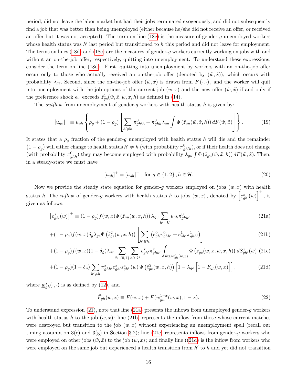period, did not leave the labor market but had their jobs terminated exogenously, and did not subsequently find a job that was better than being unemployed (either because he/she did not receive an offer, or received an offer but it was not accepted). The term on line  $(18c)$  is the measure of gender-g unemployed workers whose health status was  $h'$  last period but transitioned to  $h$  this period and did not leave for employment. The terms on lines [\(18d\)](#page-16-1) and [\(18e\)](#page-16-1) are the measures of gender-g workers currently working on jobs with and without an on-the-job offer, respectively, quitting into unemployment. To understand these expressions, consider the term on line [\(18d\)](#page-16-1). First, quitting into unemployment by workers with an on-the-job offer occur only to those who actually received an on-the-job offer (denoted by  $(\tilde{w}, \tilde{x})$ ), which occurs with probability  $\lambda_{qe}$ . Second, since the on-the-job offer  $(\tilde{w}, \tilde{x})$  is drawn from  $F(\cdot, \cdot)$ , and the worker will quit into unemployment with the job options of the current job  $(w, x)$  and the new offer  $(\tilde{w}, \tilde{x})$  if and only if the preference shock  $\epsilon_w$  exceeds  $\tilde{z}_{ge}^1(\tilde{w}, \tilde{x}, w, x, h)$  as defined in [\(14\)](#page-15-2).

The *outflow* from unemployment of gender-q workers with health status h is given by:

$$
[u_{gh}]^{-} \equiv u_{gh} \left\{ \rho_g + (1 - \rho_g) \left[ \sum_{h' \neq h} \pi_{gh'h}^{0} + \pi_{ghh}^{0} \lambda_{gu} \int \Phi \left( \tilde{z}_{gu}(\tilde{w}, \tilde{x}, h) \right) dF(\tilde{w}, \tilde{x}) \right] \right\}.
$$
 (19)

It states that a  $\rho_g$  fraction of the gender-g unemployed with health status h will die and the remainder  $(1-\rho_g)$  will either change to health status  $h' \neq h$  (with probability  $\pi_{gh'h}^0$ ), or if their health does not change (with probability  $\pi_{ghh}^0$ ) they may become employed with probability  $\lambda_{gu} \int \Phi\left(\tilde{z}_{gu}(\tilde{w}, \tilde{x}, h)\right) dF(\tilde{w}, \tilde{x})$ . Then, in a steady-state we must have

<span id="page-17-2"></span>
$$
[u_{gh}]^{+} = [u_{gh}]^{-}, \text{ for } g \in \{1, 2\}, h \in \mathcal{H}.
$$
 (20)

Now we provide the steady state equation for gender-q workers employed on jobs  $(w, x)$  with health status h. The *inflow* of gender-g workers with health status h to jobs  $(w, x)$ , denoted by  $\left[e_{gh}^x(w)\right]^+$ , is given as follows:

<span id="page-17-1"></span><span id="page-17-0"></span>
$$
\left[e_{gh}^{x}(w)\right]^{+} \equiv (1 - \rho_{g}) f(w, x) \Phi\left(\tilde{z}_{gu}(w, x, h)\right) \lambda_{gu} \sum_{h' \in \mathcal{H}} u_{gh} \pi_{ghh'}^{0}
$$
\n(21a)

$$
+(1-\rho_g)f(w,x)\delta_g\lambda_{ge}\Phi\left(\tilde{z}_{ge}^2(w,x,h)\right)\left[\sum_{h'\in\mathcal{H}}\left(e_{gh}^0\pi_{ghh'}^0+e_{gh'}^1\pi_{ghh'}^1\right)\right]
$$
(21b)

$$
+(1-\rho_g)f(w,x)(1-\delta_g)\lambda_{ge}\sum_{\tilde{x}\in\{0,1\}}\sum_{h'\in\mathcal{H}}e_{gh'}^{\tilde{x}}\pi_{ghh'}^{\tilde{x}}\int_{\tilde{w}\leq\underline{w}_{gh}^{\tilde{x}}(w,x)}\Phi\left(\tilde{z}_{ge}^1(w,x,\tilde{w},\tilde{x},h)\right)dS_{gh'}^{\tilde{x}}(\tilde{w})\tag{21c}
$$

$$
+(1-\rho_g)(1-\delta_g)\sum_{h'\neq h}\pi^x_{ghh'}e^x_{gh'}s^x_{gh'}(w)\,\Phi\left(\tilde{z}^2_{ge}(w,x,h)\right)\left[1-\lambda_{ge}\left[1-\tilde{F}_{gh}(w,x)\right]\right],\tag{21d}
$$

where  $\underline{w}_{gh}^{\tilde{x}}(\cdot,\cdot)$  is as defined by [\(12\)](#page-15-0), and

$$
\tilde{F}_{gh}(w,x) \equiv F(w,x) + F(\underline{w}_{gh}^{1-x}(w,x), 1-x).
$$
\n(22)

To understand expression [\(21\)](#page-17-0), note that line [\(21a\)](#page-17-1) presents the inflows from unemployed gender-g workers with health status h to the job  $(w, x)$ ; line [\(21b\)](#page-17-1) represents the inflow from those whose current matches were destroyed but transition to the job  $(w, x)$  without experiencing an unemployment spell (recall our timing assumption  $3(e)$  and  $3(g)$  in Section [3.2\)](#page-12-0); line [\(21c\)](#page-17-1) represents inflows from gender-g workers who were employed on other jobs  $(\tilde{w}, \tilde{x})$  to the job  $(w, x)$ ; and finally line ([\(21d\)](#page-17-1) is the inflow from workers who were employed on the same job but experienced a health transition from  $h'$  to  $h$  and yet did not transition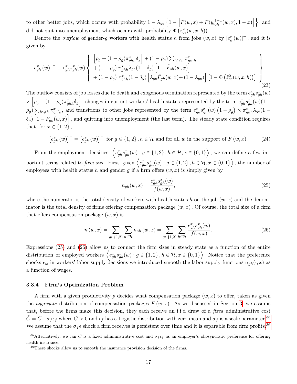to other better jobs, which occurs with probability  $1 - \lambda_{ge} \left\{ 1 - \left[ F(w, x) + F(\underline{w}_{gh}^{1-x}(w, x), 1-x) \right] \right\}$ , and did not quit into unemployment which occurs with probability  $\Phi\left(\tilde{z}_{ge}^2(w,x,h)\right)$ .

Denote the *outflow* of gender-g workers with health status h from jobs  $(w, x)$  by  $[e_h^x(w)]^-$ , and it is given by

$$
\begin{bmatrix} e_{gh}^x(w) \end{bmatrix}^{\dagger} \equiv e_{gh}^x s_{gh}^x(w) \begin{Bmatrix} \left[ \rho_g + (1 - \rho_g) \pi_{ghh}^x \delta_g \right] + (1 - \rho_g) \sum_{h' \neq h} \pi_{gh'h}^x \\ + (1 - \rho_g) \pi_{ghh}^x \lambda_{ge} (1 - \delta_g) \left[ 1 - \tilde{F}_{gh}(w, x) \right] \\ + (1 - \rho_g) \pi_{ghh}^x (1 - \delta_g) \left[ \lambda_{ge} \tilde{F}_{gh}(w, x) + (1 - \lambda_{ge}) \right] \left[ 1 - \Phi \left( \tilde{z}_{ge}^2(w, x, h) \right) \right] \end{Bmatrix} . \tag{23}
$$

The outflow consists of job losses due to death and exogenous termination represented by the term  $e_{gh}^x s_{gh}^x(w)$  $\left[\rho_g + (1-\rho_g)\pi_{ghh}^x \delta_g\right]$ , changes in current workers' health status represented by the term  $e_{gh}^x s_{gh}^x(w)$  $(1-\rho_g)$  $\rho_g$ )  $\sum_{h' \neq h} \pi_{gh'h}^x$ , and transitions to other jobs represented by the term  $e_{gh}^x s_{gh}^x(w)$   $(1 - \rho_g) \times \pi_{ghh}^x \lambda_{ge} (1 - \rho_g)$  $\delta_g$ )  $\left[1-\tilde{F}_{gh}(w,x)\right]$ , and quitting into unemployment (the last term). The steady state condition requires that, for  $x \in \{1,2\}$ ,

<span id="page-18-5"></span>
$$
\left[e_{gh}^{x}(w)\right]^{+} = \left[e_{gh}^{x}(w)\right]^{-} \text{ for } g \in \{1,2\}, h \in \mathcal{H} \text{ and for all } w \text{ in the support of } F(w,x). \tag{24}
$$

From the employment densities,  $\left\langle e_{gh}^x s_{gh}^x(w) : g \in \{1,2\}, h \in \mathcal{H}, x \in \{0,1\} \right\rangle$ , we can define a few important terms related to *firm size*. First, given  $\left\langle e_{gh}^x s_{gh}^x(w) : g \in \{1,2\}, h \in \mathcal{H}, x \in \{0,1\} \right\rangle$ , the number of employees with health status h and gender g if a firm offers  $(w, x)$  is simply given by

<span id="page-18-1"></span>
$$
n_{gh}(w,x) = \frac{e_{gh}^x s_{gh}^x(w)}{f(w,x)},
$$
\n(25)

where the numerator is the total density of workers with health status h on the job  $(w, x)$  and the denominator is the total density of firms offering compensation package  $(w, x)$ . Of course, the total size of a firm that offers compensation package  $(w, x)$  is

<span id="page-18-2"></span>
$$
n(w,x) = \sum_{g \in \{1,2\}} \sum_{h \in \mathcal{H}} n_{gh}(w,x) = \sum_{g \in \{1,2\}} \sum_{h \in \mathcal{H}} \frac{e_{gh}^x s_{gh}^x(w)}{f(w,x)}.
$$
 (26)

Expressions [\(25\)](#page-18-1) and [\(26\)](#page-18-2) allow us to connect the firm sizes in steady state as a function of the entire distribution of employed workers  $\left\langle e_{gh}^x s_{gh}^x(w) : g \in \{1,2\}, h \in \mathcal{H}, x \in \{0,1\} \right\rangle$ . Notice that the preference shocks  $\epsilon_w$  in workers' labor supply decisions we introduced smooth the labor supply functions  $n_{gh}(\cdot, x)$  as a function of wages.

#### <span id="page-18-0"></span>3.3.4 Firm's Optimization Problem

A firm with a given productivity p decides what compensation package  $(w, x)$  to offer, taken as given the *aggregate* distribution of compensation packages  $F(w, x)$ . As we discussed in Section [3,](#page-9-0) we assume that, before the firms make this decision, they each receive an i.i.d draw of a fixed administrative cost  $\tilde{C} = C + \sigma_f \epsilon_f$  where  $C > 0$  and  $\epsilon_f$  has a Logistic distribution with zero mean and  $\sigma_f$  is a scale parameter.<sup>[35](#page-18-3)</sup> We assume that the  $\sigma_f \epsilon$  shock a firm receives is persistent over time and it is separable from firm profits.<sup>[36](#page-18-4)</sup>

<span id="page-18-3"></span><sup>&</sup>lt;sup>35</sup>Alternatively, we can C is a fixed admininstrative cost and  $\sigma_f \epsilon_f$  as an employer's idiosyncratic preference for offering health insurance.

<span id="page-18-4"></span><sup>36</sup>These shocks allow us to smooth the insurance provision decision of the firms.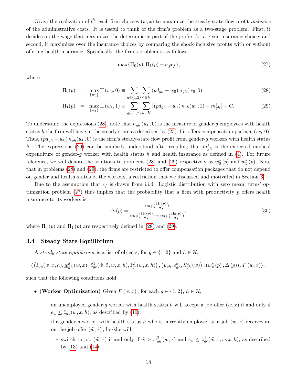Given the realization of  $\tilde{C}$ , each firm chooses  $(w, x)$  to maximize the steady-state flow profit *inclusive* of the administrative costs. It is useful to think of the firm's problem as a two-stage problem. First, it decides on the wage that maximizes the deterministic part of the profits for a given insurance choice; and second, it maximizes over the insurance choices by comparing the shock-inclusive profits with or without offering health insurance. Specifically, the firm's problem is as follows:

<span id="page-19-1"></span>
$$
\max\{\Pi_0(p), \Pi_1(p) - \sigma_f \epsilon_f\},\tag{27}
$$

where

<span id="page-19-0"></span>
$$
\Pi_0(p) = \max_{\{w_0\}} \Pi(w_0, 0) \equiv \sum_{g \in \{1, 2\}} \sum_{h \in \mathcal{H}} (pd_{gh} - w_0) n_{gh}(w_0, 0); \tag{28}
$$

$$
\Pi_1(p) = \max_{\{w_1\}} \Pi(w_1, 1) \equiv \sum_{g \in \{1, 2\}} \sum_{h \in \mathcal{H}} \left[ (pd_{gh} - w_1) n_{gh}(w_1, 1) - m_{gh}^1 \right] - C.
$$
 (29)

To understand the expressions [\(28\)](#page-19-0), note that  $n_{gh}(w_0, 0)$  is the measure of gender-g employees with health status h the firm will have in the steady state as described by [\(25\)](#page-18-1) if it offers compensation package  $(w_0, 0)$ . Thus,  $(p d_{gh} - w_0) n_{gh}(w_0, 0)$  is the firm's steady-state flow profit from gender-g workers with health status h. The expressions [\(29\)](#page-19-0) can be similarly understood after recalling that  $m_{gh}^1$  is the expected medical expenditure of gender-g worker with health status h and health insurance as defined in  $(4)$ . For future reference, we will denote the solutions to problems [\(28\)](#page-19-0) and [\(29\)](#page-19-0) respectively as  $w_0^*(p)$  and  $w_1^*(p)$ . Note that in problems [\(28\)](#page-19-0) and [\(29\)](#page-19-0), the firms are restricted to offer compensation packages that do not depend on gender and health status of the workers, a restriction that we discussed and motivated in Section [3.](#page-9-0)

Due to the assumption that  $\epsilon_f$  is drawn from i.i.d. Logistic distribution with zero mean, firms' optimization problem  $(27)$  thus implies that the probability that a firm with productivity p offers health insurance to its workers is

<span id="page-19-2"></span>
$$
\Delta(p) = \frac{\exp(\frac{\Pi_1(p)}{\sigma_f})}{\exp(\frac{\Pi_1(p)}{\sigma_f}) + \exp(\frac{\Pi_0(p)}{\sigma_f})},
$$
\n(30)

where  $\Pi_0(p)$  and  $\Pi_1(p)$  are respectively defined in [\(28\)](#page-19-0) and [\(29\)](#page-19-0).

## 3.4 Steady State Equilibrium

A steady state equilibrium is a list of objects, for  $g \in \{1,2\}$  and  $h \in \mathcal{H}$ ,

$$
\left\langle \left(\tilde{z}_{gu}(w,x,h), \underline{w}_{gh}^{\tilde{x}}\left(w,x\right), \tilde{z}_{ge}^{1}(\tilde{w},\tilde{x},w,x,h), \tilde{z}_{ge}^{2}(w,x,h)\right), \left(u_{gh}, e_{gh}^{x}, S_{gh}^{x}\left(w\right)\right), \left(w_x^{*}\left(p\right), \Delta\left(p\right)\right), F\left(w,x\right)\right\rangle,
$$

such that the following conditions hold:

- (Worker Optimization) Given  $F(w, x)$ , for each  $g \in \{1, 2\}$ ,  $h \in \mathcal{H}$ ,
	- an unemployed gender-g worker with health status h will accept a job offer  $(w, x)$  if and only if  $\epsilon_w \leq \tilde{z}_{gu}(w, x, h)$ , as described by [\(10\)](#page-14-1);
	- if a gender-g worker with health status h who is currently employed at a job  $(w, x)$  receives an on-the-job offer  $(\tilde{w}, \tilde{x})$ , he/she will:
		- ∗ switch to job  $(\tilde{w}, \tilde{x})$  if and only if  $\tilde{w} > \underline{w}_{gh}^{\tilde{x}}(w, x)$  and  $\epsilon_w \leq \tilde{z}_{ge}^1(\tilde{w}, \tilde{x}, w, x, h)$ , as described by  $(13)$  and  $(14)$ ;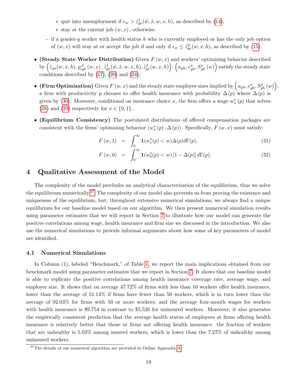- ∗ quit into unemployment if  $\epsilon_w > \tilde{z}_{ge}^1(\tilde{w}, \tilde{x}, w, x, h)$ , as described by [\(14\)](#page-15-2);
- $*$  stay at the current job  $(w, x)$ , otherwise.
- if a gender-g worker with health status h who is currently employed or has the only job option of  $(w, x)$  will stay at or accept the job if and only if  $\epsilon_w \leq \tilde{z}_{ge}^2(w, x, h)$ , as described by [\(15\)](#page-15-3).
- (Steady State Worker Distribution) Given  $F(w, x)$  and workers' optimizing behavior described  $\text{by }\left(\tilde{z}_{gu}(w,x,h),\underline{w}_{gh}^{\tilde{x}}\left(w,x\right),\tilde{z}_{ge}^{1}(\tilde{w},\tilde{x},w,x,h),\tilde{z}_{ge}^{2}(w,x,h)\right)\text{, }\left(u_{gh},e_{gh}^{x},S_{gh}^{x}\left(w\right)\right) \text{ satisfy the steady state}\text{,}$ conditions described by  $(17)$ ,  $(20)$  and  $(24)$ ;
- (Firm Optimization) Given  $F(w, x)$  and the steady state employee sizes implied by  $\left(u_{gh}, e_{gh}^x, S_{gh}^x(w)\right),$ a firm with productivity p chooses to offer health insurance with probability  $\Delta(p)$  where  $\Delta(p)$  is given by [\(30\)](#page-19-2). Moreover, conditional on insurance choice x, the firm offers a wage  $w_x^*(p)$  that solves [\(28\)](#page-19-0) and [\(29\)](#page-19-0) respectively for  $x \in \{0, 1\}$ .
- (Equilibrium Consistency) The postulated distributions of offered compensation packages are consistent with the firms' optimizing behavior  $(w_x^*(p), \Delta(p))$ . Specifically,  $F(w, x)$  must satisfy:

$$
F(w,1) = \int_0^\infty \mathbf{1}(w_1^*(p) < w) \Delta(p) d\Gamma(p),\tag{31}
$$

$$
F(w,0) = \int_0^\infty \mathbf{1}(w_0^*(p) < w) \left[1 - \Delta(p)\right] d\Gamma(p). \tag{32}
$$

# <span id="page-20-1"></span>4 Qualitative Assessment of the Model

The complexity of the model precludes an analytical characterization of the equilibrium, thus we solve the equilibrium numerically.<sup>[37](#page-20-2)</sup> The complexity of our model also prevents us from proving the existence and uniqueness of the equilibrium, but, throughout extensive numerical simulations, we always find a unique equilibrium for our baseline model based on our algorithm. We then present numerical simulation results using parameter estimates that we will report in Section [7](#page-31-1) to illustrate how our model can generate the positive correlations among wage, health insurance and firm size we discussed in the introduction. We also use the numerical simulations to provide informal arguments about how some of key parameters of model are identified.

#### <span id="page-20-0"></span>4.1 Numerical Simulations

In Column (1), labeled "Benchmark," of Table [1,](#page-52-0) we report the main implications obtained from our benchmark model using parameter estimates that we report in Section [7.](#page-31-1) It shows that our baseline model is able to replicate the positive correlations among health insurance coverage rate, average wage, and employer size. It shows that on average 47.72% of firms with less than 10 workers offer health insurance, lower than the average of 51.14% if firms have fewer than 50 workers, which is in turn lower than the average of 92.03% for firms with 50 or more workers; and the average four-month wages for workers with health insurance is \$9,754 in contrast to \$5,526 for uninsured workers. Moreover, it also generates the empirically consistent prediction that the average health status of employees at firms offering health insurance is relatively better that those at firms not offering health insurance: the fraction of workers that are unhealthy is 5.03% among insured workers, which is lower than the 7.27% of unhealthy among uninsured workers.

<span id="page-20-2"></span> $37$ The details of our numerical algorithm are provided in Online Appendix [A.](#page-66-0)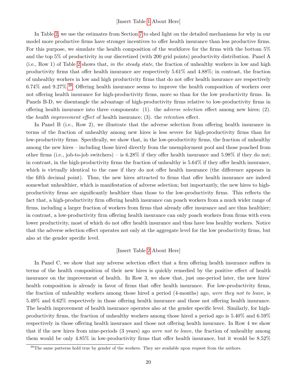In Table [2,](#page-53-0) we use the estimates from Section [7](#page-31-1) to shed light on the detailed mechanisms for why in our model more productive firms have stronger incentives to offer health insurance than less productive firms. For this purpose, we simulate the health composition of the workforce for the firms with the bottom 5% and the top 5% of productivity in our discretized (with 200 grid points) productivity distribution. Panel A (i.e., Row 1) of Table [2](#page-53-0) shows that, in the steady state, the fraction of unhealthy workers in low and high productivity firms that offer health insurance are respectively 5.61% and 4.88%; in contrast, the fraction of unhealthy workers in low and high productivity firms that do not offer health insurance are respectively 6.74% and 9.27%.[38](#page-21-0) Offering health insurance seems to improve the health composition of workers over not offering health insurance for high-productivity firms, more so than for the low productivity firms. In Panels B-D, we disentangle the advantage of high-productivity firms relative to low-productivity firms in offering health insurance into three components:  $(1)$ . the *adverse selection* effect among new hires;  $(2)$ . the health improvement effect of health insurance; (3). the retention effect.

In Panel B (i.e., Row 2), we illustrate that the adverse selection from offering health insurance in terms of the fraction of unhealthy among new hires is less severe for high-productivity firms than for low-productivity firms. Specifically, we show that, in the low-productivity firms, the fraction of unhealthy among the new hires – including those hired directly from the unemployment pool and those poached from other firms (i.e., job-to-job switchers) – is  $6.28\%$  if they offer health insurance and  $5.98\%$  if they do not; in contrast, in the high-productivity firms the fraction of unhealthy is 5.64% if they offer health insurance, which is virtually identical to the case if they do not offer health insurance (the difference appears in the fifth decimal point). Thus, the new hires attracted to firms that offer health insurance are indeed somewhat unhealthier, which is manifestation of adverse selection; but importantly, the new hires to highproductivity firms are significantly healthier than those to the low-productivity firms. This reflects the fact that, a high-productivity firm offering health insurance can poach workers from a much wider range of firms, including a larger fraction of workers from firms that already offer insurance and are thus healthier; in contrast, a low-productivity firm offering health insurance can only poach workers from firms with even lower productivity, most of which do not offer health insurance and thus have less healthy workers. Notice that the adverse selection effect operates not only at the aggregate level for the low productivity firms, but also at the gender specific level.

## [Insert Table [2](#page-53-0) About Here]

In Panel C, we show that any adverse selection effect that a firm offering health insurance suffers in terms of the health composition of their new hires is quickly remedied by the positive effect of health insurance on the improvement of health. In Row 3, we show that, just one-period later, the new hires' health composition is already in favor of firms that offer health insurance. For low-productivity firms, the fraction of unhealthy workers among those hired a period (4-months) ago, were they not to leave, is 5.49% and 6.62% respectively in those offering health insurance and those not offering health insurance. The health improvement of health insurance operates also at the gender specific level. Similarly, for highproductivity firms, the fraction of unhealthy workers among those hired a period ago is 5.40% and 6.59% respectively in those offering health insurance and those not offering health insurance. In Row 4 we show that if the new hires from nine-periods (3 years) ago were not to leave, the fraction of unhealthy among them would be only 4.85% in low-productivity firms that offer health insurance, but it would be 8.52%

<span id="page-21-0"></span><sup>&</sup>lt;sup>38</sup>The same patterns hold true by gender of the workers. They are available upon request from the authors.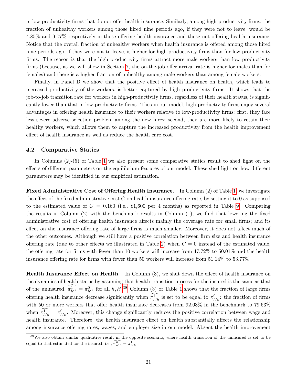in low-productivity firms that do not offer health insurance. Similarly, among high-productivity firms, the fraction of unhealthy workers among those hired nine periods ago, if they were not to leave, would be 4.85% and 9.07% respectively in those offering health insurance and those not offering health insurance. Notice that the overall fraction of unhealthy workers when health insurance is offered among those hired nine periods ago, if they were not to leave, is higher for high-productivity firms than for low-productivity firms. The reason is that the high productivity firms attract more male workers than low productivity firms (because, as we will show in Section [7,](#page-31-1) the on-the-job offer arrival rate is higher for males than for females) and there is a higher fraction of unhealthy among male workers than among female workers.

Finally, in Panel D we show that the positive effect of health insurance on health, which leads to increased productivity of the workers, is better captured by high productivity firms. It shows that the job-to-job transition rate for workers in high-productivity firms, regardless of their health status, is significantly lower than that in low-productivity firms. Thus in our model, high-productivity firms enjoy several advantages in offering health insurance to their workers relative to low-productivity firms: first, they face less severe adverse selection problem among the new hires; second, they are more likely to retain their healthy workers, which allows them to capture the increased productivity from the health improvement effect of health insurance as well as reduce the health care cost.

#### 4.2 Comparative Statics

In Columns (2)-(5) of Table [1](#page-52-0) we also present some comparative statics result to shed light on the effects of different parameters on the equilibrium features of our model. These shed light on how different parameters may be identified in our empirical estimation.

Fixed Administrative Cost of Offering Health Insurance. In Column (2) of Table [1,](#page-52-0) we investigate the effect of the fixed administrative cost  $C$  on health insurance offering rate, by setting it to 0 as supposed to the estimated value of  $C = 0.160$  (i.e., \$1,600 per 4 months) as reported in Table [9.](#page-57-0) Comparing the results in Column (2) with the benchmark results in Column (1), we find that lowering the fixed administrative cost of offering health insurance affects mainly the coverage rate for small firms; and its effect on the insurance offering rate of large firms is much smaller. Moreover, it does not affect much of the other outcomes. Although we still have a positive correlation between firm size and health insurance offering rate (due to other effects we illustrated in Table [2\)](#page-53-0) when  $C = 0$  instead of the estimated value, the offering rate for firms with fewer than 10 workers will increase from 47.72% to 50.01% and the health insurance offering rate for firms with fewer than 50 workers will increase from 51.14% to 53.77%.

Health Insurance Effect on Health. In Column (3), we shut down the effect of health insurance on the dynamics of health status by assuming that health transition process for the insured is the same as that of the uninsured,  $\pi_{h'h}^1 = \pi_{h'h}^0$  for all h, h'.<sup>[39](#page-22-0)</sup> Column (3) of Table [1](#page-52-0) shows that the fraction of large firms offering health insurance decrease significantly when  $\pi_{h'h}^1$  is set to be equal to  $\pi_{h'h}^0$ : the fraction of firms with 50 or more workers that offer health insurance decreases from 92.03% in the benchmark to 79.63% when  $\pi_{h'h}^1 = \pi_{h'h}^0$ . Moreover, this change significantly reduces the positive correlation between wage and health insurance. Therefore, the health insurance effect on health substantially affects the relationship among insurance offering rates, wages, and employer size in our model. Absent the health improvement

<span id="page-22-0"></span> $39$ We also obtain similar qualitative result in the opposite scenario, where health transition of the uninsured is set to be equal to that estimated for the insured, i.e.,  $\overline{\pi}_{h'h}^0 = \pi_{h'h}^1$ .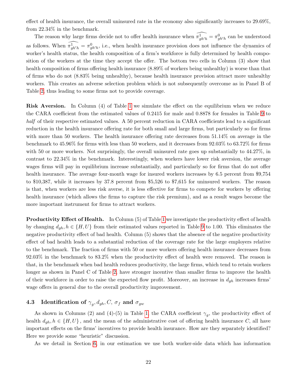effect of health insurance, the overall uninsured rate in the economy also significantly increases to 29.69%, from 22.34% in the benchmark.

The reason why large firms decide not to offer health insurance when  $\widehat{\pi}_{gh'h}^1 = \pi_{gh'h}^0$  can be understood as follows. When  $\widehat{\pi_{gh'h}} = \pi_{gh'h}^0$ , i.e., when health insurance provision does not influence the dynamics of worker's health status, the health composition of a firm's workforce is fully determined by health composition of the workers at the time they accept the offer. The bottom two cells in Column (3) show that health composition of firms offering health insurance (8.89% of workers being unhealthy) is worse than that of firms who do not (8.83% being unhealthy), because health insurance provision attract more unhealthy workers. This creates an adverse selection problem which is not subsequently overcome as in Panel B of Table [2,](#page-53-0) thus leading to some firms not to provide coverage.

Risk Aversion. In Column (4) of Table [1](#page-52-0) we simulate the effect on the equilibrium when we reduce the CARA coefficient from the estimated values of 0.2415 for male and 0.8878 for females in Table [9](#page-57-0) to half of their respective estimated values. A 50 percent reduction in CARA coefficients lead to a significant reduction in the health insurance offering rate for both small and large firms, but particularly so for firms with more than 50 workers. The health insurance offering rate decreases from  $51.14\%$  on average in the benchmark to 45.96% for firms with less than 50 workers, and it decreases from 92.03% to 63.72% for firms with 50 or more workers. Not surprisingly, the overall uninsured rate goes up substantially to  $44.27\%$ , in contrast to 22.34% in the benchmark. Interestingly, when workers have lower risk aversion, the average wages firms will pay in equilibrium increase substantially, and particularly so for firms that do not offer health insurance. The average four-month wage for insured workers increases by 6.5 percent from \$9,754 to \$10,387, while it increases by 37.8 percent from \$5,526 to \$7,615 for uninsured workers. The reason is that, when workers are less risk averse, it is less effective for firms to compete for workers by offering health insurance (which allows the firms to capture the risk premium), and as a result wages become the more important instrument for firms to attract workers.

**Productivity Effect of Health.** In Column (5) of Table [1](#page-52-0) we investigate the productivity effect of health by changing  $d_{gh}$ ,  $h \in \{H, U\}$  from their estimated values reported in Table [9](#page-57-0) to 1.00. This eliminates the negative productivity effect of bad health. Column (5) shows that the absence of the negative productivity effect of bad health leads to a substantial reduction of the coverage rate for the large employers relative to the benchmark. The fraction of firms with 50 or more workers offering health insurance decreases from 92.03% in the benchmark to 83.2% when the productivity effect of health were removed. The reason is that, in the benchmark when bad health reduces productivity, the large firms, which tend to retain workers longer as shown in Panel C of Table [2,](#page-53-0) have stronger incentive than smaller firms to improve the health of their workforce in order to raise the expected flow profit. Moreover, an increase in  $d_{gh}$  increases firms' wage offers in general due to the overall productivity improvement.

# 4.3 Identification of  $\gamma_g, d_{gh}, C, \sigma_f$  and  $\sigma_{gw}$

As shown in Columns (2) and (4)-(5) in Table [1,](#page-52-0) the CARA coefficient  $\gamma_g$ , the productivity effect of health  $d_{gh}$ ,  $h \in \{H, U\}$ , and the mean of the administrative cost of offering health insurance C, all have important effects on the firms' incentives to provide health insurance. How are they separately identified? Here we provide some "heuristic" discussion.

As we detail in Section [6,](#page-27-0) in our estimation we use both worker-side data which has information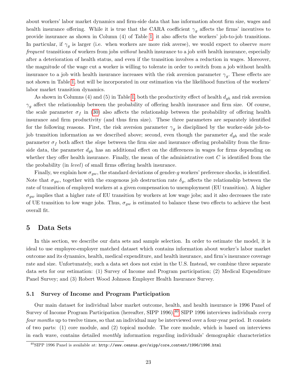about workers' labor market dynamics and firm-side data that has information about firm size, wages and health insurance offering. While it is true that the CARA coefficient  $\gamma_q$  affects the firms' incentives to provide insurance as shown in Column (4) of Table [1,](#page-52-0) it also affects the workers' job-to-job transitions. In particular, if  $\gamma_g$  is larger (i.e. when workers are more risk averse), we would expect to observe more frequent transitions of workers from jobs without health insurance to a job with health insurance, especially after a deterioration of health status, and even if the transition involves a reduction in wages. Moreover, the magnitude of the wage cut a worker is willing to tolerate in order to switch from a job without health insurance to a job with health insurance increases with the risk aversion parameter  $\gamma_g$ . These effects are not shown in Table [1,](#page-52-0) but will be incorporated in our estimation via the likelihood function of the workers' labor market transition dynamics.

As shown in Columns (4) and (5) in Table [1,](#page-52-0) both the productivity effect of health  $d_{gh}$  and risk aversion  $\gamma_q$  affect the relationship between the probability of offering health insurance and firm size. Of course, the scale parameter  $\sigma_f$  in [\(30\)](#page-19-2) also affects the relationship between the probability of offering health insurance and firm productivity (and thus firm size). These three parameters are separately identified for the following reasons. First, the risk aversion parameter  $\gamma_g$  is disciplined by the worker-side job-tojob transition information as we described above; second, even though the parameter  $d_{gh}$  and the scale parameter  $\sigma_f$  both affect the *slope* between the firm size and insurance offering probability from the firmside data, the parameter  $d_{gh}$  has an additional effect on the differences in wages for firms depending on whether they offer health insurance. Finally, the mean of the administrative cost  $C$  is identified from the the probability (in level) of small firms offering health insurance.

Finally, we explain how  $\sigma_{gw}$ , the standard deviations of gender-g workers' preference shocks, is identified. Note that  $\sigma_{gw}$ , together with the exogenous job destruction rate  $\delta_g$ , affects the relationship between the rate of transition of employed workers at a given compensation to unemployment (EU transition). A higher  $\sigma_{qw}$  implies that a higher rate of EU transition by workers at low wage jobs; and it also decreases the rate of UE transition to low wage jobs. Thus,  $\sigma_{gw}$  is estimated to balance these two effects to achieve the best overall fit.

## <span id="page-24-0"></span>5 Data Sets

In this section, we describe our data sets and sample selection. In order to estimate the model, it is ideal to use employee-employer matched dataset which contains information about worker's labor market outcome and its dynamics, health, medical expenditure, and health insurance, and firm's insurance coverage rate and size. Unfortunately, such a data set does not exist in the U.S. Instead, we combine three separate data sets for our estimation: (1) Survey of Income and Program participation; (2) Medical Expenditure Panel Survey; and (3) Robert Wood Johnson Employer Health Insurance Survey.

## 5.1 Survey of Income and Program Participation

Our main dataset for individual labor market outcome, health, and health insurance is 1996 Panel of Survey of Income Program Participation (hereafter, SIPP 1996).<sup>[40](#page-24-1)</sup> SIPP 1996 interviews individuals every four months up to twelve times, so that an individual may be interviewed over a four-year period. It consists of two parts: (1) core module, and (2) topical module. The core module, which is based on interviews in each wave, contains detailed monthly information regarding individuals' demographic characteristics

<span id="page-24-1"></span><sup>40</sup>SIPP 1996 Panel is available at: http://www.census.gov/sipp/core content/1996/1996.html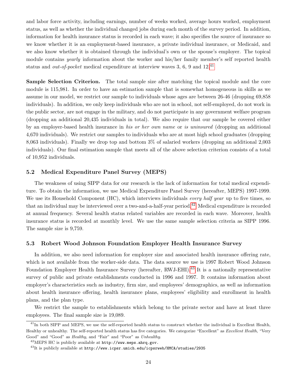and labor force activity, including earnings, number of weeks worked, average hours worked, employment status, as well as whether the individual changed jobs during each month of the survey period. In addition, information for health insurance status is recorded in each wave; it also specifies the source of insurance so we know whether it is an employment-based insurance, a private individual insurance, or Medicaid, and we also know whether it is obtained through the individual's own or the spouse's employer. The topical module contains *yearly* information about the worker and his/her family member's self reported health status and *out-of-pocket* medical expenditure at interview waves 3, 6, 9 and  $12^{41}$  $12^{41}$  $12^{41}$ 

Sample Selection Criterion. The total sample size after matching the topical module and the core module is 115,981. In order to have an estimation sample that is somewhat homogeneous in skills as we assume in our model, we restrict our sample to individuals whose ages are between 26-46 (dropping 69,858 individuals). In addition, we only keep individuals who are not in school, not self-employed, do not work in the public sector, are not engage in the military, and do not participate in any government welfare program (dropping an additional 20,435 individuals in total). We also require that our sample be covered either by an employer-based health insurance in his or her own name or is uninsured (dropping an additional 4,670 individuals). We restrict our samples to individuals who are at most high school graduates (dropping 8,063 individuals). Finally we drop top and bottom 3% of salaried workers (dropping an additional 2,003 individuals). Our final estimation sample that meets all of the above selection criterion consists of a total of 10,952 individuals.

## 5.2 Medical Expenditure Panel Survey (MEPS)

The weakness of using SIPP data for our research is the lack of information for total medical expenditure. To obtain the information, we use Medical Expenditure Panel Survey (hereafter, MEPS) 1997-1999. We use its Household Component (HC), which interviews individuals *every half year* up to five times, so that an individual may be interviewed over a two-and-a-half-year period.<sup>[42](#page-25-1)</sup> Medical expenditure is recorded at annual frequency. Several health status related variables are recorded in each wave. Moreover, health insurance status is recorded at monthly level. We use the same sample selection criteria as SIPP 1996. The sample size is 9,759.

## 5.3 Robert Wood Johnson Foundation Employer Health Insurance Survey

In addition, we also need information for employer size and associated health insurance offering rate, which is not available from the worker-side data. The data source we use is 1997 Robert Wood Johnson Foundation Employer Health Insurance Survey (hereafter, RWJ-EHI).<sup>[43](#page-25-2)</sup> It is a nationally representative survey of public and private establishments conducted in 1996 and 1997. It contains information about employer's characteristics such as industry, firm size, and employees' demographics, as well as information about health insurance offering, health insurance plans, employees' eligibility and enrollment in health plans, and the plan type.

We restrict the sample to establishments which belong to the private sector and have at least three employees. The final sample size is 19,089.

<span id="page-25-0"></span><sup>&</sup>lt;sup>41</sup>In both SIPP and MEPS, we use the self-reported health status to construct whether the individual is Excellent Health, Healthy or unhealthy. The self-reported health status has five categories. We categorize "Excellent" as Excellent Health, "Very Good" and "Good" as Healthy, and "Fair" and "Poor" as Unhealthy.

<span id="page-25-1"></span><sup>42</sup>MEPS HC is publicly available at http://www.meps.ahrq.gov.

<span id="page-25-2"></span> $^{43}$ It is publicly available at http://www.icpsr.umich.edu/icpsrweb/HMCA/studies/2935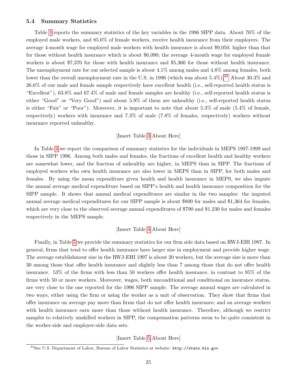#### 5.4 Summary Statistics

Table [3](#page-53-1) reports the summary statistics of the key variables in the 1996 SIPP data. About 76% of the employed male workers, and 85.6% of female workers, receive health insurance from their employers. The average 4-month wage for employed male workers with health insurance is about \$9,050, higher than that for those without health insurance which is about \$6,090; the average 4-month wage for employed female workers is about \$7,370 for those with health insurance and \$5,360 for those without health insurance. The unemployment rate for our selected sample is about 4.1% among males and 4.8% among females, both lower than the overall unemployment rate in the U.S. in 1996 (which was about  $5.4\%$ ).<sup>[44](#page-26-0)</sup> About  $30.3\%$  and 26.6% of our male and female sample respectively have excellent health (i.e., self-reported health status is "Excellent"), 63.8% and 67.4% of male and female samples are healthy (i.e., self-reported health status is either "Good" or "Very Good") and about 5.9% of them are unhealthy (i.e., self-reported health status is either "Fair" or "Poor"). Moreover, it is important to note that about 5.3% of male (5.4% of female, respectively) workers with insurance and 7.3% of male (7.8% of females, respectively) workers without insurance reported unhealthy.

### [Insert Table [3](#page-53-1) About Here]

In Table [4](#page-54-0) we report the comparison of summary statistics for the individuals in MEPS 1997-1999 and those in SIPP 1996. Among both males and females, the fractions of excellent health and healthy workers are somewhat lower, and the fraction of unhealthy are higher, in MEPS than in SIPP. The fractions of employed workers who own health insurance are also lower in MEPS than in SIPP, for both males and females. By using the mean expenditure given health and health insurance in MEPS, we also impute the annual average medical expenditure based on SIPP's health and health insurance composition for the SIPP sample. It shows that annual medical expenditures are similar in the two samples: the imputed annual average medical expenditures for our SIPP sample is about \$800 for males and \$1,364 for females, which are very close to the observed average annual expenditures of \$790 and \$1,230 for males and females respectively in the MEPS sample.

## [Insert Table [4](#page-54-0) About Here]

Finally, in Table [5](#page-55-0) we provide the summary statistics for our firm side data based on RWJ-EHI 1997. In general, firms that tend to offer health insurance have larger size in employment and provide higher wage. The average establishment size in the RWJ-EHI 1997 is about 20 workers, but the average size is more than 30 among those that offer health insurance and slightly less than 7 among those that do not offer health insurance. 53% of the firms with less than 50 workers offer health insurance, in contrast to 95% of the firms with 50 or more workers. Moreover, wages, both unconditional and conditional on insurance status, are very close to the one reported for the 1996 SIPP sample. The average annual wages are calculated in two ways, either using the firm or using the worker as a unit of observation. They show that firms that offer insurance on average pay more than firms that do not offer health insurance; and on average workers with health insurance earn more than those without health insurance. Therefore, although we restrict samples to relatively unskilled workers in SIPP, the compensation patterns seem to be quite consistent in the worker-side and employer-side data sets.

[Insert Table [5](#page-55-0) About Here]

<span id="page-26-0"></span><sup>44</sup>See U.S. Department of Labor, Bureau of Labor Statistics at website: http://stats.bls.gov.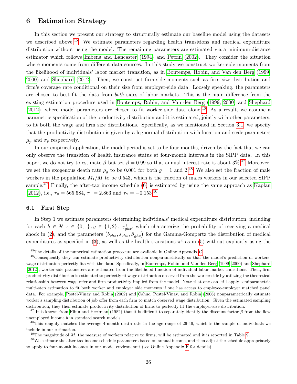# <span id="page-27-0"></span>6 Estimation Strategy

In this section we present our strategy to structurally estimate our baseline model using the datasets we described above.<sup>[45](#page-27-1)</sup> We estimate parameters regarding health transitions and medical expenditure distribution without using the model. The remaining parameters are estimated via a minimum-distance estimator which follows [Imbens and Lancaster \(1994\)](#page-50-2) and [Petrin \(2002\)](#page-51-1). They consider the situation where moments come from different data sources. In this study we construct worker-side moments from the likelihood of individuals' labor market transition, as in [Bontemps, Robin, and Van den Berg \(1999,](#page-48-2) [2000\)](#page-48-3) and [Shephard \(2012\)](#page-51-3). Then, we construct firm-side moments such as firm size distribution and firm's coverage rate conditional on their size from employer-side data. Loosely speaking, the parameters are chosen to best fit the data from both sides of labor markets. This is the main difference from the existing estimation procedure used in [Bontemps, Robin, and Van den Berg \(1999,](#page-48-2) [2000\)](#page-48-3) and [Shephard](#page-51-3)  $(2012)$ , where model parameters are chosen to fit worker side data alone.<sup>[46](#page-27-2)</sup> As a result, we assume a parametric specification of the productivity distribution and it is estimated, jointly with other parameters, to fit both the wage and firm size distributions. Specifically, as we mentioned in Section [3.1,](#page-9-9) we specify that the productivity distribution is given by a lognormal distribution with location and scale parameters  $\mu_p$  and  $\sigma_p$  respectively.

In our empirical application, the model period is set to be four months, driven by the fact that we can only observe the transition of health insurance status at four-month intervals in the SIPP data. In this paper, we do not try to estimate  $\beta$  but set  $\beta = 0.99$  so that annual interest rate is about 3%.<sup>[47](#page-27-3)</sup> Moreover, we set the exogenous death rate  $\rho_g$  to be 0.001 for both  $g = 1$  and 2.<sup>[48](#page-27-4)</sup> We also set the fraction of male workers in the population  $M_1/M$  to be 0.543, which is the fraction of males workers in our selected SIPP sample.<sup>[49](#page-27-5)</sup> Finally, the after-tax income schedule [\(6\)](#page-12-2) is estimated by using the same approach as [Kaplan](#page-50-10) [\(2012\)](#page-50-10), i.e.,  $\tau_0 = 565.584$ ,  $\tau_1 = 2.863$  and  $\tau_2 = -0.153$ .<sup>[50](#page-27-6)</sup>

#### 6.1 First Step

In Step 1 we estimate parameters determining individuals' medical expenditure distribution, including for each  $h \in \mathcal{H}, x \in \{0,1\}, g \in \{1,2\}, \gamma_{ghx}^+$ , which characterize the probability of receiving a medical shock in [\(2\)](#page-9-7), and the parameters  $(b_{ghx}, s_{ghx}, \beta_{ghx})$  for the Gamma-Gompertz the distribution of medical expenditures as specified in [\(3\)](#page-10-1), as well as the health transitions  $\pi^x$  as in [\(5\)](#page-10-4) without explicitly using the

<span id="page-27-2"></span><span id="page-27-1"></span><sup>45</sup>The details of the numerical estimation procecure are available in Online Appendix [C.](#page-68-0)

 $46$ Consequently they can estimate productivity distribution nonparametrically so that the model's prediction of workers' wage distribution perfectly fits with the data. Specifically, in [Bontemps, Robin, and Van den Berg](#page-48-2) [\(1999,](#page-48-2) [2000\)](#page-48-3) and [Shephard](#page-51-3) [\(2012\)](#page-51-3), worker-side parameters are estimated from the likelihood function of individual labor market transitions. Then, firm productivity distribution is estimated to perfectly fit wage distribution observed from the worker side by utilizing the theoretical relationship between wage offer and firm productivity implied from the model. Note that one can still apply semiparametric multi-step estimation to fit both worker and employer side moments if one has access to employee-employer matched panel data. For example, [Postel-Vinay and Robin](#page-51-7) [\(2002\)](#page-51-7) and [Cahuc, Postel-Vinay, and Robin](#page-48-10) [\(2006\)](#page-48-10) nonparametrically estimate worker's sampling distribution of job offer from each firm to match observed wage distribution. Given the estimated sampling distribution, they then estimate productivity distribution of firms to perfectly fit the employer-size distribution.

<span id="page-27-3"></span><sup>&</sup>lt;sup>47</sup> It is known from [Flinn and Heckman](#page-49-12) [\(1982\)](#page-49-12) that it is difficult to separately identify the discount factor  $\beta$  from the flow unemployed income b in standard search models.

<span id="page-27-4"></span><sup>&</sup>lt;sup>48</sup>This roughly matches the average 4-month death rate in the age range of 26-46, which is the sample of individuals we include in our estimation.

<span id="page-27-6"></span><span id="page-27-5"></span> $^{49}$ The magnitude of M, the measure of workers relative to firms, will be estimated and it is reported in Table [9](#page-57-0).

 $50$ We estimate the after-tax income schedule parameters based on annual income, and then adjust the schedule appropriately to apply to four-month incomes in our model environemnt (see Online Appendix [F](#page-71-0) for details).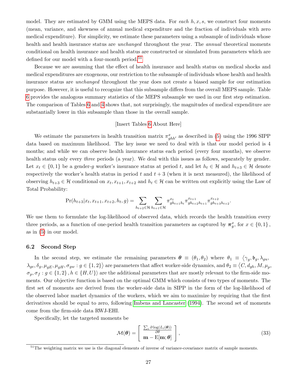model. They are estimated by GMM using the MEPS data. For each  $h, x, s$ , we construct four moments (mean, variance, and skewness of annual medical expenditure and the fraction of individuals with zero medical expenditure). For simplicity, we estimate these parameters using a subsample of individuals whose health and health insurance status are *unchanged* throughout the year. The *annual* theoretical moments conditional on health insurance and health status are constructed or simulated from parameters which are defined for our model with a four-month period.<sup>[51](#page-28-0)</sup>

Because we are assuming that the effect of health insurance and health status on medical shocks and medical expenditures are exogenous, our restriction to the subsample of individuals whose health and health insurance status are unchanged throughout the year does not create a biased sample for our estimation purpose. However, it is useful to recognize that this subsample differs from the overall MEPS sample. Table [6](#page-55-1) provides the analogous summary statistics of the MEPS subsample we used in our first step estimation. The comparison of Tables [6](#page-55-1) and [4](#page-54-0) shows that, not surprisingly, the magnitudes of medical expenditure are substantially lower in this subsample than those in the overall sample.

#### [Insert Tables [6](#page-55-1) About Here]

We estimate the parameters in health transition matrix  $\pi_{ghh'}^x$  as described in [\(5\)](#page-10-4) using the 1996 SIPP data based on maximum likelihood. The key issue we need to deal with is that our model period is 4 months; and while we can observe health insurance status each period (every four months), we observe health status only every *three* periods (a year). We deal with this issues as follows, separately by gender. Let  $x_t \in \{0,1\}$  be a gender-g worker's insurance status at period t, and let  $h_t \in \mathcal{H}$  and  $h_{t+3} \in \mathcal{H}$  denote respectively the worker's health status in period t and  $t + 3$  (when it is next measured), the likelihood of observing  $h_{t+3} \in \mathcal{H}$  conditional on  $x_t, x_{t+1}, x_{t+2}$  and  $h_t \in \mathcal{H}$  can be written out explicitly using the Law of Total Probability:

$$
\Pr(h_{t+3}|x_t, x_{t+1}, x_{t+2}, h_t, g) = \sum_{h_{t+2} \in \mathcal{H}} \sum_{h_{t+1} \in \mathcal{H}} \pi_{gh_{t+1}h_t}^{x_t} \pi_{gh_{t+2}h_{t+1}}^{x_{t+1}} \pi_{gh_{t+3}h_{t+2}}^{x_{t+2}}.
$$

We use them to formulate the log-likelihood of observed data, which records the health transition every three periods, as a function of one-period health transition parameters as captured by  $\pi_g^x$ , for  $x \in \{0,1\}$ , as in [\(5\)](#page-10-4) in our model.

#### <span id="page-28-2"></span>6.2 Second Step

In the second step, we estimate the remaining parameters  $\theta \equiv (\theta_1, \theta_2)$  where  $\theta_1 \equiv \langle \gamma_g, \mathfrak{b}_g, \lambda_{gu}, \mathfrak{b}_g \rangle$  $\lambda_{ge}, \delta_g, \mu_{gE}, \mu_{gH}, \sigma_{gw}: g\in\{1,2\}\rangle$  are parameters that affect worker-side dynamics, and  $\theta_2\equiv \langle C, d_{gh}, M, \mu_p, \rangle$  $\sigma_p, \sigma_f : g \in \{1,2\}, h \in \{H, U\}$  are the additional parameters that are mostly relevant to the firm-side moments. Our objective function is based on the optimal GMM which consists of two types of moments. The first set of moments are derived from the worker-side data in SIPP in the form of the log-likelihood of the observed labor market dynamics of the workers, which we aim to maximize by requiring that the first derivatives should be equal to zero, following [Imbens and Lancaster \(1994\)](#page-50-2). The second set of moments come from the firm-side data RWJ-EHI.

Specifically, let the targeted moments be

<span id="page-28-1"></span>
$$
\mathcal{M}(\boldsymbol{\theta}) = \left[ \begin{array}{c} \frac{\sum_{i} \partial \log(L_{i}(\boldsymbol{\theta}))}{\partial \boldsymbol{\theta}} \\ \mathbf{m} - \mathrm{E}[\mathbf{m}; \boldsymbol{\theta}] \end{array} \right],
$$
(33)

<span id="page-28-0"></span> $51$ The weighting matrix we use is the diagonal elements of inverse of variance-covariance matrix of sample moments.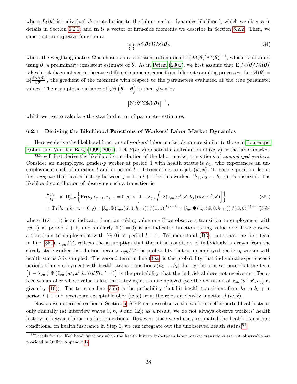where  $L_i(\theta)$  is individual i's contribution to the labor market dynamics likelihood, which we discuss in details in Section [6.2.1;](#page-29-0) and m is a vector of firm-side moments we describe in Section [6.2.2.](#page-31-0) Then, we construct an objective function as

$$
\min_{\{\theta\}} \mathcal{M}(\theta)'\Omega \mathcal{M}(\theta),\tag{34}
$$

where the weighting matrix  $\Omega$  is chosen as a consistent estimator of  $E[\mathcal{M}(\theta)'\mathcal{M}(\theta)]^{-1}$ , which is obtained using  $\tilde{\theta}$ , a preliminary consistent estimate of  $\theta$ . As in [Petrin \(2002\)](#page-51-1), we first assume that  $E[\mathcal{M}(\theta')'\mathcal{M}(\theta)]$ takes block diagonal matrix because different moments come from different sampling processes. Let  $\mathbb{M}(\theta)$  =  $E\left[\frac{\partial \mathcal{M}(\theta)}{\partial \theta}\right]$ , the gradient of the moments with respect to the parameters evaluated at the true parameter values. The asymptotic variance of  $\sqrt{n}(\hat{\theta} - \theta)$  is then given by

$$
\left[\mathbb{M}(\boldsymbol{\theta})'\Omega\mathbb{M}(\boldsymbol{\theta})\right]^{-1},
$$

which we use to calculate the standard error of parameter estimates.

#### <span id="page-29-0"></span>6.2.1 Deriving the Likelihood Functions of Workers' Labor Market Dynamics

Here we derive the likelihood functions of workers' labor market dynamics similar to those in [Bontemps,](#page-48-2) [Robin, and Van den Berg \(1999,](#page-48-2) [2000\)](#page-48-3). Let  $F(w, x)$  denote the distribution of  $(w, x)$  in the labor market.

We will first derive the likelihood contribution of the labor market transitions of unemployed workers. Consider an unemployed gender-q worker at period 1 with health status is  $h_1$ , who experiences an unemployment spell of duration l and in period  $l + 1$  transitions to a job  $(\tilde{w}, \tilde{x})$ . To ease exposition, let us first suppose that health history between  $j = 1$  to  $l + 1$  for this worker,  $(h_1, h_2, ..., h_{l+1})$ , is observed. The likelihood contribution of observing such a transition is:

<span id="page-29-1"></span>
$$
\frac{u_{gh_1}}{M} \times \Pi_{j=2}^l \left\{ \Pr(h_j|h_{j-1}, x_{j-1} = 0, g) \times \left[ 1 - \lambda_{gu} \int \Phi\left(\tilde{z}_{gu}(w', x', h_j)\right) dF(w', x') \right] \right\} \tag{35a}
$$

$$
\times \ \Pr(h_{l+1}|h_l, x_l=0, g) \times [\lambda_{gu} \Phi\left(\tilde{z}_{gu}(\tilde{w}, 1, h_{l+1})\right) f(\tilde{w}, 1)]^{1(\tilde{x}=1)} \times [\lambda_{gu} \Phi\left(\tilde{z}_{gu}(\tilde{w}, 0, h_{l+1})\right) f(\tilde{w}, 0)]^{1(\tilde{x}=0)} (35b)
$$

where  $\mathbf{1}(\tilde{x} = 1)$  is an indicator function taking value one if we observe a transition to employment with  $(\tilde{w}, 1)$  at period  $l + 1$ , and similarly  $\mathbf{1}(\tilde{x} = 0)$  is an indicator function taking value one if we observe a transition to employment with  $(\tilde{w}, 0)$  at period  $l + 1$ . To understand [\(B3\)](#page-68-1), note that the first term in line [\(35a\)](#page-29-1),  $u_{gh}/M$ , reflects the assumption that the initial condition of individuals is drawn from the steady state worker distribution because  $u_{gh}/M$  the probability that an unemployed gender-g worker with health status h is sampled. The second term in line  $(35a)$  is the probability that individual experiences l periods of unemployment with health status transitions  $(h_2, ..., h_l)$  during the process; note that the term  $\left[1-\lambda_{gu}\int \Phi\left(\tilde{z}_{gu}\left(w',x',h_j\right)\right)dF(w',x')\right]$  is the probability that the individual does not receive an offer or receives an offer whose value is less than staying as an unemployed (see the definition of  $\tilde{z}_{gu}(w', x', h_j)$ ) as given by [\(10\)](#page-14-1)). The term on line [\(35b\)](#page-29-1) is the probability that his health transitions from  $h_l$  to  $h_{l+1}$  in period  $l + 1$  and receive an acceptable offer  $(\tilde{w}, \tilde{x})$  from the relevant density function  $f(\tilde{w}, \tilde{x})$ .

Now as we described earlier in Section [5,](#page-24-0) SIPP data we observe the workers' self-reported health status only annually (at interview waves 3, 6, 9 and 12); as a result, we do not always observe workers' health history in-between labor market transitions. However, since we already estimated the health transitions conditional on health insurance in Step 1, we can integrate out the unobserved health status.<sup>[52](#page-29-2)</sup>

<span id="page-29-2"></span><sup>&</sup>lt;sup>52</sup>Details for the likelihood functions when the health history in-between labor market transitions are not observable are provided in Online Appendix [B.](#page-68-2)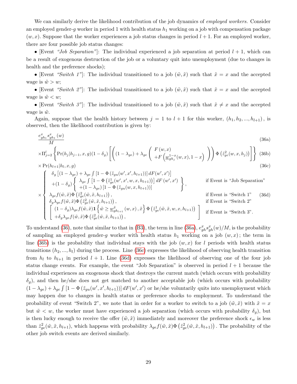We can similarly derive the likelihood contribution of the job dynamics of *employed workers*. Consider an employed gender-g worker in period 1 with health status  $h_1$  working on a job with compensation package  $(w, x)$ . Suppose that the worker experiences a job status changes in period  $l + 1$ . For an employed worker, there are four possible job status changes:

• [Event "Job Separation"]: The individual experienced a job separation at period  $l + 1$ , which can be a result of exogenous destruction of the job or a voluntary quit into unemployment (due to changes in health and the preference shocks);

• [Event "Switch 1"]: The individual transitioned to a job  $(\tilde{w}, \tilde{x})$  such that  $\tilde{x} = x$  and the accepted wage is  $\tilde{w} > w$ ;

• [Event "Switch 2"]: The individual transitioned to a job  $(\tilde{w}, \tilde{x})$  such that  $\tilde{x} = x$  and the accepted wage is  $\tilde{w} < w$ ;

• [Event "Switch 3"]: The individual transitioned to a job  $(\tilde{w}, \tilde{x})$  such that  $\tilde{x} \neq x$  and the accepted wage is  $\tilde{w}$ .

Again, suppose that the health history between  $j = 1$  to  $l + 1$  for this worker,  $(h_1, h_2, ..., h_{l+1})$ , is observed, then the likelihood contribution is given by:

<span id="page-30-1"></span><span id="page-30-0"></span>
$$
\frac{e_{gh_1}^x s_{gh_1}^x(w)}{M} \times \Pi_{j=2}^l \left\{ \Pr(h_j|h_{j-1}, x, g)(1 - \delta_g) \left[ \left( (1 - \lambda_{ge}) + \lambda_{ge} \left( \begin{array}{c} F(w, x) \\ +F\left(\underline{w}_{gh_j}^{1-x}(w, x), 1-x\right) \end{array} \right) \right) \Phi\left(\tilde{z}_{ge}^2(w, x, h_j)\right) \right] \right\} (36b)
$$
\n
$$
\times \Pr(h_{l+1}|h_l, x, g) \tag{36c}
$$

$$
\begin{cases}\n\delta_g \left[ (1 - \lambda_{ge}) + \lambda_{ge} \int \left[ 1 - \Phi \left( \tilde{z}_{gu}(w', x', h_{l+1}) \right) \right] dF(w', x') \right] \\
+ (1 - \delta_g) \begin{cases}\n\lambda_{ge} \int \left[ 1 - \Phi \left( \tilde{z}_{ge}(w', x', w, x, h_{l+1}) \right) \right] dF(w', x') \\
+ (1 - \lambda_{ge}) \left[ 1 - \Phi \left( \tilde{z}_{gu}(w, x, h_{l+1}) \right) \right] \\
\times \lambda_{ge} f(\tilde{w}, \tilde{x}) \Phi \left( \tilde{z}_{ge}^2(\tilde{w}, \tilde{x}, h_{l+1}) \right),\n\end{cases} \n\text{if Event is "Switch 1" (36d)}\n\end{cases}
$$

$$
\begin{cases}\n\delta_g \lambda_{ge} f(\tilde{w}, \tilde{x}) \Phi\left(\tilde{z}_{ge}^2(\tilde{w}, \tilde{x}, h_{l+1})\right), & \text{if Event is "Switch 2"} \\
\left[\begin{array}{cc} (1 - \delta_g) \lambda_{ge} f(\tilde{w}, \tilde{x}) \mathbf{1} \left\{\tilde{w} \ge \underline{w}_{gh_{l+1}}^{\tilde{x}}(w, x), \tilde{x}\right\} \Phi\left(\tilde{z}_{ge}^1(\tilde{w}, \tilde{x}, w, x, h_{l+1})\right) \\
+\delta_g \lambda_{ge} f(\tilde{w}, \tilde{x}) \Phi\left(\tilde{z}_{ge}^2(\tilde{w}, \tilde{x}, h_{l+1})\right), & \text{if Event is "Switch 3".}\n\end{array}\right\}\n\end{cases}
$$

To understand [\(36\)](#page-30-0), note that similar to that in [\(B3\)](#page-68-1), the term in line [\(36a\)](#page-30-1),  $e_{gh}^x s_{gh}^x(w)/M$ , is the probability of sampling an employed gender-g worker with health status  $h_1$  working on a job  $(w, x)$ ; the term in line [\(36b\)](#page-30-1) is the probability that individual stays with the job  $(w, x)$  for l periods with health status transitions  $(h_2, ..., h_l)$  during the process. Line [\(36c\)](#page-30-1) expresses the likelihood of observing health transition from  $h_l$  to  $h_{l+1}$  in period  $l + 1$ . Line [\(36d\)](#page-30-1) expresses the likelihood of observing one of the four job status change events. For example, the event "Job Separation" is observed in period  $l + 1$  because the individual experiences an exogenous shock that destroys the current match (which occurs with probability  $\delta_g$ ), and then he/she does not get matched to another acceptable job (which occurs with probability  $(1-\lambda_{ge})+\lambda_{ge}\int [1-\Phi(\tilde{z}_{gu}(w',x',h_{l+1}))] dF(w',x')$  or he/she voluntarily quits into unemployment which may happen due to changes in health status or preference shocks to employment. To understand the probability of event "Switch 2", we note that in order for a worker to switch to a job  $(\tilde{w}, \tilde{x})$  with  $\tilde{x} = x$ but  $\tilde{w} < w$ , the worker must have experienced a job separation (which occurs with probability  $\delta_q$ ), but is then lucky enough to receive the offer  $(\tilde{w}, \tilde{x})$  immediately and moreover the preference shock  $\epsilon_w$  is less than  $\tilde{z}_{ge}^2(\tilde{w}, \tilde{x}, h_{l+1})$ , which happens with probability  $\lambda_{ge} f(\tilde{w}, \tilde{x}) \Phi\left(\tilde{z}_{ge}^2(\tilde{w}, \tilde{x}, h_{l+1})\right)$ . The probability of the other job switch events are derived similarly.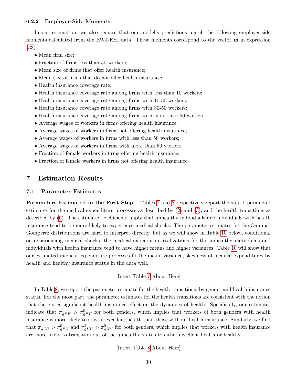#### <span id="page-31-0"></span>6.2.2 Employer-Side Moments

In our estimation, we also require that our model's predictions match the following employer-side moments calculated from the RWJ-EHI data. These moments correspond to the vector m in expression [\(33\)](#page-28-1):

- Mean firm size;
- Fraction of firms less than 50 workers;
- Mean size of firms that offer health insurance;
- Mean size of firms that do not offer health insurance;
- Health insurance coverage rate;
- Health insurance coverage rate among firms with less than 10 workers;
- Health insurance coverage rate among firms with 10-30 workers;
- Health insurance coverage rate among firms with 30-50 workers;
- Health insurance coverage rate among firms with more than 50 workers;
- Average wages of workers in firms offering health insurance;
- Average wages of workers in firms not offering health insurance;
- Average wages of workers in firms with less than 50 workers;
- Average wages of workers in firms with more than 50 workers.
- Fraction of female workers in firms offering health insurance;
- Fraction of female workers in firms not offering health insurance.

# <span id="page-31-1"></span>7 Estimation Results

#### 7.1 Parameter Estimates

Parameters Estimated in the First Step. Tables [7](#page-56-0) and [8](#page-57-1) respectively report the step 1 parameter estimates for the medical expenditure processes as described by [\(2\)](#page-9-7) and [\(3\)](#page-10-1), and the health transitions as described by [\(5\)](#page-10-4). The estimated coefficients imply that unhealthy individuals and individuals with health insurance tend to be more likely to experience medical shocks. The parameter estimates for the Gamma-Gompertz distributions are hard to interpret directly, but as we will show in Table [10](#page-58-0) below, conditional on experiencing medical shocks, the medical expenditure realizations for the unhealthy individuals and individuals with health insurance tend to have higher means and higher variances. Table [10](#page-58-0) will show that our estimated medical expenditure processes fit the mean, variance, skewness of medical expenditures by health and healthy insurance status in the data well.

#### [Insert Table [7](#page-56-0) About Here]

In Table [8,](#page-57-1) we report the parameter estimate for the health transitions, by gender and health insurance status. For the most part, the parameter estimates for the health transitions are consistent with the notion that there is a significant health insurance effect on the dynamics of health. Specifically, our estimates indicate that  $\pi_{gEE}^1 > \pi_{gEE}^0$  for both genders, which implies that workers of both genders with health insurance is more likely to stay in excellent health than those without health insurance. Similarly, we find that  $\pi_{gEU}^1 > \pi_{gEU}^0$  and  $\pi_{gHU}^1 > \pi_{gHU}^0$  for both genders, which implies that workers with health insurance are more likely to transition out of the unhealthy status to either excellent health or healthy.

[Insert Table [8](#page-57-1) About Here]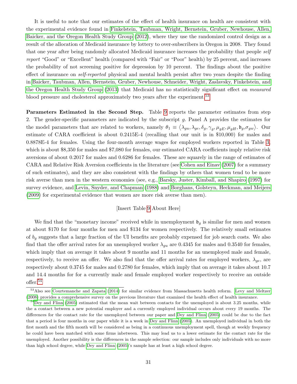It is useful to note that our estimates of the effect of health insurance on health are consistent with the experimental evidence found in [Finkelstein, Taubman, Wright, Bernstein, Gruber, Newhouse, Allen,](#page-49-13) [Baicker, and the Oregon Health Study Group \(2012\)](#page-49-13), where they use the randomized control design as a result of the allocation of Medicaid insurance by lottery to over-subscribers in Oregon in 2008. They found that one year after being randomly allocated Medicaid insurance increases the probability that people self report "Good" or "Excellent" health (compared with "Fair" or "Poor" health) by 25 percent, and increases the probability of not screening positive for depression by 10 percent. The findings about the positive effect of insurance on self-reported physical and mental health persist after two years despite the finding in [Baicker, Taubman, Allen, Bernstein, Gruber, Newhouse, Schneider, Wright, Zaslavsky, Finkelstein, and](#page-48-11) [the Oregon Health Study Group \(2013\)](#page-48-11) that Medicaid has no statistically significant effect on measured blood pressure and cholesterol approximately two years after the experiment.<sup>[53](#page-32-0)</sup>

Parameters Estimated in the Second Step. Table [9](#page-57-0) reports the parameter estimates from step 2. The gender-specific parameters are indicated by the subscript g. Panel A provides the estimates for the model parameters that are related to workers, namely  $\theta_1 \equiv \langle \lambda_{gu}, \lambda_{ge}, \delta_g, \gamma_g, \mu_{gE}, \mu_{gH}, \mathfrak{b}_g, \sigma_{gw} \rangle$ . Our estimate of CARA coefficient is about 0.2415E-4 (recalling that our unit is in \$10,000) for males and 0.8878E-4 for females. Using the four-month average wages for employed workers reported in Table [3,](#page-53-1) which is about \$8,350 for males and \$7,080 for females, our estimated CARA coefficients imply relative risk aversions of about 0.2017 for males and 0.6286 for females. These are squarely in the range of estimates of CARA and Relative Risk Aversion coefficients in the literature (see [Cohen and Einav \(2007\)](#page-48-12) for a summary of such estimates), and they are also consistent with the findings by others that women tend to be more risk averse than men in the western economies (see, e.g., [Barsky, Juster, Kimball, and Shapiro \(1997\)](#page-48-13) for survey evidence, and [Levin, Snyder, and Chapman \(1988\)](#page-50-11) and [Borghans, Golsteyn, Heckman, and Meijers](#page-48-14) [\(2009\)](#page-48-14) for experimental evidence that women are more risk averse than men).

#### [Insert Table [9](#page-57-0) About Here]

We find that the "monetary income" received while in unemployment  $\mathfrak{b}_g$  is similar for men and women at about \$170 for four months for men and \$134 for women respectively. The relatively small estimates of  $b_q$  suggests that a large fraction of the UI benefits are probably expensed for job search costs. We also find that the offer arrival rates for an unemployed worker  $\lambda_{qu}$  are 0.4345 for males and 0.3540 for females, which imply that on average it takes about 9 months and 11 months for an unemployed male and female, respectively, to receive an offer. We also find that the offer arrival rates for employed workers,  $\lambda_{ge}$ , are respectively about 0.3745 for males and 0.2780 for females, which imply that on average it takes about 10.7 and 14.4 months for for a currently male and female employed worker respectively to receive an outside offer.[54](#page-32-1)

<span id="page-32-0"></span><sup>&</sup>lt;sup>53</sup>Also see [Courtemanche and Zapata](#page-48-6) [\(2014\)](#page-48-6) for similar evidence from Massachusetts health reform. [Levy and Meltzer](#page-50-12) [\(2008\)](#page-50-12) provides a comprehensive survey on the previous literature that examined the health effect of health insurance.

<span id="page-32-1"></span> $54$ [Dey and Flinn](#page-49-2) [\(2005\)](#page-49-2) estimated that the mean wait between contacts for the unemployed is about 3.25 months, while the a contact between a new potential employer and a currently employed individual occurs about every 19 months. The differences for the contact rate for the unemployed between our paper and [Dey and Flinn](#page-49-2) [\(2005\)](#page-49-2) could be due to the fact that a period is four months in our paper while it is a week in [Dey and Flinn](#page-49-2) [\(2005\)](#page-49-2). An unemployed individual in both the first month and the fifth month will be considered as being in a continuous unemployment spell, though at weekly frequency he could have been matched with some firms inbetween. This may lead us to a lower estimate for the contact rate for the unemployed. Another possibility is the differences in the sample selection: our sample includes only individuals with no more than high school degree, while [Dey and Flinn](#page-49-2) [\(2005\)](#page-49-2)'s sample has at least a high school degree.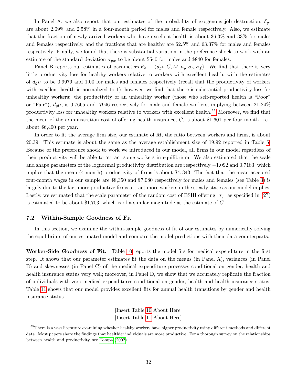In Panel A, we also report that our estimates of the probability of exogenous job destruction,  $\delta_g$ , are about 2.09% and 2.58% in a four-month period for males and female respectively. Also, we estimate that the fraction of newly arrived workers who have excellent health is about 36.3% and 33% for males and females respectively, and the fractions that are healthy are 62.5% and 63.37% for males and females respectively. Finally, we found that there is substantial variation in the preference shock to work with an estimate of the standard deviation  $\sigma_{gw}$  to be about \$540 for males and \$840 for females.

Panel B reports our estimates of parameters  $\theta_2 \equiv \langle d_{gh}, C, M, \mu_p, \sigma_p, \sigma_f \rangle$ . We find that there is very little productivity loss for healthy workers relative to workers with excellent health, with the estimates of  $d_{gH}$  to be 0.9979 and 1.00 for males and females respectively (recall that the productivity of workers with excellent health is normalized to 1); however, we find that there is substantial productivity loss for unhealthy workers: the productivity of an unhealthy worker (those who self-reported health is "Poor" or "Fair"),  $d_{gU}$ , is 0.7665 and .7946 respectively for male and female workers, implying between 21-24% productivity loss for unhealthy workers relative to workers with excellent health.[55](#page-33-0) Moreover, we find that the mean of the administration cost of offering health insurance,  $C$ , is about \$1,601 per four month, i.e., about \$6,400 per year.

In order to fit the average firm size, our estimate of M, the ratio between workers and firms, is about 20.39. This estimate is about the same as the average establishment size of 19.92 reported in Table [5.](#page-55-0) Because of the preference shock to work we introduced in our model, all firms in our model regardless of their productivity will be able to attract some workers in equilibrium. We also estimated that the scale and shape parameters of the lognormal productivity distribution are respectively −1.092 and 0.7183, which implies that the mean (4-month) productivity of firms is about \$4, 343. The fact that the mean accepted four-month wages in our sample are \$8,350 and \$7,080 respectively for males and females (see Table [3\)](#page-53-1) is largely due to the fact more productive firms attract more workers in the steady state as our model implies. Lastly, we estimated that the scale parameter of the random cost of ESHI offering,  $\sigma_f$ , as specified in [\(27\)](#page-19-1) is estimated to be about \$1,703, which is of a similar magnitude as the estimate of C.

#### 7.2 Within-Sample Goodness of Fit

In this section, we examine the within-sample goodness of fit of our estimates by numerically solving the equilibrium of our estimated model and compare the model predictions with their data counterparts.

Worker-Side Goodness of Fit. Table [10](#page-58-0) reports the model fits for medical expenditure in the first step. It shows that our parameter estimates fit the data on the means (in Panel A), variances (in Panel B) and skewnesses (in Panel C) of the medical expenditure processes conditional on gender, health and health insurance status very well; moreover, in Panel D, we show that we accurately replicate the fraction of individuals with zero medical expenditures conditional on gender, health and health insurance status. Table [11](#page-59-0) shows that our model provides excellent fits for annual health transitions by gender and health insurance status.

> [Insert Table [10](#page-58-0) About Here] [Insert Table [11](#page-59-0) About Here]

<span id="page-33-0"></span><sup>&</sup>lt;sup>55</sup>There is a vast literature examining whether healthy workers have higher productivity using different methods and different data. Most papers share the findings that healthier individuals are more productive. For a thorough survey on the relationships between health and productivity, see [Tompa](#page-51-8) [\(2002\)](#page-51-8).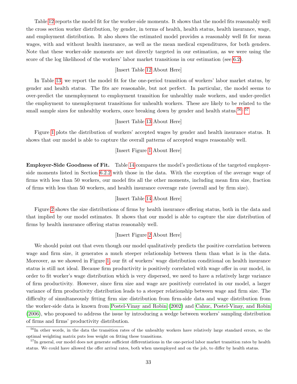Table [12](#page-59-1) reports the model fit for the worker-side moments. It shows that the model fits reasonably well the cross section worker distribution, by gender, in terms of health, health status, health insurance, wage, and employment distribution. It also shows the estimated model provides a reasonably well fit for mean wages, with and without health insurance, as well as the mean medical expenditures, for both genders. Note that these worker-side moments are not directly targeted in our estimation, as we were using the score of the log likelihood of the workers' labor market transitions in our estimation (see [6.2\)](#page-28-2).

## [Insert Table [12](#page-59-1) About Here]

In Table [13,](#page-60-0) we report the model fit for the one-period transition of workers' labor market status, by gender and health status. The fits are reasonable, but not perfect. In particular, the model seems to over-predict the unemployment to employment transition for unhealthy male workers, and under-predict the employment to unemployment transitions for unhealth workers. These are likely to be related to the small sample sizes for unhealthy workers, once breaking down by gender and health status.<sup>[56](#page-34-0), [57](#page-34-1)</sup>

## [Insert Table [13](#page-60-0) About Here]

Figure [1](#page-64-0) plots the distribution of workers' accepted wages by gender and health insurance status. It shows that our model is able to capture the overall patterns of accepted wages reasonably well.

#### [Insert Figure [1](#page-64-0) About Here]

Employer-Side Goodness of Fit. Table [14](#page-60-1) compares the model's predictions of the targeted employerside moments listed in Section [6.2.2](#page-31-0) with those in the data. With the exception of the average wage of firms with less than 50 workers, our model fits all the other moments, including mean firm size, fraction of firms with less than 50 workers, and health insurance coverage rate (overall and by firm size).

### [Insert Table [14](#page-60-1) About Here]

Figure [2](#page-65-0) shows the size distributions of firms by health insurance offering status, both in the data and that implied by our model estimates. It shows that our model is able to capture the size distribution of firms by health insurance offering status reasonably well.

## [Insert Figure [2](#page-65-0) About Here]

We should point out that even though our model qualitatively predicts the positive correlation between wage and firm size, it generates a much steeper relationship between them than what is in the data. Moreover, as we showed in Figure [1,](#page-64-0) our fit of workers' wage distribution conditional on health insurance status is still not ideal. Because firm productivity is positively correlated with wage offer in our model, in order to fit worker's wage distribution which is very dispersed, we need to have a relatively large variance of firm productivity. However, since firm size and wage are positively correlated in our model, a larger variance of firm productivity distribution leads to a steeper relationship between wage and firm size. The difficulty of simultaneously fitting firm size distribution from firm-side data and wage distribution from the worker-side data is known from [Postel-Vinay and Robin \(2002\)](#page-51-7) and [Cahuc, Postel-Vinay, and Robin](#page-48-10) [\(2006\)](#page-48-10), who proposed to address the issue by introducing a wedge between workers' sampling distribution of firms and firms' productivity distribution.

<span id="page-34-0"></span><sup>&</sup>lt;sup>56</sup>In other words, in the data the transition rates of the unhealthy workers have relatively large standard errors, so the optimal weighting matrix puts less weight on fitting these transitions.

<span id="page-34-1"></span><sup>&</sup>lt;sup>57</sup>In general, our model does not generate sufficient differentiations in the one-period labor market transition rates by health status. We could have allowed the offer arrival rates, both when unemployed and on the job, to differ by health status.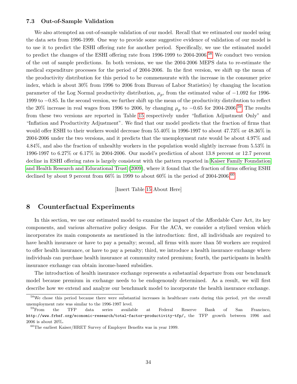#### <span id="page-35-0"></span>7.3 Out-of-Sample Validation

We also attempted an out-of-sample validation of our model. Recall that we estimated our model using the data sets from 1996-1999. One way to provide some suggestive evidence of validation of our model is to use it to predict the ESHI offering rate for another period. Specifically, we use the estimated model to predict the changes of the ESHI offering rate from 1996-1999 to 2004-2006.<sup>[58](#page-35-2)</sup> We conduct two version of the out of sample predictions. In both versions, we use the 2004-2006 MEPS data to re-estimate the medical expenditure processes for the period of 2004-2006. In the first version, we shift up the mean of the productivity distribution for this period to be commensurate with the increase in the consumer price index, which is about 30% from 1996 to 2006 from Bureau of Labor Statistics) by changing the location parameter of the Log Normal productivity distribution,  $\mu_p$ , from the estimated value of  $-1.092$  for 1996-1999 to −0.85. In the second version, we further shift up the mean of the productivity distribution to reflect the 20% increase in real wages from 1996 to 2006, by changing  $\mu_p$  to  $-0.65$  for 2004-2006.<sup>[59](#page-35-3)</sup> The results from these two versions are reported in Table [15](#page-60-2) respectively under "Inflation Adjustment Only" and "Inflation and Productivity Adjustment". We find that our model predicts that the fraction of firms that would offer ESHI to their workers would decrease from 55.40% in 1996-1997 to about 47.73% or 48.36% in 2004-2006 under the two versions, and it predicts that the unemployment rate would be about 4.97% and 4.84%, and also the fraction of unhealthy workers in the population would slightly increase from 5.53% in 1996-1997 to 6.27% or 6.17% in 2004-2006. Our model's prediction of about 13.8 percent or 12.7 percent decline in ESHI offering rates is largely consistent with the pattern reported in [Kaiser Family Foundation](#page-50-0) [and Health Research and Educational Trust \(2009\)](#page-50-0), where it found that the fraction of firms offering ESHI declined by about 9 percent from  $66\%$  in 1999 to about  $60\%$  $60\%$  in the period of 2004-2006.<sup>60</sup>

[Insert Table [15](#page-60-2) About Here]

## <span id="page-35-1"></span>8 Counterfactual Experiments

In this section, we use our estimated model to examine the impact of the Affordable Care Act, its key components, and various alternative policy designs. For the ACA, we consider a stylized version which incorporates its main components as mentioned in the introduction: first, all individuals are required to have health insurance or have to pay a penalty; second, all firms with more than 50 workers are required to offer health insurance, or have to pay a penalty; third, we introduce a health insurance exchange where individuals can purchase health insurance at community rated premium; fourth, the participants in health insurance exchange can obtain income-based subsidies.

The introduction of health insurance exchange represents a substantial departure from our benchmark model because premium in exchange needs to be endogenously determined. As a result, we will first describe how we extend and analyze our benchmark model to incorporate the health insurance exchange.

<span id="page-35-2"></span><sup>&</sup>lt;sup>58</sup>We chose this period because there were substantial increases in healthcare costs during this period, yet the overall  $\begin{tabular}{ll} {\bf unemptyment\ rate\ was\ similar\ to\ the\ 1996-1997 level.}\\ {\bf ^{59}From\ }\quad {\bf the}\quad \ \, {\rm TFP}\quad \ \, {\rm data}\quad \ {\rm series}\quad \ {\rm available} \end{tabular}$ 

<span id="page-35-3"></span><sup>59</sup>From the TFP data series available at Federal Reserve Bank of San Francisco, http://www.frbsf.org/economic-research/total-factor-productivity-tfp/, the TFP growth between 1996 and 2006 is about 20%.

<span id="page-35-4"></span><sup>60</sup>The earliest Kaiser/HRET Survey of Employer Benefits was in year 1999.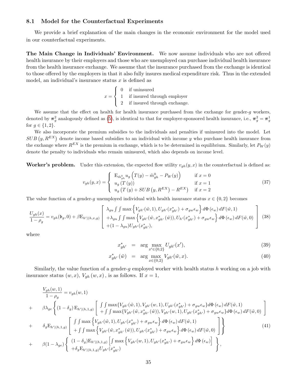## 8.1 Model for the Counterfactual Experiments

We provide a brief explanation of the main changes in the economic environment for the model used in our counterfactual experiments.

The Main Change in Individuals' Environment. We now assume individuals who are not offered health insurance by their employers and those who are unemployed can purchase individual health insurance from the health insurance exchange. We assume that the insurance purchased from the exchange is identical to those offered by the employers in that it also fully insures medical expenditure risk. Thus in the extended model, an individual's insurance status  $x$  is defined as

$$
x = \begin{cases} 0 & \text{if uninsured} \\ 1 & \text{if insured through employer} \\ 2 & \text{if insured through exchange.} \end{cases}
$$

We assume that the effect on health for health insurance purchased from the exchange for gender- $g$  workers, denoted by  $\pi_g^2$  analogously defined as [\(5\)](#page-10-0), is identical to that for employer-sponsored health insurance, i.e.,  $\pi_g^2 = \pi_g^1$ for  $g \in \{1, 2\}$ .

We also incorporate the premium subsidies to the individuals and penalties if uninsured into the model. Let  $SUB(y, R^{EX})$  denote income based subsidies to an individual with income y who purchase health insurance from the exchange where  $R^{EX}$  is the premium in exchange, which is to be determined in equilibrium. Similarly, let  $P_W(y)$ denote the penalty to individuals who remain uninsured, which also depends on income level.

Worker's problem. Under this extension, the expected flow utility  $v_{gh}(y, x)$  in the counterfactual is defined as:

$$
v_{gh}(y,x) = \begin{cases} \nE_{\tilde{m}_{gh}^{0}} u_g \left( T(y) - \tilde{m}_{gh}^{0} - P_W(y) \right) & \text{if } x = 0 \\
u_g \left( T(y) \right) & \text{if } x = 1 \\
u_g \left( T(y) + SUB\left( y, R^{EX} \right) - R^{EX} \right) & \text{if } x = 2\n\end{cases}
$$
\n(37)

The value function of a gender-g unemployed individual with health insurance status  $x \in \{0, 2\}$  becomes

<span id="page-36-2"></span>
$$
\frac{U_{gh}(x)}{1-\rho_g} = v_{gh}(\mathfrak{b}_g, 0) + \beta \mathcal{E}_{h'|(h,x,g)} \left[ \begin{array}{c} \lambda_{gu} \int \int \max \left\{ V_{gh'}(\tilde{w}, 1), U_{gh'}(x^*_{gh'}) + \sigma_{gw}\epsilon_w \right\} d\Phi(\epsilon_w) dF(\tilde{w}, 1) \\ + \lambda_{gu} \int \int \max \left\{ V_{gh'}(\tilde{w}, x^*_{gh'}(\tilde{w})), U_{h'}(x^*_{gh'}) + \sigma_{gw}\epsilon_w \right\} d\Phi(\epsilon_w) dF(\tilde{w}, 0) \\ + (1 - \lambda_{gu}) U_{gh'}(x^*_{gh'}), \end{array} \right] \tag{38}
$$

where

<span id="page-36-1"></span>
$$
x_{gh'}^* = \arg \max_{x' \in \{0,2\}} U_{gh'}(x'), \tag{39}
$$

$$
x_{gh'}^*(\tilde{w}) = \arg \max_{x \in \{0,2\}} V_{gh'}(\tilde{w}, x).
$$
 (40)

Similarly, the value function of a gender-g employed worker with health status h working on a job with insurance status  $(w, x)$ ,  $V_{gh}(w, x)$ , is as follows. If  $x = 1$ ,

<span id="page-36-0"></span>
$$
\frac{V_{gh}(w,1)}{1-\rho_g} = v_{gh}(w,1)
$$
\n
$$
+ \beta \lambda_{ge} \left\{ (1-\delta_g) E_{h'|(h,1,g)} \left[ \int \int \max \{ V_{gh'}(\tilde{w},1), V_{gh'}(w,1), U_{gh'}(x_{gh'}^*) + \sigma_{gw}\epsilon_w \} d\Phi(\epsilon_w) dF(\tilde{w},1) \right] + \int \int \max \{ V_{gh'}(\tilde{w},x_{gh'}^*) + \sigma_{gh'}(\tilde{w},1), U_{gh'}(x_{gh'}^*) + \sigma_{gw}\epsilon_w \} d\Phi(\epsilon_w) dF(\tilde{w},0) \right\}
$$
\n
$$
+ \delta_g E_{h'|(h,1,g)} \left[ \int \int \max \left\{ V_{gh'}(\tilde{w},1), U_{gh'}(x_{gh'}^*) + \sigma_{gw}\epsilon_w \right\} d\Phi(\epsilon_w) dF(\tilde{w},1) \right\}
$$
\n
$$
+ \beta (1-\lambda_{ge}) \left\{ (1-\delta_g) E_{h'|(h,1,g)} \left[ \int \max \left\{ V_{gh'}(\tilde{w},x_{gh'}^*) + \tilde{w}_{gh'}(x_{gh'}^*) + \sigma_{gw}\epsilon_w \right\} d\Phi(\epsilon_w) dF(\tilde{w},0) \right] \right\}
$$
\n
$$
+ \delta_g E_{h'|(h,1,g)} U_{gh'}(x_{gh'}^*)
$$
\n
$$
(41)
$$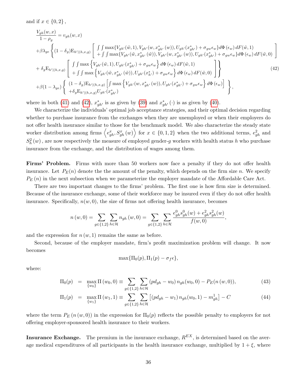and if  $x \in \{0, 2\}$ ,

<span id="page-37-0"></span>
$$
\frac{V_{gh}(w,x)}{1 - \rho_g} = v_{gh}(w,x)
$$
\n
$$
+ \beta \lambda_{ge} \left\{ (1 - \delta_g) \mathcal{E}_{h'|(h,x,g)} \left[ \int \int \max \{ V_{gh'}(\tilde{w},1), V_{gh'}(w,x_{gh'}^* (w)), U_{gh'}(x_{gh'}^*) + \sigma_{gw} \epsilon_w \} d\Phi(\epsilon_w) dF(\tilde{w},1) \right. \\ \left. + \delta_g \mathcal{E}_{h'|(h,x,g)} \left[ \int \int \max \{ V_{gh'}(\tilde{w},x_{gh'}^* (\tilde{w})), V_{gh'}(w,x_{gh'}^* (w)), U_{gh'}(x_{gh'}^*) + \sigma_{gw} \epsilon_w \} d\Phi(\epsilon_w) dF(\tilde{w},0) \right. \right] \\ + \delta_g \mathcal{E}_{h'|(h,x,g)} \left[ \int \int \max \left\{ V_{gh'}(\tilde{w},1), U_{gh'}(x_{gh'}^*) + \sigma_{gw} \epsilon_w \right\} d\Phi(\epsilon_w) dF(\tilde{w},1) \right. \\ \left. + \beta (1 - \lambda_{ge}) \left\{ (1 - \delta_g) \mathcal{E}_{h'|(h,x,g)} \left[ \int \max \left\{ V_{gh'}(w,x_{gh'}^* (\tilde{w})), U_{gh'}(x_{gh'}^*) + \sigma_{gw} \epsilon_w \right\} d\Phi(\epsilon_w) dF(\tilde{w},0) \right] \right\}, \tag{42}
$$

where in both [\(41\)](#page-36-0) and [\(42\)](#page-37-0),  $x_{gh}^*$  is as given by [\(39\)](#page-36-1) and  $x_{gh}^*$  ( $\cdot$ ) is as given by [\(40\)](#page-36-1).

We characterize the individuals' optimal job acceptance strategies, and their optimal decision regarding whether to purchase insurance from the exchanges when they are unemployed or when their employers do not offer health insurance similar to those for the benchmark model. We also characterize the steady state worker distribution among firms  $\langle e_{gh}^x, S_{gh}^x(w) \rangle$  for  $x \in \{0,1,2\}$  when the two additional terms,  $e_{gh}^2$  and  $S_h^2(w)$ , are now respectively the measure of employed gender-g workers with health status h who purchase insurance from the exchange, and the distribution of wages among them.

Firms' Problem. Firms with more than 50 workers now face a penalty if they do not offer health insurance. Let  $P_E(n)$  denote the the amount of the penalty, which depends on the firm size n. We specify  $P_E(n)$  in the next subsection when we parameterize the employer mandate of the Affordable Care Act.

There are two important changes to the firms' problem. The first one is how firm size is determined. Because of the insurance exchange, some of their workforce may be insured even if they do not offer health insurance. Specifically,  $n(w, 0)$ , the size of firms not offering health insurance, becomes

$$
n(w,0) = \sum_{g \in \{1,2\}} \sum_{h \in \mathcal{H}} n_{gh}(w,0) = \sum_{g \in \{1,2\}} \sum_{h \in \mathcal{H}} \frac{e_{gh}^0 s_{gh}^0(w) + e_{gh}^2 s_{gh}^2(w)}{f(w,0)},
$$

and the expression for  $n(w, 1)$  remains the same as before.

Second, because of the employer mandate, firm's profit maximization problem will change. It now becomes

$$
\max\{\Pi_0(p),\Pi_1(p)-\sigma_f\epsilon\},\
$$

where:

<span id="page-37-1"></span>
$$
\Pi_0(p) = \max_{\{w_0\}} \Pi(w_0, 0) \equiv \sum_{g \in \{1, 2\}} \sum_{h \in \mathcal{H}} (pd_{gh} - w_0) n_{gh}(w_0, 0) - P_E(n(w, 0)), \tag{43}
$$

$$
\Pi_1(p) = \max_{\{w_1\}} \Pi(w_1, 1) \equiv \sum_{g \in \{1, 2\}} \sum_{h \in \mathcal{H}} \left[ (pd_{gh} - w_1) n_{gh}(w_0, 1) - m_{gh}^1 \right] - C \tag{44}
$$

where the term  $P_E(n(w, 0))$  in the expression for  $\Pi_0(p)$  reflects the possible penalty to employers for not offering employer-sponsored health insurance to their workers.

**Insurance Exchange.** The premium in the insurance exchange,  $R^{EX}$ , is determined based on the average medical expenditures of all participants in the health insurance exchange, multiplied by  $1 + \xi$ , where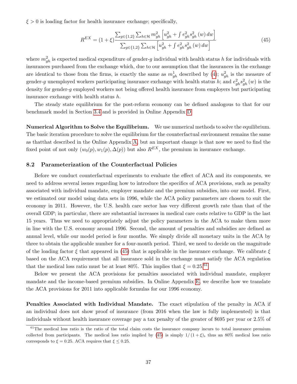$\xi > 0$  is loading factor for health insurance exchange; specifically,

<span id="page-38-0"></span>
$$
R^{EX} = (1+\xi) \frac{\sum_{g \in \{1,2\}} \sum_{h \in \mathcal{H}} m_{gh}^2 \left[ u_{gh}^2 + \int e_{gh}^2 s_{gh}^2 \left( w \right) dw \right]}{\sum_{g \in \{1,2\}} \sum_{h \in \mathcal{H}} \left[ u_{gh}^2 + \int e_{gh}^2 s_{gh}^2 \left( w \right) dw \right]}
$$
(45)

where  $m_{gh}^2$  is expected medical expenditure of gender-g individual with health status h for individuals with insurances purchased from the exchange which, due to our assumption that the insurances in the exchange are identical to those from the firms, is exactly the same as  $m_{gh}^1$  described by [\(4\)](#page-10-1);  $u_{gh}^2$  is the measure of gender-g unemployed workers participating insurance exchange with health status h; and  $e_{gh}^2 s_{gh}^2(w)$  is the density for gender-g employed workers not being offered health insurance from employers but participating insurance exchange with health status h.

The steady state equilibrium for the post-reform economy can be defined analogous to that for our benchmark model in Section [3.4](#page-19-0) and is provided in Online Appendix [D.](#page-69-0)

Numerical Algorithm to Solve the Equilibrium. We use numerical methods to solve the equilibrium. The basic iteration procedure to solve the equilibrium for the counterfactual environment remains the same as thatthat described in the Online Appendix [A,](#page-66-0) but an important change is that now we need to find the fixed point of not only  $(w_0(p), w_1(p), \Delta(p))$  but also  $R^{EX}$ , the premium in insurance exchange.

#### 8.2 Parameterization of the Counterfactual Policies

Before we conduct counterfactual experiments to evaluate the effect of ACA and its components, we need to address several issues regarding how to introduce the specifics of ACA provisions, such as penalty associated with individual mandate, employer mandate and the premium subsidies, into our model. First, we estimated our model using data sets in 1996, while the ACA policy parameters are chosen to suit the economy in 2011. However, the U.S. health care sector has very different growth rate than that of the overall GDP; in particular, there are substantial increases in medical care costs relative to GDP in the last 15 years. Thus we need to appropriately adjust the policy parameters in the ACA to make them more in line with the U.S. economy around 1996. Second, the amount of penalties and subsidies are defined as annual level, while our model period is four months. We simply divide all monetary units in the ACA by three to obtain the applicable number for a four-month period. Third, we need to decide on the magnitude of the loading factor  $\xi$  that appeared in [\(45\)](#page-38-0) that is applicable in the insurance exchange. We calibrate  $\xi$ based on the ACA requirement that all insurance sold in the exchange must satisfy the ACA regulation that the medical loss ratio must be at least 80%. This implies that  $\xi = 0.25$ .<sup>[61](#page-38-1)</sup>

Below we present the ACA provisions for penalties associated with individual mandate, employer mandate and the income-based premium subsidies. In Online Appendix [E,](#page-70-0) we describe how we translate the ACA provisions for 2011 into applicable formulas for our 1996 economy.

Penalties Associated with Individual Mandate. The exact stipulation of the penalty in ACA if an individual does not show proof of insurance (from 2016 when the law is fully implemented) is that individuals without health insurance coverage pay a tax penalty of the greater of \$695 per year or 2.5% of

<span id="page-38-1"></span> $61$ The medical loss ratio is the ratio of the total claim costs the insurance company incurs to total insurance premium collected from participants. The medical loss ratio implied by [\(45\)](#page-38-0) is simply  $1/(1+\xi)$ , thus an 80% medical loss ratio corresponds to  $\xi = 0.25$ . ACA requires that  $\xi \leq 0.25$ .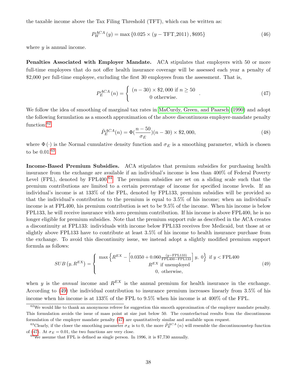the taxable income above the Tax Filing Threshold (TFT), which can be written as:

<span id="page-39-5"></span>
$$
P_W^{ACA}(y) = \max\{0.025 \times (y - TFT\_2011), \$695\}
$$
\n(46)

where  $y$  is annual income.

Penalties Associated with Employer Mandate. ACA stipulates that employers with 50 or more full-time employees that do not offer health insurance coverage will be assessed each year a penalty of \$2,000 per full-time employee, excluding the first 30 employees from the assessment. That is,

<span id="page-39-4"></span>
$$
P_E^{ACA}(n) = \begin{cases} (n - 30) \times \$2,000 \text{ if } n \ge 50 \\ 0 \text{ otherwise.} \end{cases}
$$
 (47)

We follow the idea of smoothing of marginal tax rates in [MaCurdy, Green, and Paarsch \(1990\)](#page-50-0) and adopt the following formulation as a smooth approximation of the above discontinuous employer-mandate penalty function:[62](#page-39-0)

<span id="page-39-6"></span>
$$
\tilde{P}_E^{ACA}(n) = \Phi(\frac{n-50}{\sigma_E})(n-30) \times \$2,000,\tag{48}
$$

where  $\Phi(\cdot)$  is the Normal cumulative density function and  $\sigma_E$  is a smoothing parameter, which is chosen to be 0.01.[63](#page-39-1)

Income-Based Premium Subsidies. ACA stipulates that premium subsidies for purchasing health insurance from the exchange are available if an individual's income is less than 400% of Federal Poverty Level (FPL), denoted by  $FPL400.<sup>64</sup>$  $FPL400.<sup>64</sup>$  $FPL400.<sup>64</sup>$  The premium subsidies are set on a sliding scale such that the premium contributions are limited to a certain percentage of income for specified income levels. If an individual's income is at 133% of the FPL, denoted by FPL133, premium subsidies will be provided so that the individual's contribution to the premium is equal to 3.5% of his income; when an individual's income is at FPL400, his premium contribution is set to be 9.5% of the income. When his income is below FPL133, he will receive insurance with zero premium contribution. If his income is above FPL400, he is no longer eligible for premium subsidies. Note that the premium support rule as described in the ACA creates a discontinuity at FPL133: individuals with income below FPL133 receives free Medicaid, but those at or slightly above FPL133 have to contribute at least 3.5% of his income to health insurance purchase from the exchange. To avoid this discontinuity issue, we instead adopt a slightly modified premium support formula as follows:

<span id="page-39-3"></span>
$$
SUB(y, R^{EX}) = \begin{cases} \max \left\{ R^{EX} - \left[ 0.0350 + 0.060 \frac{(y - FPL133)}{\text{FPL400} - \text{FPL133}} \right] y, 0 \right\} & \text{if } y < \text{FPL400} \\ R^{EX} & \text{if unemployed} \\ 0, & \text{otherwise,} \end{cases} \tag{49}
$$

when y is the *annual* income and  $R^{EX}$  is the annual premium for health insurance in the exchange. According to [\(49\)](#page-39-3) the individual contribution to insurance premium increases linearly from 3.5% of his income when his income is at 133% of the FPL to 9.5% when his income is at 400% of the FPL.

<span id="page-39-0"></span> $62$ We would like to thank an anonymous referee for suggestion this smooth approximation of the employer mandate penalty. This formulation avoids the issue of mass point at size just below 50. The counterfactual results from the discontinuous formulation of the employer mandate penalty [\(47\)](#page-39-4) are quantitatively similar and available upon request.

<span id="page-39-1"></span><sup>&</sup>lt;sup>63</sup>Clearly, if the closer the smoothing parameter  $\sigma_E$  is to 0, the more  $\tilde{P}_E^{ACA}(n)$  will resemble the discontinuousstep function of [\(47\)](#page-39-4). At  $\sigma_E = 0.01$ , the two functions are very close.

<span id="page-39-2"></span> $64$ We assume that FPL is defined as single person. In 1996, it is \$7,730 annually.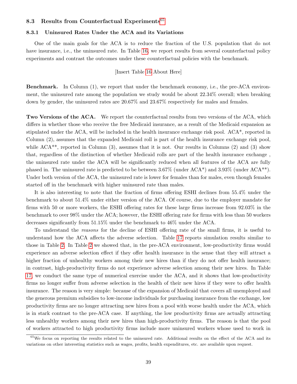## 8.3 Results from Counterfactual Experiments<sup>[65](#page-40-0)</sup>

### 8.3.1 Uninsured Rates Under the ACA and its Variations

One of the main goals for the ACA is to reduce the fraction of the U.S. population that do not have insurance, i.e., the uninsured rate. In Table [16,](#page-61-0) we report results from several counterfactual policy experiments and contrast the outcomes under these counterfactual policies with the benchmark.

### [Insert Table [16](#page-61-0) About Here]

Benchmark. In Column (1), we report that under the benchmark economy, i.e., the pre-ACA environment, the uninsured rate among the population we study would be about 22.34% overall; when breaking down by gender, the uninsured rates are 20.67% and 23.67% respectively for males and females.

Two Versions of the ACA. We report the counterfactual results from two versions of the ACA, which differs in whether those who receive the free Medicaid insurance, as a result of the Medicaid expansion as stipulated under the ACA, will be included in the health insurance exchange risk pool. ACA\*, reported in Column (2), assumes that the expanded Medicaid roll is part of the health insurance exchange risk pool, while ACA<sup>\*\*</sup>, reported in Column (3), assumes that it is not. Our results in Columns (2) and (3) show that, regardless of the distinction of whether Medicaid rolls are part of the health insurance exchange , the uninsured rate under the ACA will be significantly reduced when all features of the ACA are fully phased in. The uninsured rate is predicted to be between  $3.67\%$  (under ACA\*) and  $3.93\%$  (under ACA\*\*). Under both version of the ACA, the uninsured rate is lower for females than for males, even though females started off in the benchmark with higher uninsured rate than males.

It is also interesting to note that the fraction of firms offering ESHI declines from 55.4% under the benchmark to about 51.4% under either version of the ACA. Of course, due to the employer mandate for firms with 50 or more workers, the ESHI offering rates for these large firms increase from 92.03% in the benchmark to over 98% under the ACA; however, the ESHI offering rate for firms with less than 50 workers decreases significantly from 51.15% under the benchmark to 46% under the ACA.

To understand the reasons for the decline of ESHI offering rate of the small firms, it is useful to understand how the ACA affects the adverse selection. Table [17](#page-61-1) reports simulation results similar to those in Table [2.](#page-53-0) In Table [2](#page-53-0) we showed that, in the pre-ACA environment, low-productivity firms would experience an adverse selection effect if they offer health insurance in the sense that they will attract a higher fraction of unhealthy workers among their new hires than if they do not offer health insurance; in contrast, high-productivity firms do not experience adverse selection among their new hires. In Table [17,](#page-61-1) we conduct the same type of numerical exercise under the ACA, and it shows that low-productivity firms no longer suffer from adverse selection in the health of their new hires if they were to offer health insurance. The reason is very simple: because of the expansion of Medicaid that covers all unemployed and the generous premium subsidies to low-income individuals for purchasing insurance from the exchange, low productivity firms are no longer attracting new hires from a pool with worse health under the ACA, which is in stark contrast to the pre-ACA case. If anything, the low productivity firms are actually attracting less unhealthy workers among their new hires than high-productivity firms. The reason is that the pool of workers attracted to high productivity firms include more uninsured workers whose used to work in

<span id="page-40-0"></span><sup>&</sup>lt;sup>65</sup>We focus on reporting the results related to the uninsured rate. Additional results on the effect of the ACA and its variations on other interesting statistics such as wages, profits, health expenditures, etc. are available upon request.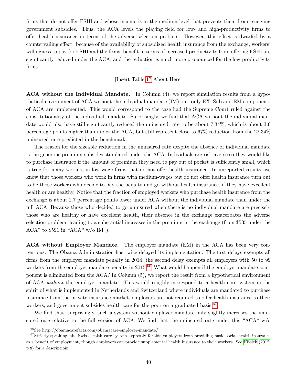firms that do not offer ESHI and whose income is in the medium level that prevents them from receiving government subsidies. Thus, the ACA levels the playing field for low- and high-productivity firms to offer health insurance in terms of the adverse selection problem. However, this effect is dwarfed by a countervailing effect: because of the availability of subsidized health insurance from the exchange, workers' willingness to pay for ESHI and the firms' benefit in terms of increased productivity from offering ESHI are significantly reduced under the ACA, and the reduction is much more pronounced for the low-productivity firms.

## [Insert Table [17](#page-61-1) About Here]

ACA without the Individual Mandate. In Column (4), we report simulation results from a hypothetical environment of ACA without the individual mandate (IM), i.e. only EX, Sub and EM components of ACA are implemented. This would correspond to the case had the Supreme Court ruled against the constitutionality of the individual mandate. Surprisingly, we find that ACA without the individual mandate would also have still significantly reduced the uninsured rate to be about 7.34%, which is about 3.6 percentage points higher than under the ACA, but still represent close to 67% reduction from the 22.34% uninsured rate predicted in the benchmark.

The reason for the sizeable reduction in the uninsured rate despite the absence of individual mandate is the generous premium subsides stipulated under the ACA. Individuals are risk averse so they would like to purchase insurance if the amount of premium they need to pay out of pocket is sufficiently small, which is true for many workers in low-wage firms that do not offer health insurance. In unreported results, we know that those workers who work in firms with medium-wages but do not offer health insurance turn out to be those workers who decide to pay the penalty and go without health insurance, if they have excellent health or are healthy. Notice that the fraction of employed workers who purchase health insurance from the exchange is about 2.7 percentage points lower under ACA without the individual mandate than under the full ACA. Because those who decided to go uninsured when there is no individual mandate are precisely those who are healthy or have excellent health, their absence in the exchange exacerbates the adverse selection problem, leading to a substantial increases in the premium in the exchange (from \$535 under the  $ACA^*$  to \$591 in " $ACA^*$  w/o IM").

ACA without Employer Mandate. The employer mandate (EM) in the ACA has been very contentious. The Obama Administration has twice delayed its implementation. The first delays exempts all firms from the employer mandate penalty in 2014; the second delay exempts all employers with 50 to 99 workers from the employer mandate penalty in 2015.<sup>[66](#page-41-0)</sup> What would happen if the employer mandate component is eliminated from the ACA? In Column (5), we report the result from a hypothetical environment of ACA without the employer mandate. This would roughly correspond to a health care system in the spirit of what is implemented in Netherlands and Switzerland where individuals are mandated to purchase insurance from the private insurance market, employers are not required to offer health insurance to their workers, and government subsides health care for the poor on a graduated basis.<sup>[67](#page-41-1)</sup>

We find that, surprisingly, such a system without employer mandate only slightly increases the uninsured rate relative to the full version of ACA. We find that the uninsured rate under this "ACA\*  $w/o$ 

<span id="page-41-1"></span><span id="page-41-0"></span><sup>66</sup>See http://obamacarefacts.com/obamacare-employer-mandate/

 $^{67}\rm{Strictly speaking,$  the Swiss health care system expressly forbids employers from providing basic social health insurance as a benefit of employment, though employers can provide supplemental health insurance to their workers. See [Fijolek](#page-49-0) [\(2012,](#page-49-0) p.8) for a descriptioin.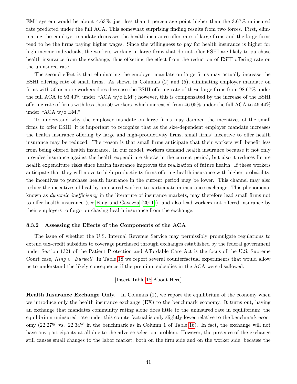EM" system would be about 4.63%, just less than 1 percentage point higher than the 3.67% uninsured rate predicted under the full ACA. This somewhat surprising finding results from two forces. First, eliminating the employer mandate decreases the health insurance offer rate of large firms and the large firms tend to be the firms paying higher wages. Since the willingness to pay for health insurance is higher for high income individuals, the workers working in large firms that do not offer ESHI are likely to purchase health insurance from the exchange, thus offseting the effect from the reduction of ESHI offering rate on the uninsured rate.

The second effect is that eliminating the employer mandate on large firms may actually increase the ESHI offering rate of small firms. As shown in Columns (2) and (5), eliminating employer mandate on firms with 50 or more workers does decrease the ESHI offering rate of these large firms from 98.67% under the full ACA to 93.40% under "ACA w/o EM"; however, this is compensated by the increase of the ESHI offering rate of firms with less than 50 workers, which increased from 46.05% under the full ACA to 46.44% under "ACA w/o EM."

To understand why the employer mandate on large firms may dampen the incentives of the small firms to offer ESHI, it is important to recognize that as the size-dependent employer mandate increases the health insurance offering by large and high-productivity firms, small firms' incentive to offer health insurance may be reduced. The reason is that small firms anticipate that their workers will benefit less from being offered health insurance. In our model, workers demand health insurance because it not only provides insurance against the health expenditure shocks in the current period, but also it reduces future health expenditure risks since health insurance improves the realization of future health. If these workers anticipate that they will move to high-productivity firms offering health insurance with higher probability, the incentives to purchase health insurance in the current period may be lower. This channel may also reduce the incentives of healthy uninsured workers to participate in insurance exchange. This phenomena, known as dynamic inefficiency in the literature of insurance markets, may therefore lead small firms not to offer health insurance (see [Fang and Gavazza \(2011\)](#page-49-1)), and also lead workers not offered insurance by their employers to forgo purchasing health insurance from the exchange.

#### 8.3.2 Assessing the Effects of the Components of the ACA

The issue of whether the U.S. Internal Revenue Service may permissibly promulgate regulations to extend tax-credit subsidies to coverage purchased through exchanges established by the federal government under Section 1321 of the Patient Protection and Affordable Care Act is the focus of the U.S. Supreme Court case, King v. Burwell. In Table [18](#page-61-2) we report several counterfactual experiments that would allow us to understand the likely consequence if the premium subsidies in the ACA were disallowed.

### [Insert Table [18](#page-61-2) About Here]

Health Insurance Exchange Only. In Columns (1), we report the equilibrium of the economy when we introduce only the health insurance exchange (EX) to the benchmark economy. It turns out, having an exchange that mandates community rating alone does little to the uninsured rate in equilibrium: the equilibrium uninsured rate under this counterfactual is only slightly lower relative to the benchmark economy (22.27% vs. 22.34% in the benchmark as in Column 1 of Table [16\)](#page-61-0). In fact, the exchange will not have any participants at all due to the adverse selection problem. However, the presence of the exchange still causes small changes to the labor market, both on the firm side and on the worker side, because the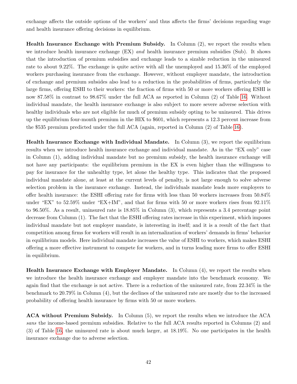exchange affects the outside options of the workers' and thus affects the firms' decisions regarding wage and health insurance offering decisions in equilibrium.

Health Insurance Exchange with Premium Subsidy. In Column (2), we report the results when we introduce health insurance exchange (EX) and health insurance premium subsidies (Sub). It shows that the introduction of premium subsidies and exchange leads to a sizable reduction in the uninsured rate to about 9.22%. The exchange is quite active with all the unemployed and 15.36% of the employed workers purchasing insurance from the exchange. However, without employer mandate, the introduction of exchange and premium subsides also lead to a reduction in the probabilities of firms, particularly the large firms, offering ESHI to their workers: the fraction of firms with 50 or more workers offering ESHI is now 87.58% in contrast to 98.67% under the full ACA as reported in Column (2) of Table [16.](#page-61-0) Without individual mandate, the health insurance exchange is also subject to more severe adverse selection with healthy individuals who are not eligible for much of premium subsidy opting to be uninsured. This drives up the equilibrium four-month premium in the HIX to \$601, which represents a 12.3 percent increase from the \$535 premium predicted under the full ACA (again, reported in Column (2) of Table [16\)](#page-61-0).

Health Insurance Exchange with Individual Mandate. In Column (3), we report the equilibrium results when we introduce health insurance exchange and individual mandate. As in the "EX only" case in Column (1), adding individual mandate but no premium subsidy, the health insurance exchange will not have any participants: the equilibrium premium in the EX is even higher than the willingness to pay for insurance for the unhealthy type, let alone the healthy type. This indicates that the proposed individual mandate alone, at least at the current levels of penalty, is not large enough to solve adverse selection problem in the insurance exchange. Instead, the individuals mandate leads more employers to offer health insurance: the ESHI offering rate for firms with less than 50 workers increases from 50.84% under "EX" to 52.59% under "EX+IM", and that for firms with 50 or more workers rises from 92.11% to 96.50%. As a result, uninsured rate is 18.85% in Column (3), which represents a 3.4 percentage point decrease from Column (1). The fact that the ESHI offering rates increase in this experiment, which imposes individual mandate but not employer mandate, is interesting in itself; and it is a result of the fact that competition among firms for workers will result in an internalization of workers' demands in firms' behavior in equilibrium models. Here individual mandate increases the value of ESHI to workers, which makes ESHI offering a more effective instrument to compete for workers, and in turns leading more firms to offer ESHI in equilibrium.

Health Insurance Exchange with Employer Mandate. In Column (4), we report the results when we introduce the health insurance exchange and employer mandate into the benchmark economy. We again find that the exchange is not active. There is a reduction of the uninsured rate, from 22.34% in the benchmark to 20.79% in Column (4), but the declines of the uninsured rate are mostly due to the increased probability of offering health insurance by firms with 50 or more workers.

ACA without Premium Subsidy. In Column (5), we report the results when we introduce the ACA sans the income-based premium subsidies. Relative to the full ACA results reported in Columns (2) and (3) of Table [16,](#page-61-0) the uninsured rate is about much larger, at 18.19%. No one participates in the health insurance exchange due to adverse selection.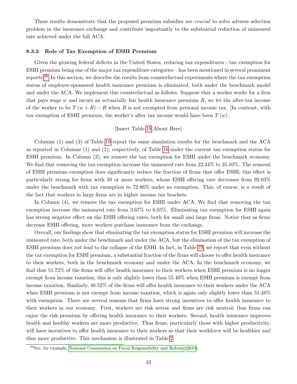These results demonstrate that the proposed premium subsidies are crucial to solve adverse selection problem in the insurance exchange and contribute importantly to the substantial reduction of uninsured rate achieved under the full ACA.

#### 8.3.3 Role of Tax Exemption of ESHI Premium

Given the growing federal deficits in the United States, reducing tax expenditures - tax exemption for ESHI premium being one of the major tax expenditure categories – has been mentioned in several prominent reports.[68](#page-44-0) In this section, we describe the results from counterfactual experiments where the tax exemption status of employer-sponsored health insurance premium is eliminated, both under the benchmark model and under the ACA. We implement this counterfactual as follows. Suppose that a worker works for a firm that pays wage  $w$  and incurs an actuarially fair health insurance premium  $R$ , we let the after-tax income of the worker to be  $T(w + R) - R$  when R is not exempted from personal income tax. [In contrast, with tax exemption of ESHI premium, the worker's after tax income would have been  $T(w)$ .

### [Insert Table [19](#page-62-0) About Here]

Columns (1) and (3) of Table [19](#page-62-0) report the same simulation results for the benchmark and the ACA as reported in Columns (1) and (2), respectively, of Table [16](#page-61-0) under the current tax exemption status for ESHI premium. In Column (2), we remove the tax exemption for ESHI under the benchmark economy. We find that removing the tax exemption increase the uninsured rate from  $22.34\%$  to  $35.10\%$ . The removal of ESHI premium exemption does significantly reduce the fraction of firms that offer ESHI; this effect is particularly strong for firms with 50 or more workers, whose ESHI offering rate decreases from 92.03% under the benchmark with tax exemption to 72.86% under no exemption. This, of course, is a result of the fact that workers in large firms are in higher income tax brackets.

In Column  $(4)$ , we remove the tax exemption for ESHI under ACA. We find that removing the tax exemption increase the uninsured rate from 3.67% to 6.05%. Eliminating tax exemption for ESHI again has strong negative effect on the ESHI offering rates, both for small and large firms. Notice that as firms decrease ESHI offering, more workers purchase insurance from the exchange.

Overall, our findings show that eliminating the tax exemption status for ESHI premium will increase the uninsured rate, both under the benchmark and under the ACA, but the elimination of the tax exemption of ESHI premium does not lead to the collapse of the ESHI. In fact, in Table [19,](#page-62-0) we report that even without the tax exemption for ESHI premium, a substantial fraction of the firms will choose to offer health insurance to their workers, both in the benchmark economy and under the ACA. In the benchmark economy, we find that 51.72% of the firms will offer health insurance to their workers when ESHI premium is no longer exempt from income taxation; this is only slightly lower than 55.40% when ESHI premium is exempt from income taxation. Similarly, 48.52% of the firms will offer health insurance to their workers under the ACA when ESHI premium is not exempt from income taxation, which is again only slightly lower than 51.48% with exemption. There are several reasons that firms have strong incentives to offer health insurance to their workers in our economy. First, workers are risk averse and firms are risk neutral; thus firms can enjoy the risk premium by offering health insurance to their workers. Second, health insurance improves health and healthy workers are more productive. Thus firms, particularly those with higher productivity, will have incentives to offer health insurance to their workers so that their workforce will be healthier and thus more productive. This mechanism is illustrated in Table [2.](#page-53-0)

<span id="page-44-0"></span><sup>68</sup>See, for example, [National Commission on Fiscal Responsibility and Reform](#page-50-1) [\(2010\)](#page-50-1).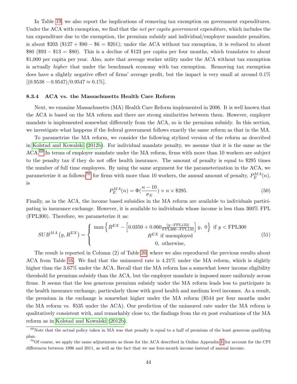In Table [19,](#page-62-0) we also report the implications of removing tax exemption on government expenditures. Under the ACA with exemption, we find that the net per capita government expenditure, which includes the tax expenditure due to the exemption, the premium subsidy and individual/employer mandate penalties, is about  $$203$  (\$127 + \$80 - \$6 = \$201); under the ACA without tax exemption, it is reduced to about \$80 (\$93 − \$13 = \$80). This is a decline of \$123 per capita per four months, which translates to about \$1,000 per capita per year. Also, note that average worker utility under the ACA without tax exemption is actually higher that under the benchmark economy with tax exemption. Removing tax exemption does have a slightly negative effect of firms' average profit, but the impact is very small at around 0.1%  $[(0.9538 - 0.9547)/0.9547 \approx 0.1\%].$ 

#### 8.3.4 ACA vs. the Massachusetts Health Care Reform

Next, we examine Massachusetts (MA) Health Care Reform implemented in 2006. It is well known that the ACA is based on the MA reform and there are strong similarities between them. However, employer mandate is implemented somewhat differently from the ACA, so is the premium subsidy. In this section, we investigate what happens if the federal government follows exactly the same reform as that in the MA.

To parametrize the MA reform, we consider the following stylized version of the reform as described in [Kolstad and Kowalski \(2012b\)](#page-50-2). For individual mandate penalty, we assume that it is the same as the ACA.[69](#page-45-0) In terms of employer mandate under the MA reform, firms with more than 10 workers are subject to the penalty tax if they do not offer health insurance. The amount of penalty is equal to \$295 times the number of full time employees. By using the same argument for the parameterization in the ACA, we parameterize it as follows:<sup>[70](#page-45-1)</sup> for firms with more than 10 workers, the annual amount of penalty,  $P_E^{MA}(n)$ , is

$$
P_E^{MA}(n) = \Phi\left(\frac{n-10}{\sigma_E}\right) \times n \times \$295. \tag{50}
$$

Finally, as in the ACA, the income based subsidies in the MA reform are available to individuals participating in insurance exchange. However, it is available to individuals whose income is less than 300% FPL (FPL300). Therefore, we parameterize it as:

$$
SUB^{MA} (y, R^{EX}) = \begin{cases} \max \left\{ R^{EX} - \left[ 0.0350 + 0.060 \frac{(y - \text{FPL133})}{\text{FPL300} - \text{FPL133}} \right] y, 0 \right\} & \text{if } y < \text{FPL300} \\ R^{EX} & \text{if unemployed} \\ 0, \text{ otherwise,} \end{cases} \tag{51}
$$

The result is reported in Column (2) of Table [20,](#page-63-0) where we also reproduced the previous results about ACA from Table [16.](#page-61-0) We find that the uninsured rate is 4.21% under the MA reform, which is slightly higher than the 3.67% under the ACA. Recall that the MA reform has a somewhat lower income eligibility threshold for premium subsidy than the ACA, but the employer mandate is imposed more uniformly across firms. It seems that the less generous premium subsidy under the MA reform leads less to participate in the health insurance exchange, particularly those with good health and medium level incomes. As a result, the premium in the exchange is somewhat higher under the MA reform (\$544 per four months under the MA reform vs. \$535 under the ACA). Our prediction of the uninsured rate under the MA reform is qualitatively consistent with, and remarkably close to, the findings from the ex post evaluations of the MA reform as in [Kolstad and Kowalski \(2012b\)](#page-50-2).

<span id="page-45-0"></span> $69$ Note that the actual policy taken in MA was that penalty is equal to a half of premium of the least generous qualifying plan.

<span id="page-45-1"></span><sup>70</sup>Of course, we apply the same adjustments as those for the ACA described in Online Appendix [E](#page-70-0) for account for the CPI differences between 1996 and 2011, as well as the fact that we use four-month income instead of annual income.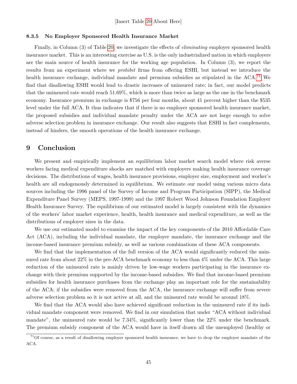#### 8.3.5 No Employer Sponsored Health Insurance Market

Finally, in Column (3) of Table [20,](#page-63-0) we investigate the effects of *eliminating* employer sponsored health insurance market. This is an interesting exercise as U.S. is the only industrialized nation in which employers are the main source of health insurance for the working age population. In Column (3), we report the results from an experiment where we prohibit firms from offering ESHI, but instead we introduce the health insurance exchange, individual mandate and premium subsidies as stipulated in the ACA.<sup>[71](#page-46-0)</sup> We find that disallowing ESHI would lead to drastic increases of uninsured rate; in fact, our model predicts that the uninsured rate would reach 51.69%, which is more than twice as large as the one in the benchmark economy. Insurance premium in exchange is \$756 per four months, about 41 percent higher than the \$535 level under the full ACA. It thus indicates that if there is no employer sponsored health insurance market, the proposed subsidies and individual mandate penalty under the ACA are not large enough to solve adverse selection problem in insurance exchange. Our result also suggests that ESHI in fact complements, instead of hinders, the smooth operations of the health insurance exchange.

## 9 Conclusion

We present and empirically implement an equilibrium labor market search model where risk averse workers facing medical expenditure shocks are matched with employers making health insurance coverage decisions. The distributions of wages, health insurance provisions, employer size, employment and worker's health are all endogenously determined in equilibrium. We estimate our model using various micro data sources including the 1996 panel of the Survey of Income and Program Participation (SIPP), the Medical Expenditure Panel Survey (MEPS, 1997-1999) and the 1997 Robert Wood Johnson Foundation Employer Health Insurance Survey. The equilibrium of our estimated model is largely consistent with the dynamics of the workers' labor market experience, health, health insurance and medical expenditure, as well as the distributions of employer sizes in the data.

We use our estimated model to examine the impact of the key components of the 2010 Affordable Care Act (ACA), including the individual mandate, the employer mandate, the insurance exchange and the income-based insurance premium subsidy, as well as various combinations of these ACA components.

We find that the implementation of the full version of the ACA would significantly reduced the uninsured rate from about 22% in the pre-ACA benchmark economy to less than 4% under the ACA. This large reduction of the uninsured rate is mainly driven by low-wage workers participating in the insurance exchange with their premium supported by the income-based subsidies. We find that income-based premium subsidies for health insurance purchases from the exchange play an important role for the sustainability of the ACA; if the subsidies were removed from the ACA, the insurance exchange will suffer from severe adverse selection problem so it is not active at all, and the uninsured rate would be around 18%.

We find that the ACA would also have achieved significant reduction in the uninsured rate if its individual mandate component were removed. We find in our simulation that under "ACA without individual mandate", the uninsured rate would be 7.34%, significantly lower than the 22% under the benchmark. The premium subsidy component of the ACA would have in itself drawn all the unemployed (healthy or

<span id="page-46-0"></span> $71$ Of course, as a result of disallowing employer sponsored health insurance, we have to drop the employer mandate of the ACA.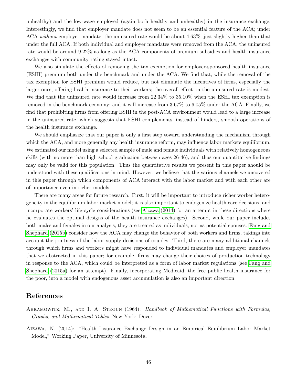unhealthy) and the low-wage employed (again both healthy and unhealthy) in the insurance exchange. Interestingly, we find that employer mandate does not seem to be an essential feature of the ACA; under ACA without employer mandate, the uninsured rate would be about 4.63%, just slightly higher than that under the full ACA. If both individual and employer mandates were removed from the ACA, the uninsured rate would be around 9.22% as long as the ACA components of premium subsidies and health insurance exchanges with community rating stayed intact.

We also simulate the effects of removing the tax exemption for employer-sponsored health insurance (ESHI) premium both under the benchmark and under the ACA. We find that, while the removal of the tax exemption for ESHI premium would reduce, but not eliminate the incentives of firms, especially the larger ones, offering health insurance to their workers; the overall effect on the uninsured rate is modest. We find that the uninsured rate would increase from  $22.34\%$  to  $35.10\%$  when the ESHI tax exemption is removed in the benchmark economy; and it will increase from 3.67% to 6.05% under the ACA. Finally, we find that prohibiting firms from offering ESHI in the post-ACA environment would lead to a large increase in the uninsured rate, which suggests that ESHI complements, instead of hinders, smooth operations of the health insurance exchange.

We should emphasize that our paper is only a first step toward understanding the mechanism through which the ACA, and more generally any health insurance reform, may influence labor markets equilibrium. We estimated our model using a selected sample of male and female individuals with relatively homogeneous skills (with no more than high school graduation between ages 26-46), and thus our quantitative findings may only be valid for this population. Thus the quantitative results we present in this paper should be understood with these qualifications in mind. However, we believe that the various channels we uncovered in this paper through which components of ACA interact with the labor market and with each other are of importance even in richer models.

There are many areas for future research. First, it will be important to introduce richer worker heterogeneity in the equilibrium labor market model; it is also important to endogenize health care decisions, and incorporate workers' life-cycle considerations (see [Aizawa \(2014\)](#page-47-0) for an attempt in these directions where he evaluates the optimal designs of the health insurance exchanges). Second, while our paper includes both males and females in our analysis, they are treated as individuals, not as potential spouses. [Fang and](#page-49-2) [Shephard \(2015b\)](#page-49-2) consider how the ACA may change the behavior of both workers and firms, takings into account the jointness of the labor supply decisions of couples. Third, there are many additional channels through which firms and workers might have responded to individual mandates and employer mandates that we abstracted in this paper; for example, firms may change their choices of production technology in response to the ACA, which could be interpreted as a form of labor market regulations (see [Fang and](#page-49-3) [Shephard \(2015a\)](#page-49-3) for an attempt). Finally, incorporating Medicaid, the free public health insurance for the poor, into a model with endogenous asset accumulation is also an important direction.

## References

- ABRAMOWITZ, M., AND I. A. STEGUN (1964): Handbook of Mathematical Functions with Formulas, Graphs, and Mathematical Tables. New York: Dover.
- <span id="page-47-0"></span>Aizawa, N. (2014): "Health Insurance Exchange Design in an Empirical Equilibrium Labor Market Model," Working Paper, University of Minnesota.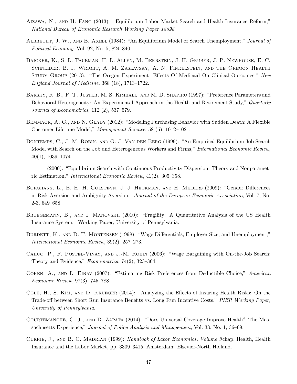- Aizawa, N., and H. Fang (2013): "Equilibrium Labor Market Search and Health Insurance Reform," National Bureau of Economic Research Working Paper 18698.
- Albrecht, J. W., and B. Axell (1984): "An Equilibrium Model of Search Unemployment," Journal of Political Economy, Vol. 92, No. 5, 824–840.
- Baicker, K., S. L. Taubman, H. L. Allen, M. Bernstein, J. H. Gruber, J. P. Newhouse, E. C. Schneider, B. J. Wright, A. M. Zaslavsky, A. N. Finkelstein, and the Oregon Health STUDY GROUP (2013): "The Oregon Experiment Effects Of Medicaid On Clinical Outcomes," New England Journal of Medicine, 368 (18), 1713–1722.
- Barsky, R. B., F. T. Juster, M. S. Kimball, and M. D. Shapiro (1997): "Preference Parameters and Behavioral Heterogeneity: An Experimental Approach in the Health and Retirement Study," Quarterly Journal of Econometrics, 112 (2), 537–579.
- BEMMAOR, A. C., AND N. GLADY (2012): "Modeling Purchasing Behavior with Sudden Death: A Flexible Customer Lifetime Model," Management Science, 58 (5), 1012–1021.
- BONTEMPS, C., J.-M. ROBIN, AND G. J. VAN DEN BERG (1999): "An Empirical Equilibrium Job Search Model with Search on the Job and Heterogeneous Workers and Firms," International Economic Review, 40(1), 1039–1074.
- (2000): "Equilibrium Search with Continuous Productivity Dispersion: Theory and Nonparametric Estimation," International Economic Review, 41(2), 305–358.
- Borghans, L., B. H. H. Golsteyn, J. J. Heckman, and H. Meijers (2009): "Gender Differences in Risk Aversion and Ambiguity Aversion," Journal of the European Economic Association, Vol. 7, No. 2-3, 649–658.
- BRUEGEMANN, B., AND I. MANOVSKII (2010): "Fragility: A Quantitative Analysis of the US Health Insurance System," Working Paper, University of Pennsylvania.
- BURDETT, K., AND D. T. MORTENSEN (1998): "Wage Differentials, Employer Size, and Unemployment," International Economic Review, 39(2), 257–273.
- Cahuc, P., F. Postel-Vinay, and J.-M. Robin (2006): "Wage Bargaining with On-the-Job Search: Theory and Evidence," Econometrica, 74(2), 323–364.
- Cohen, A., and L. Einav (2007): "Estimating Risk Preferences from Deductible Choice," American Economic Review, 97(3), 745–788.
- Cole, H., S. Kim, and D. Krueger (2014): "Analyzing the Effects of Insuring Health Risks: On the Trade-off between Short Run Insurance Benefits vs. Long Run Incentive Costs," PIER Working Paper, University of Pennsylvania.
- Courtemanche, C. J., and D. Zapata (2014): "Does Universal Coverage Improve Health? The Massachusetts Experience," Journal of Policy Analysis and Management, Vol. 33, No. 1, 36–69.
- CURRIE, J., AND B. C. MADRIAN (1999): Handbook of Labor Economics, Volume 3 chap. Health, Health Insurance and the Labor Market, pp. 3309–3415. Amsterdam: Elsevier-North Holland.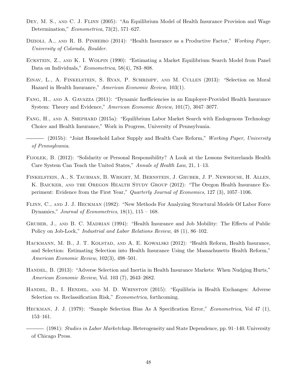- DEY, M. S., AND C. J. FLINN (2005): "An Equilibrium Model of Health Insurance Provision and Wage Determination," Econometrica, 73(2), 571–627.
- DIZIOLI, A., AND R. B. PINHEIRO (2014): "Health Insurance as a Productive Factor," Working Paper, University of Colorado, Boulder.
- Eckstein, Z., and K. I. Wolpin (1990): "Estimating a Market Equilibrium Search Model from Panel Data on Individuals," Econometrica, 58(4), 783–808.
- Einav, L., A. Finkelstein, S. Ryan, P. Schrimpf, and M. Cullen (2013): "Selection on Moral Hazard in Health Insurance," American Economic Review, 103(1).
- <span id="page-49-1"></span>Fang, H., and A. Gavazza (2011): "Dynamic Inefficiencies in an Employer-Provided Health Insurance System: Theory and Evidence," American Economic Review, 101(7), 3047–3077.
- <span id="page-49-3"></span>Fang, H., and A. Shephard (2015a): "Equilibrium Labor Market Search with Endogenous Technology Choice and Health Insurance," Work in Progress, University of Pennsylvania.
- <span id="page-49-2"></span>– (2015b): "Joint Household Labor Supply and Health Care Reform," Working Paper, University of Pennsylvania.
- <span id="page-49-0"></span>Fijolek, B. (2012): "Solidarity or Personal Responsibility? A Look at the Lessons Switzerlands Health Care System Can Teach the United States," Annals of Health Law, 21, 1–13.
- Finkelstein, A., S. Taubman, B. Wright, M. Bernstein, J. Gruber, J. P. Newhouse, H. Allen, K. BAICKER, AND THE OREGON HEALTH STUDY GROUP (2012): "The Oregon Health Insurance Experiment: Evidence from the First Year," Quarterly Journal of Economics, 127 (3), 1057–1106.
- Flinn, C., and J. J. Heckman (1982): "New Methods For Analyzing Structural Models Of Labor Force Dynamics," Journal of Econometrics,  $18(1)$ ,  $115 - 168$ .
- GRUBER, J., AND B. C. MADRIAN (1994): "Health Insurance and Job Mobility: The Effects of Public Policy on Job-Lock," *Industrial and Labor Relations Review*, 48 (1), 86–102.
- Hackmann, M. B., J. T. Kolstad, and A. E. Kowalski (2012): "Health Reform, Health Insurance, and Selection: Estimating Selection into Health Insurance Using the Massachusetts Health Reform," American Economic Review, 102(3), 498–501.
- Handel, B. (2013): "Adverse Selection and Inertia in Health Insurance Markets: When Nudging Hurts," American Economic Review, Vol. 103 (7), 2643–2682.
- HANDEL, B., I. HENDEL, AND M. D. WHINSTON (2015): "Equilibria in Health Exchanges: Adverse Selection vs. Reclassification Risk," *Econometrica*, forthcoming.
- HECKMAN, J. J. (1979): "Sample Selection Bias As A Specification Error," *Econometrica*, Vol 47 (1), 153–161.

(1981): *Studies in Labor Marketchap.* Heterogeneity and State Dependence, pp. 91–140. University of Chicago Press.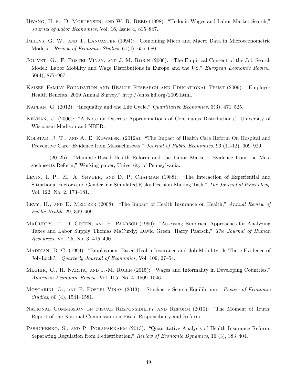- HWANG, H.-S., D. MORTENSEN, AND W. R. REED (1998): "Hedonic Wages and Labor Market Search," Journal of Labor Economics, Vol. 16, Issue 4, 815–847.
- Imbens, G. W., and T. Lancaster (1994): "Combining Micro and Macro Data in Microeconometric Models," Review of Economic Studies, 61(4), 655–680.
- JOLIVET, G., F. POSTEL-VINAY, AND J.-M. ROBIN (2006): "The Empirical Content of the Job Search Model: Labor Mobility and Wage Distributions in Europe and the US," *European Economic Review*, 50(4), 877–907.
- Kaiser Family Foundation and Health Research and Educational Trust (2009): "Employer Health Benefits, 2009 Annual Survey," http://ehbs.kff.org/2009.html.
- <span id="page-50-4"></span>KAPLAN, G. (2012): "Inequality and the Life Cycle," Quantitative Economics, 3(3), 471–525.
- <span id="page-50-3"></span>Kennan, J. (2006): "A Note on Discrete Approximations of Continuous Distributions," University of Wisconsin-Madison and NBER.
- KOLSTAD, J. T., AND A. E. KOWALSKI (2012a): "The Impact of Health Care Reform On Hospital and Preventive Care: Evidence from Massachusetts," Journal of Public Economics, 96 (11-12), 909–929.
- <span id="page-50-2"></span>(2012b): "Mandate-Based Health Reform and the Labor Market: Evidence from the Massachusetts Reform," Working paper, University of Pennsylvania.
- Levin, I. P., M. A. Snyder, and D. P. Chapman (1988): "The Interaction of Experiential and Situational Factors and Gender in a Simulated Risky Decision-Making Task," The Journal of Psychology, Vol. 122, No. 2, 173–181.
- LEVY, H., AND D. MELTZER (2008): "The Impact of Health Insurance on Health," Annual Review of Public Health, 29, 399–409.
- <span id="page-50-0"></span>MACURDY, T., D. GREEN, AND H. PAARSCH (1990): "Assessing Empirical Approaches for Analyzing Taxes and Labor Supply Thomas MaCurdy; David Green; Harry Paarsch," The Journal of Human Resources, Vol. 25, No. 3, 415–490.
- Madrian, B. C. (1994): "Employment-Based Health Insurance and Job Mobility: Is There Evidence of Job-Lock?," Quarterly Journal of Economics, Vol. 109, 27–54.
- Meghir, C., R. Narita, and J.-M. Robin (2015): "Wages and Informality in Developing Countries," American Economic Review, Vol. 105, No. 4, 1509–1546.
- Moscarini, G., and F. Postel-Vinay (2013): "Stochastic Search Equilibrium," Review of Economic Studies, 80 (4), 1541–1581.
- <span id="page-50-1"></span>National Commission on Fiscal Responsibility and Reform (2010): "The Moment of Truth: Report of the National Commission on Fiscal Responsibility and Reform," .
- PASHCHENKO, S., AND P. PORAPAKKARM (2013): "Quantitative Analysis of Health Insurance Reform: Separating Regulation from Redistribution," Review of Economic Dynamics, 16 (3), 383–404.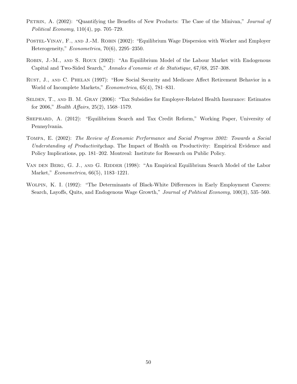- PETRIN, A. (2002): "Quantifying the Benefits of New Products: The Case of the Minivan," Journal of Political Economy, 110(4), pp. 705–729.
- POSTEL-VINAY, F., AND J.-M. ROBIN (2002): "Equilibrium Wage Dispersion with Worker and Employer Heterogeneity," Econometrica, 70(6), 2295–2350.
- Robin, J.-M., and S. Roux (2002): "An Equilibrium Model of the Labour Market with Endogenous Capital and Two-Sided Search," Annales d'conomie et de Statistique, 67/68, 257–308.
- Rust, J., and C. Phelan (1997): "How Social Security and Medicare Affect Retirement Behavior in a World of Incomplete Markets," Econometrica, 65(4), 781–831.
- SELDEN, T., AND B. M. GRAY (2006): "Tax Subsidies for Employer-Related Health Insurance: Estimates for 2006," Health Affairs, 25(2), 1568–1579.
- Shephard, A. (2012): "Equilibrium Search and Tax Credit Reform," Working Paper, University of Pennsylvania.
- Tompa, E. (2002): The Review of Economic Performance and Social Progress 2002: Towards a Social Understanding of Productivitychap. The Impact of Health on Productivity: Empirical Evidence and Policy Implications, pp. 181–202. Montreal: Institute for Research on Public Policy.
- VAN DEN BERG, G. J., AND G. RIDDER (1998): "An Empirical Equilibrium Search Model of the Labor Market," Econometrica, 66(5), 1183–1221.
- Wolpin, K. I. (1992): "The Determinants of Black-White Differences in Early Employment Careers: Search, Layoffs, Quits, and Endogenous Wage Growth," Journal of Political Economy, 100(3), 535–560.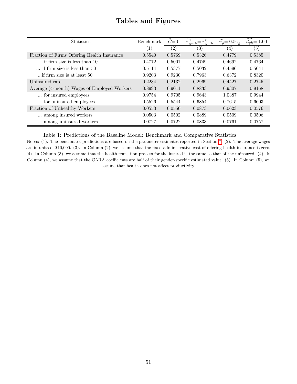| <b>Statistics</b>                           | Benchmark | $\hat{C}=0$ | $\pi_{gh'h}^1 = \pi_{gh'h}^0$ | $\widehat{\gamma_g} = 0.5 \gamma_q$ | $d_{qh} = 1.00$ |
|---------------------------------------------|-----------|-------------|-------------------------------|-------------------------------------|-----------------|
|                                             | (1)       | (2)         | (3)                           | $\left(4\right)$                    | (5)             |
| Fraction of Firms Offering Health Insurance | 0.5540    | 0.5769      | 0.5326                        | 0.4779                              | 0.5385          |
| $\ldots$ if firm size is less than 10       | 0.4772    | 0.5001      | 0.4749                        | 0.4692                              | 0.4764          |
| $\ldots$ if firm size is less than 50       | 0.5114    | 0.5377      | 0.5032                        | 0.4596                              | 0.5041          |
| if firm size is at least 50                 | 0.9203    | 0.9230      | 0.7963                        | 0.6372                              | 0.8320          |
| Uninsured rate                              | 0.2234    | 0.2132      | 0.2969                        | 0.4427                              | 0.2745          |
| Average (4-month) Wages of Employed Workers | 0.8993    | 0.9011      | 0.8833                        | 0.9307                              | 0.9168          |
| for insured employees                       | 0.9754    | 0.9705      | 0.9643                        | 1.0387                              | 0.9944          |
| for uninsured employees                     | 0.5526    | 0.5544      | 0.6854                        | 0.7615                              | 0.6603          |
| Fraction of Unhealthy Workers               | 0.0553    | 0.0550      | 0.0873                        | 0.0623                              | 0.0576          |
| among insured workers                       | 0.0503    | 0.0502      | 0.0889                        | 0.0509                              | 0.0506          |
| among uninsured workers                     | 0.0727    | 0.0722      | 0.0833                        | 0.0761                              | 0.0757          |

## Tables and Figures

Table 1: Predictions of the Baseline Model: Benchmark and Comparative Statistics.

Notes: (1). The benchmark predictions are based on the parameter estimates reported in Section [7.](#page-31-0) (2). The average wages are in units of \$10,000. (3). In Column (2), we assume that the fixed administrative cost of offering health insurance is zero. (4). In Column (3), we assume that the health transition process for the insured is the same as that of the uninsured. (4). In Column (4), we assume that the CARA coefficients are half of their gender-specific estimated value. (5). In Column (5), we assume that health does not affect productivity.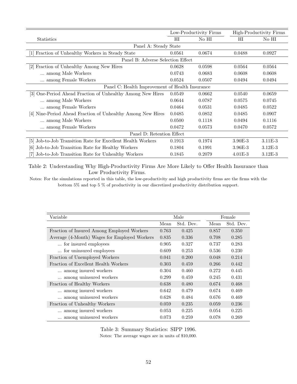<span id="page-53-0"></span>

|                                                               |             | Low-Productivity Firms | High-Productivity Firms |           |  |  |  |  |
|---------------------------------------------------------------|-------------|------------------------|-------------------------|-----------|--|--|--|--|
| <b>Statistics</b>                                             | $_{\rm HI}$ | No HI                  | $_{\rm HI}$             | No HI     |  |  |  |  |
| Panel A: Steady State                                         |             |                        |                         |           |  |  |  |  |
| Fraction of Unhealthy Workers in Steady State                 | 0.0561      | 0.0674                 | 0.0488                  | 0.0927    |  |  |  |  |
| Panel B: Adverse Selection Effect                             |             |                        |                         |           |  |  |  |  |
| Fraction of Unhealthy Among New Hires<br> 2                   | 0.0628      | 0.0598                 | 0.0564                  | 0.0564    |  |  |  |  |
| among Male Workers                                            | 0.0743      | 0.0683                 | 0.0608                  | 0.0608    |  |  |  |  |
| among Female Workers                                          | 0.0524      | 0.0507                 | 0.0494                  | 0.0494    |  |  |  |  |
| Panel C: Health Improvement of Health Insurance               |             |                        |                         |           |  |  |  |  |
| One-Period Ahead Fraction of Unhealthy Among New Hires<br> 3  | 0.0549      | 0.0662                 | 0.0540                  | 0.0659    |  |  |  |  |
| among Male Workers                                            | 0.0644      | 0.0787                 | 0.0575                  | 0.0745    |  |  |  |  |
| among Female Workers                                          | 0.0464      | 0.0531                 | 0.0485                  | 0.0522    |  |  |  |  |
| [4] Nine-Period Ahead Fraction of Unhealthy Among New Hires   | 0.0485      | 0.0852                 | 0.0485                  | 0.0907    |  |  |  |  |
| among Male Workers                                            | 0.0500      | 0.1118                 | 0.0494                  | 0.1116    |  |  |  |  |
| among Female Workers                                          | 0.0472      | 0.0573                 | 0.0470                  | 0.0572    |  |  |  |  |
| Panel D: Retention Effect                                     |             |                        |                         |           |  |  |  |  |
| Job-to-Job Transition Rate for Excellent Health Workers<br> 5 | 0.1913      | 0.1974                 | $3.90E-3$               | $3.11E-3$ |  |  |  |  |
| Job-to-Job Transition Rate for Healthy Workers<br>161         | 0.1804      | 0.1991                 | $3.96E - 3$             | $3.12E-3$ |  |  |  |  |
| Job-to-Job Transition Rate for Unhealthy Workers              | 0.1845      | 0.2079                 | $4.01E - 3$             | $3.12E-3$ |  |  |  |  |

Table 2: Understanding Why High-Productivity Firms Are More Likely to Offer Health Insurance than Low Productivity Firms.

Notes: For the simulations reported in this table, the low-productivity and high productivity firms are the firms with the bottom  $5\%$  and top  $5$  % of productivity in our discretized productivity distribution support.

<span id="page-53-1"></span>

| Variable                                     |       | Male      |       | Female    |
|----------------------------------------------|-------|-----------|-------|-----------|
|                                              | Mean  | Std. Dev. | Mean  | Std. Dev. |
| Fraction of Insured Among Employed Workers   | 0.763 | 0.425     | 0.857 | 0.350     |
| Average (4-Month) Wages for Employed Workers | 0.835 | 0.336     | 0.708 | 0.285     |
| for insured employees                        | 0.905 | 0.327     | 0.737 | 0.283     |
| for uninsured employees                      | 0.609 | 0.253     | 0.536 | 0.230     |
| Fraction of Unemployed Workers               | 0.041 | 0.200     | 0.048 | 0.214     |
| Fraction of Excellent Health Workers         | 0.303 | 0.459     | 0.266 | 0.442     |
| among insured workers                        | 0.304 | 0.460     | 0.272 | 0.445     |
| among uninsured workers                      | 0.299 | 0.459     | 0.245 | 0.431     |
| Fraction of Healthy Workers                  | 0.638 | 0.480     | 0.674 | 0.468     |
| among insured workers                        | 0.642 | 0.479     | 0.674 | 0.469     |
| among uninsured workers                      | 0.628 | 0.484     | 0.676 | 0.469     |
| Fraction of Unhealthy Workers                | 0.059 | 0.235     | 0.059 | 0.236     |
| among insured workers                        | 0.053 | 0.225     | 0.054 | 0.225     |
| among uninsured workers                      | 0.073 | 0.259     | 0.078 | 0.269     |

Table 3: Summary Statistics: SIPP 1996. Notes: The average wages are in units of \$10,000.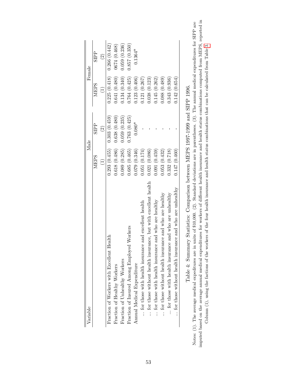| Variable                                                      |                                                                | Male          |                                   | Female        |
|---------------------------------------------------------------|----------------------------------------------------------------|---------------|-----------------------------------|---------------|
|                                                               | <b>NIEPS</b>                                                   | <b>SIPP</b>   | <b>NIEPS</b>                      | <b>SIPP</b>   |
|                                                               | $\begin{array}{c}\n\begin{array}{c}\n\end{array}\n\end{array}$ | $\widehat{c}$ | $\begin{pmatrix} 1 \end{pmatrix}$ | $\widehat{c}$ |
| Fraction of Workers with Excellent Health                     | 0.293(0.455)                                                   | 0.303(0.459)  | 0.225(0.418)                      | 0.266(0.442)  |
| Fraction of Healthy Workers                                   | 0.618(0.486)                                                   | 0.638(0.480)  | 0.641(0.480)                      | 0674 (0.468)  |
| Fraction of Unhealthy Workers                                 | 0.089(0.285)                                                   | 0.059(0.235)  | 0.134(0.340)                      | 0.059(0.236)  |
| Workers<br>Fraction of Insured Among Employed                 | 0.685(0.465)                                                   | 0.763(0.425)  | 0.764(0.425)                      | 0.857(0.350)  |
| Annual Medical Expenditure                                    | 0.079(0.346)                                                   | $0.080*$      | 0.123(0.406)                      | $0.1364*$     |
| for those with health insurance and excellent health          | 0.051(0.174)                                                   |               | 0.121(0.267)                      |               |
| for those without health insurance, but with excellent health | 0.021(0.086)                                                   |               | 0.038(0.123)                      |               |
| for those with health insurance and who are healthy           | 0.091(0.459)                                                   |               | 0.145(0.262)                      |               |
| for those without health insurance and who are healthy        | 0.053(0.432)                                                   |               | 0.088(0.489)                      |               |
| for those with health insurance and who are unhealthy         | 0.332(0.718)                                                   |               | 0.343(0.936)                      |               |
| for those without health insurance and who are unhealthy      | 0.147(0.460)                                                   |               | 0.142(0.654)                      |               |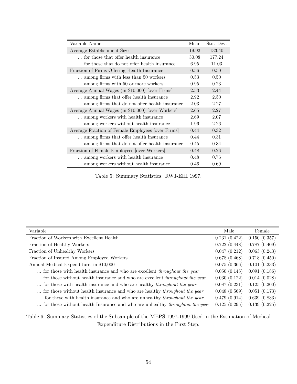| Variable Name                                     | Mean  | Std. Dev. |
|---------------------------------------------------|-------|-----------|
| Average Establishment Size                        | 19.92 | 133.40    |
| for those that offer health insurance             | 30.08 | 177.24    |
| for those that do not offer health insurance      | 6.95  | 11.03     |
| Fraction of Firms Offering Health Insurance       | 0.56  | 0.50      |
| among firms with less than 50 workers             | 0.53  | 0.50      |
| among firms with 50 or more workers               | 0.95  | 0.23      |
| Average Annual Wages (in \$10,000) [over Firms]   | 2.53  | 2.44      |
| among firms that offer health insurance           | 2.92  | 2.50      |
| among firms that do not offer health insurance    | 2.03  | 2.27      |
| Average Annual Wages (in \$10,000) [over Workers] | 2.65  | 2.27      |
| among workers with health insurance               | 2.69  | 2.07      |
| among workers without health insurance            | 1.96  | 2.26      |
| Average Fraction of Female Employees [over Firms] | 0.44  | 0.32      |
| among firms that offer health insurance           | 0.44  | 0.31      |
| among firms that do not offer health insurance    | 0.45  | 0.34      |
| Fraction of Female Employees [over Workers]       | 0.48  | 0.26      |
| among workers with health insurance               | 0.48  | 0.76      |
| among workers without health insurance            | 0.46  | 0.69      |

Table 5: Summary Statistics: RWJ-EHI 1997.

| Variable                                                                            | Male         | Female       |
|-------------------------------------------------------------------------------------|--------------|--------------|
| Fraction of Workers with Excellent Health                                           | 0.231(0.422) | 0.150(0.357) |
| Fraction of Healthy Workers                                                         | 0.722(0.448) | 0.787(0.409) |
| Fraction of Unhealthy Workers                                                       | 0.047(0.212) | 0.063(0.243) |
| Fraction of Insured Among Employed Workers                                          | 0.678(0.468) | 0.718(0.450) |
| Annual Medical Expenditure, in \$10,000                                             | 0.075(0.366) | 0.101(0.233) |
| for those with health insurance and who are excellent <i>throughout the year</i>    | 0.050(0.145) | 0.091(0.186) |
| for those without health insurance and who are excellent <i>throughout the year</i> | 0.030(0.122) | 0.014(0.028) |
| for those with health insurance and who are healthy <i>throughout the year</i>      | 0.087(0.231) | 0.125(0.200) |
| for those without health insurance and who are healthy <i>throughout the year</i>   | 0.048(0.569) | 0.051(0.173) |
| for those with health insurance and who are unhealthy <i>throughout the year</i>    | 0.479(0.914) | 0.639(0.833) |
| for those without health Insurance and who are unhealthy <i>throughout the year</i> | 0.125(0.295) | 0.139(0.225) |

Table 6: Summary Statistics of the Subsample of the MEPS 1997-1999 Used in the Estimation of Medical Expenditure Distributions in the First Step.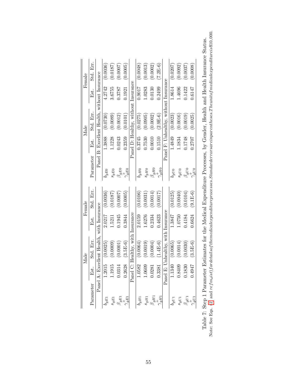|        | Er.<br>$_{\rm std.}$ |                                              | (0.0036)  | (0.0187)     | (0.0007)      | (0.0005)                     |                                     | (0.0048)      | (0.0013)  | (0.0002)      | $7.2E-6$           |                                       | (0.0207)    | (0.0092)  | 0.0037   | 0.0008                                    |
|--------|----------------------|----------------------------------------------|-----------|--------------|---------------|------------------------------|-------------------------------------|---------------|-----------|---------------|--------------------|---------------------------------------|-------------|-----------|----------|-------------------------------------------|
|        | Est.                 |                                              | 4.2742    | 3.6755       | 0.3787        | 0.1921                       |                                     | 0.9017        | 1.0283    | 0.0130        | 0.2499             |                                       | 1.8614      | 1.4696    | 0.1422   | 0.6147                                    |
|        | Std. Err.            | Panel B: Excellent Health, without Insurance | (0.0730)  | (0.0089)     | (0.0012)      | (0.0101)                     | Panel D: Healthy, without Insurance | (0.0275)      | (0.0905)  | (0.0002)      | $(2.9E-6)$         | Panel F: Unhealthy, without Insurance | (0.0023)    | (0.0016)  | (0.0019) | (0.0025)                                  |
| Male   | Est.                 |                                              | 1.3888    | 1.1228       | 0.0243        | 0.2359                       |                                     | 0.3745        | 0.7530    | 0.0010        | 0.1510             |                                       | 1.4849      | 1.1834    | 0.1748   | 0.2707                                    |
|        | Parameter            |                                              | $b_{gE0}$ | $s_{gE0}$    | $\beta_{gE0}$ | $\gamma_{g\underline{E}0}^+$ |                                     | $b_{gH0}$     | $s_{gH0}$ | $\beta_{gHO}$ | $\gamma^{PD}_{H0}$ |                                       | $\sigma$    | $s_{gU0}$ |          | $\beta_{gU0}^{\mathfrak{g}(\mathcal{V})}$ |
| Female | Err.<br>Std.         |                                              | (0.0036)  | (0.0187)     | (0.0007)      | (0.0005)                     |                                     | (0.0106)      | (0.0031)  | (0.0014)      | 0.0017             |                                       | (0.0125)    | (0.0040)  | (0.0104) | $(9.1E-6)$                                |
|        | Est.                 |                                              | 2.0217    | 1.5211       | 0.1945        | 0.3844                       |                                     | 2.0159        | 1.6276    | 0.2334        | 0.4623             |                                       | 1.3847      | 1.0750    | 0.4184   | 0.6624                                    |
| Male   | Std. Err.            | Excellent Health, with Insurance             | (0.0025)  | (0.0009)     | (0.0001)      | $(3.5E-6)$                   | C: Healthy, with Insurance          | (0.0064)      | (0.0019)  | (0.0004)      | $(1.4E-6)$         | E: Unhealthy, with Insurance          | (0.0065)    | (0.0014)  | (0.0030) | $(3.5E-6)$                                |
|        | Est.                 | Panel A:                                     | 1.2015    | 915<br>$\Xi$ | 0.0314        | 0.2628                       | Panel                               | 1582<br>$\Xi$ | 1.0609    | 0.0281        | 0.3381             | Panel                                 | 340         | 0.8409    | 830      | 1761                                      |
|        | Parameter            |                                              |           |              |               |                              |                                     | $b_{gH1}$     | $s_{gH1}$ |               |                    |                                       | $\rho_g$ U1 |           |          |                                           |

Note: See Eqs.  $(2)$  and  $refm_dist)$  fordetailsof themedicalexpenditureprocesses. Standarderrorsareinparentheses. Theunito fmedicalexpenditureis\$10,000. Note: See Eqs.  $(2)$  and  $refm_dist)$  fordetailso fthemedicalexpenditureprocesses.Standarderrorsareinparentheses.T heunito f medicalexpenditureis $\$10, 000$ . Table 7: Step 1 Parameter Estimates for the Medical Expenditure Processes, by Gender, Health and Health Insurance Status. Table 7: Step 1 Parameter Estimates for the Medical Expenditure Processes, by Gender, Health and Health Insurance Status.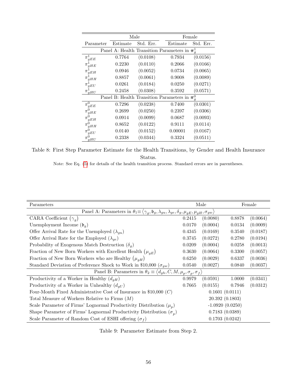|                |          | Male      | Female                                             |           |  |
|----------------|----------|-----------|----------------------------------------------------|-----------|--|
| Parameter      | Estimate | Std. Err. | Estimate                                           | Std. Err. |  |
|                |          |           | Panel A: Health Transition Parameters in $\pi_a^1$ |           |  |
| $\pi_{gEE}$    | 0.7764   | (0.0108)  | 0.7934                                             | (0.0156)  |  |
| π<br>qHE       | 0.2230   | (0.0110)  | 0.2066                                             | (0.0166)  |  |
| π<br>qEH       | 0.0946   | (0.0052)  | 0.0734                                             | (0.0065)  |  |
| π<br>qHH       | 0.8857   | (0.0061)  | 0.9008                                             | (0.0089)  |  |
| $\pi$<br>qEU   | 0.0261   | (0.0184)  | 0.0250                                             | (0.0271)  |  |
| π<br>qHU       | 0.2458   | (0.0308)  | 0.3592                                             | (0.0571)  |  |
|                |          |           | Panel B: Health Transition Parameters in $\pi_a^0$ |           |  |
| $\pi^0$<br>gEE | 0.7296   | (0.0238)  | 0.7400                                             | (0.0301)  |  |
| $\pi^0$<br>qHE | 0.2699   | (0.0250)  | 0.2397                                             | (0.0306)  |  |
| $\pi^0$<br>qEH | 0.0914   | (0.0099)  | 0.0687                                             | (0.0093)  |  |
| qHH            | 0.8652   | (0.0122)  | 0.9111                                             | (0.0114)  |  |
| qEU            | 0.0140   | (0.0152)  | 0.00001                                            | (0.0167)  |  |
| $\pi$<br>qHU   | 0.2338   | (0.0344)  | 0.3324                                             | (0.0511)  |  |

Table 8: First Step Parameter Estimate for the Health Transitions, by Gender and Health Insurance Status.

Note: See Eq. [\(5\)](#page-10-0) for details of the health transition process. Standard errors are in parentheses.

| Parameters                                                                                                                                               |                   | Male           |        | Female   |  |  |
|----------------------------------------------------------------------------------------------------------------------------------------------------------|-------------------|----------------|--------|----------|--|--|
| Panel A: Parameters in $\theta_1 \equiv \langle \gamma_q, \mathfrak{b}_g, \lambda_{gu}, \lambda_{ge}, \delta_g, \mu_{qE}, \mu_{qH}, \sigma_{gw} \rangle$ |                   |                |        |          |  |  |
| CARA Coefficient $(\gamma_a)$                                                                                                                            | 0.2415            | (0.0080)       | 0.8878 | (0.0064) |  |  |
| Unemployment Income $(\mathfrak{b}_q)$                                                                                                                   | 0.0170            | (0.0004)       | 0.0134 | (0.0009) |  |  |
| Offer Arrival Rate for the Unemployed $(\lambda_{gu})$                                                                                                   | 0.4345            | (0.0169)       | 0.3540 | (0.0187) |  |  |
| Offer Arrival Rate for the Employed $(\lambda_{qe})$                                                                                                     | 0.3745            | (0.0272)       | 0.2780 | (0.0194) |  |  |
| Probability of Exogenous Match Destruction $(\delta_q)$                                                                                                  | 0.0209            | (0.0004)       | 0.0258 | (0.0013) |  |  |
| Fraction of New Born Workers with Excellent Health $(\mu_{qE})$                                                                                          | 0.3630            | (0.0064)       | 0.3300 | (0.0057) |  |  |
| Fraction of New Born Workers who are Healthy $(\mu_{qH})$                                                                                                | 0.6250            | (0.0029)       | 0.6337 | (0.0036) |  |  |
| Standard Deviation of Preference Shock to Work in \$10,000 ( $\sigma_{gw}$ )                                                                             | 0.0540            | (0.0027)       | 0.0840 | (0.0037) |  |  |
| Panel B: Parameters in $\theta_2 \equiv \langle d_{gh}, C, M, \mu_p, \sigma_p, \sigma_f \rangle$                                                         |                   |                |        |          |  |  |
| Productivity of a Worker in Healthy $(d_{gH})$                                                                                                           | 0.9979            | (0.0591)       | 1.0000 | (0.0341) |  |  |
| Productivity of a Worker in Unhealthy $(d_{qU})$                                                                                                         | 0.7665            | (0.0155)       | 0.7946 | (0.0312) |  |  |
| Four-Month Fixed Administrative Cost of Insurance in \$10,000 $(C)$                                                                                      | 0.1601(0.0111)    |                |        |          |  |  |
| Total Measure of Workers Relative to Firms $(M)$                                                                                                         | 20.392(0.1803)    |                |        |          |  |  |
| Scale Parameter of Firms' Lognormal Productivity Distribution $(\mu_p)$                                                                                  | $-1.0920(0.0250)$ |                |        |          |  |  |
| Shape Parameter of Firms' Lognormal Productivity Distribution $(\sigma_n)$                                                                               | 0.7183(0.0389)    |                |        |          |  |  |
| Scale Parameter of Random Cost of ESHI offering $(\sigma_f)$                                                                                             |                   | 0.1703(0.0242) |        |          |  |  |

Table 9: Parameter Estimate from Step 2.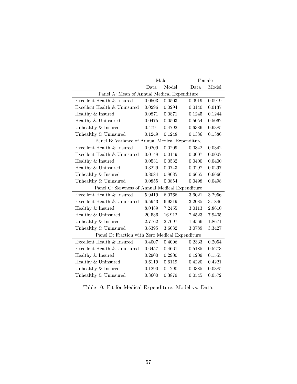|                                                 |        | Male   |        | Female |
|-------------------------------------------------|--------|--------|--------|--------|
|                                                 | Data   | Model  | Data   | Model  |
| Panel A: Mean of Annual Medical Expenditure     |        |        |        |        |
| Excellent Health & Insured                      | 0.0503 | 0.0503 | 0.0919 | 0.0919 |
| Excellent Health & Uninsured                    | 0.0296 | 0.0294 | 0.0140 | 0.0137 |
| Healthy & Insured                               | 0.0871 | 0.0871 | 0.1245 | 0.1244 |
| Healthy & Uninsured                             | 0.0475 | 0.0503 | 0.5054 | 0.5062 |
| Unhealthy & Insured                             | 0.4791 | 0.4792 | 0.6386 | 0.6385 |
| Unhealthy & Uninsured                           | 0.1249 | 0.1248 | 0.1386 | 0.1386 |
| Panel B: Variance of Annual Medical Expenditure |        |        |        |        |
| Excellent Health & Insured                      | 0.0209 | 0.0209 | 0.0342 | 0.0342 |
| Excellent Health & Uninsured                    | 0.0148 | 0.0149 | 0.0007 | 0.0007 |
| Healthy & Insured                               | 0.0531 | 0.0532 | 0.0400 | 0.0400 |
| Healthy & Uninsured                             | 0.3229 | 0.0743 | 0.0297 | 0.0297 |
| Unhealthy & Insured                             | 0.8084 | 0.8085 | 0.6665 | 0.6666 |
| Unhealthy & Uninsured                           | 0.0855 | 0.0854 | 0.0498 | 0.0498 |
| Panel C: Skewness of Annual Medical Expenditure |        |        |        |        |
| Excellent Health & Insured                      | 5.9419 | 6.0766 | 3.6021 | 3.2956 |
| Excellent Health & Uninsured                    | 6.5943 | 6.9319 | 3.2085 | 3.1846 |
| Healthy & Insured                               | 8.0489 | 7.2455 | 3.0113 | 2.8610 |
| Healthy & Uninsured                             | 20.536 | 16.912 | 7.4523 | 7.9405 |
| Unhealthy & Insured                             | 2.7762 | 2.7097 | 1.9566 | 1.8671 |
| Unhealthy & Uninsured                           | 3.6395 | 3.6032 | 3.0789 | 3.3427 |
| Panel D: Fraction with Zero Medical Expenditure |        |        |        |        |
| Excellent Health & Insured                      | 0.4007 | 0.4006 | 0.2333 | 0.2054 |
| Excellent Health & Uninsured                    | 0.6457 | 0.4661 | 0.5185 | 0.5273 |
| Healthy $\&$ Insured                            | 0.2900 | 0.2900 | 0.1209 | 0.1555 |
| Healthy & Uninsured                             | 0.6119 | 0.6119 | 0.4220 | 0.4221 |
| Unhealthy & Insured                             | 0.1290 | 0.1290 | 0.0385 | 0.0385 |
| Unhealthy & Uninsured                           | 0.3600 | 0.3879 | 0.0545 | 0.0572 |

Table 10: Fit for Medical Expenditure: Model vs. Data.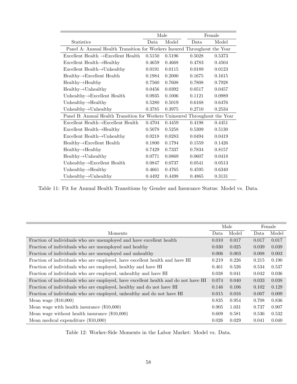|                                                                             |        | Male   | Female |        |  |
|-----------------------------------------------------------------------------|--------|--------|--------|--------|--|
| <b>Statistics</b>                                                           | Data   | Model  | Data.  | Model  |  |
| Panel A: Annual Health Transition for Workers Insured Throughout the Year   |        |        |        |        |  |
| Excellent Health $\rightarrow$ Excellent Health                             | 0.5150 | 0.5196 | 0.5028 | 0.5373 |  |
| Excellent Health $\rightarrow$ Healthy                                      | 0.4659 | 0.4668 | 0.4783 | 0.4504 |  |
| Excellent Health $\rightarrow$ Unhealthy                                    | 0.0191 | 0.0115 | 0.0189 | 0.0123 |  |
| $Healthy \rightarrow Excellent Health$                                      | 0.1984 | 0.2000 | 0.1675 | 0.1615 |  |
| $Healthy \rightarrow Healthy$                                               | 0.7560 | 0.7608 | 0.7808 | 0.7928 |  |
| $Health y \rightarrow Unhealth y$                                           | 0.0456 | 0.0392 | 0.0517 | 0.0457 |  |
| Unhealthy $\rightarrow$ Excellent Health                                    | 0.0935 | 0.1006 | 0.1121 | 0.0989 |  |
| Unhealthy $\rightarrow$ Healthy                                             | 0.5280 | 0.5019 | 0.6168 | 0.6476 |  |
| Unhealthy $\rightarrow$ Unhealthy                                           | 0.3785 | 0.3975 | 0.2710 | 0.2534 |  |
| Panel B: Annual Health Transition for Workers Uninsured Throughout the Year |        |        |        |        |  |
| $Excellent Health \rightarrow Excellent Health$                             | 0.4704 | 0.4459 | 0.4198 | 0.4451 |  |
| Excellent Health $\rightarrow$ Healthy                                      | 0.5078 | 0.5258 | 0.5309 | 0.5130 |  |
| Excellent Health $\rightarrow$ Unhealthy                                    | 0.0218 | 0.0283 | 0.0494 | 0.0419 |  |
| $Healthy \rightarrow Excellent Health$                                      | 0.1800 | 0.1794 | 0.1559 | 0.1426 |  |
| $Healthy \rightarrow Healthy$                                               | 0.7429 | 0.7337 | 0.7834 | 0.8157 |  |
| $Healthy \rightarrow Unhealthy$                                             | 0.0771 | 0.0869 | 0.0607 | 0.0418 |  |
| Unhealthy $\rightarrow$ Excellent Health                                    | 0.0847 | 0.0737 | 0.0541 | 0.0513 |  |
| Unhealthy $\rightarrow$ Healthy                                             | 0.4661 | 0.4765 | 0.4595 | 0.6340 |  |
| Unhealthy $\rightarrow$ Unhealthy                                           | 0.4492 | 0.4498 | 0.4865 | 0.3131 |  |

Table 11: Fit for Annual Health Transitions by Gender and Insurance Status: Model vs. Data.

|                                                                                    |       | Male  |       | Female |
|------------------------------------------------------------------------------------|-------|-------|-------|--------|
| Moments                                                                            | Data  | Model | Data  | Model  |
| Fraction of individuals who are unemployed and have excellent health               | 0.010 | 0.017 | 0.017 | 0.017  |
| Fraction of individuals who are unemployed and healthy                             | 0.030 | 0.025 | 0.039 | 0.039  |
| Fraction of individuals who are unemployed and unhealthy                           | 0.006 | 0.003 | 0.008 | 0.003  |
| Fraction of individuals who are employed, have excellent health and have HI        | 0.219 | 0.226 | 0.215 | 0.190  |
| Fraction of individuals who are employed, healthy and have HI                      | 0.461 | 0.526 | 0.534 | 0.537  |
| Fraction of individuals who are employed, unhealthy and have HI                    | 0.038 | 0.041 | 0.042 | 0.036  |
| Fraction of individuals who are employed, have excellent health and do not have HI | 0.074 | 0.040 | 0.033 | 0.038  |
| Fraction of individuals who are employed, healthy and do not have HI               | 0.146 | 0.106 | 0.102 | 0.129  |
| Fraction of individuals who are employed, unhealthy and do not have HI             | 0.015 | 0.016 | 0.007 | 0.009  |
| Mean wage $(\$10,000)$                                                             | 0.835 | 0.954 | 0.708 | 0.836  |
| Mean wage with health insurance $(\$10,000)$                                       | 0.905 | 1.031 | 0.737 | 0.907  |
| Mean wage without health insurance $(\$10,000)$                                    | 0.609 | 0.581 | 0.536 | 0.532  |
| Mean medical expenditure $(\$10,000)$                                              | 0.026 | 0.029 | 0.041 | 0.040  |

Table 12: Worker-Side Moments in the Labor Market: Model vs. Data.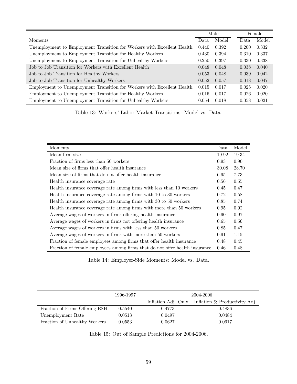|                                                                         |       | Male  |       | Female |
|-------------------------------------------------------------------------|-------|-------|-------|--------|
| Moments                                                                 | Data  | Model | Data  | Model  |
| Unemployment to Employment Transition for Workers with Excellent Health | 0.440 | 0.392 | 0.200 | 0.332  |
| Unemployment to Employment Transition for Healthy Workers               | 0.430 | 0.394 | 0.310 | 0.337  |
| Unemployment to Employment Transition for Unhealthy Workers             | 0.250 | 0.397 | 0.330 | 0.338  |
| Job to Job Transition for Workers with Excellent Health                 |       | 0.048 | 0.038 | 0.040  |
| Job to Job Transition for Healthy Workers                               |       | 0.048 | 0.039 | 0.042  |
| Job to Job Transition for Unhealthy Workers                             | 0.052 | 0.057 | 0.018 | 0.047  |
| Employment to Unemployment Transition for Workers with Excellent Health | 0.015 | 0.017 | 0.025 | 0.020  |
| Employment to Unemployment Transition for Healthy Workers               | 0.016 | 0.017 | 0.026 | 0.020  |
| Employment to Unemployment Transition for Unhealthy Workers             | 0.054 | 0.018 | 0.058 | 0.021  |

Table 13: Workers' Labor Market Transitions: Model vs. Data.

| Moments                                                                     | Data  | Model    |
|-----------------------------------------------------------------------------|-------|----------|
| Mean firm size                                                              | 19.92 | 19.34    |
| Fraction of firms less than 50 workers                                      | 0.93  | 0.90     |
| Mean size of firms that offer health insurance                              | 30.08 | 28.70    |
| Mean size of firms that do not offer health insurance                       | 6.95  | 7.73     |
| Health insurance coverage rate                                              | 0.56  | $0.55\,$ |
| Health insurance coverage rate among firms with less than 10 workers        | 0.45  | 0.47     |
| Health insurance coverage rate among firms with 10 to 30 workers            | 0.72  | 0.58     |
| Health insurance coverage rate among firms with 30 to 50 workers            | 0.85  | 0.74     |
| Health insurance coverage rate among firms with more than 50 workers        | 0.95  | 0.92     |
| Average wages of workers in firms offering health insurance                 | 0.90  | 0.97     |
| Average wages of workers in firms not offering health insurance             | 0.65  | 0.56     |
| Average wages of workers in firms with less than 50 workers                 | 0.85  | 0.47     |
| Average wages of workers in firms with more than 50 workers                 | 0.91  | 1.15     |
| Fraction of female employees among firms that offer health insurance        | 0.48  | 0.45     |
| Fraction of female employees among firms that do not offer health insurance | 0.46  | 0.48     |

Table 14: Employer-Side Moments: Model vs. Data.

|                                 | 1996-1997 | 2004-2006           |                               |  |
|---------------------------------|-----------|---------------------|-------------------------------|--|
|                                 |           | Inflation Adj. Only | Inflation & Productivity Adj. |  |
| Fraction of Firms Offering ESHI | 0.5540    | 0.4773              | 0.4836                        |  |
| Unemployment Rate               | 0.0513    | 0.0497              | 0.0484                        |  |
| Fraction of Unhealthy Workers   | 0.0553    | 0.0627              | 0.0617                        |  |

Table 15: Out of Sample Predictions for 2004-2006.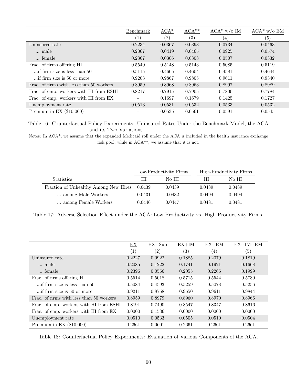<span id="page-61-0"></span>

|                                          | Benchmark                | $ACA^*$           | $ACA**$           | $ACA^*$ w/o IM    | $ACA^*$ w/o EM    |
|------------------------------------------|--------------------------|-------------------|-------------------|-------------------|-------------------|
|                                          | $\left( 1\right)$        | $\left( 2\right)$ | $\left( 3\right)$ | $\left( 4\right)$ | $\left( 5\right)$ |
| Uninsured rate                           | 0.2234                   | 0.0367            | 0.0393            | 0.0734            | 0.0463            |
| male                                     | 0.2067                   | 0.0419            | 0.0465            | 0.0925            | 0.0574            |
| female                                   | 0.2367                   | 0.0306            | 0.0308            | 0.0507            | 0.0332            |
| Frac. of firms offering HI               | 0.5540                   | 0.5148            | 0.5143            | 0.5085            | 0.5119            |
| if firm size is less than 50             | 0.5115                   | 0.4605            | 0.4604            | 0.4581            | 0.4644            |
| if firm size is 50 or more               | 0.9203                   | 0.9867            | 0.9805            | 0.9611            | 0.9340            |
| Frac. of firms with less than 50 workers | 0.8959                   | 0.8968            | 0.8963            | 0.8997            | 0.8989            |
| Frac. of emp. workers with HI from ESHI  | 0.8217                   | 0.7915            | 0.7905            | 0.7800            | 0.7784            |
| Frac. of emp. workers with HI from EX    | $\overline{\phantom{0}}$ | 0.1697            | 0.1679            | 0.1425            | 0.1727            |
| Unemployment rate                        | 0.0513                   | 0.0531            | 0.0532            | 0.0533            | 0.0532            |
| Premium in EX $(\$10,000)$               | $\overline{\phantom{0}}$ | 0.0535            | 0.0561            | 0.0591            | 0.0545            |

Table 16: Counterfactual Policy Experiments: Uninsured Rates Under the Benchmark Model, the ACA and its Two Variations.

Notes: In ACA\*, we assume that the expanded Medicaid roll under the ACA is included in the health insurance exchange risk pool, while in ACA\*\*, we assume that it is not.

<span id="page-61-1"></span>

|                                       |        | Low-Productivity Firms |        | High-Productivity Firms |
|---------------------------------------|--------|------------------------|--------|-------------------------|
| <b>Statistics</b>                     | HІ     | No HI                  | НI     | No HI                   |
| Fraction of Unhealthy Among New Hires | 0.0439 | 0.0439                 | 0.0489 | 0.0489                  |
| among Male Workers                    | 0.0431 | 0.0432                 | 0.0494 | 0.0494                  |
| among Female Workers                  | 0.0446 | 0.0447                 | 0.0481 | 0.0481                  |

Table 17: Adverse Selection Effect under the ACA: Low Productivity vs. High Productivity Firms.

<span id="page-61-2"></span>

|                                          | EX                | $EX+Sub$ | $EX+IM$ | $EX+EM$ | $EX+IM+EM$ |
|------------------------------------------|-------------------|----------|---------|---------|------------|
|                                          | $\left( 1\right)$ | (2)      | (3)     | (4)     | (5)        |
| Uninsured rate                           | 0.2227            | 0.0922   | 0.1885  | 0.2079  | 0.1819     |
| male                                     | 0.2085            | 0.1222   | 0.1741  | 0.1921  | 0.1668     |
| female                                   | 0.2396            | 0.0566   | 0.2055  | 0.2266  | 0.1999     |
| Frac. of firms offering HI               | 0.5514            | 0.5018   | 0.5715  | 0.5544  | 0.5730     |
| if firm size is less than 50             | 0.5084            | 0.4593   | 0.5259  | 0.5078  | 0.5256     |
| if firm size is 50 or more               | 0.9211            | 0.8758   | 0.9650  | 0.9611  | 0.9844     |
| Frac. of firms with less than 50 workers | 0.8959            | 0.8979   | 0.8960  | 0.8970  | 0.8966     |
| Frac. of emp. workers with HI from ESHI  | 0.8191            | 0.7490   | 0.8547  | 0.8347  | 0.8616     |
| Frac. of emp. workers with HI from EX    | 0.0000            | 0.1536   | 0.0000  | 0.0000  | 0.0000     |
| Unemployment rate                        | 0.0510            | 0.0533   | 0.0505  | 0.0510  | 0.0504     |
| Premium in EX $(\$10,000)$               | 0.2661            | 0.0601   | 0.2661  | 0.2661  | 0.2661     |

Table 18: Counterfactual Policy Experiments: Evaluation of Various Components of the ACA.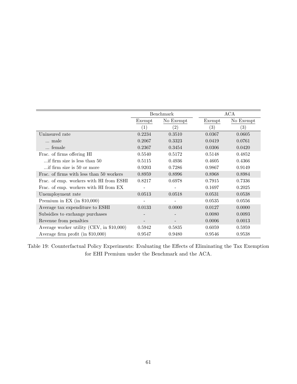<span id="page-62-0"></span>

|                                           |                   | Benchmark |        | ACA       |
|-------------------------------------------|-------------------|-----------|--------|-----------|
|                                           | Exempt            | No Exempt | Exempt | No Exempt |
|                                           | $\left( 1\right)$ | (2)       | (3)    | (3)       |
| Uninsured rate                            | 0.2234            | 0.3510    | 0.0367 | 0.0605    |
| male                                      | 0.2067            | 0.3323    | 0.0419 | 0.0761    |
| female                                    | 0.2367            | 0.3454    | 0.0306 | 0.0420    |
| Frac. of firms offering HI                | 0.5540            | 0.5172    | 0.5148 | 0.4852    |
| if firm size is less than 50.             | 0.5115            | 0.4936    | 0.4605 | 0.4366    |
| if firm size is 50 or more                | 0.9203            | 0.7286    | 0.9867 | 0.9149    |
| Frac. of firms with less than 50 workers  | 0.8959            | 0.8996    | 0.8968 | 0.8984    |
| Frac. of emp. workers with HI from ESHI   | 0.8217            | 0.6978    | 0.7915 | 0.7336    |
| Frac. of emp. workers with HI from EX     |                   |           | 0.1697 | 0.2025    |
| Unemployment rate                         | 0.0513            | 0.0518    | 0.0531 | 0.0538    |
| Premium in EX (in $$10,000$ )             |                   |           | 0.0535 | 0.0556    |
| Average tax expenditure to ESHI           | 0.0133            | 0.0000    | 0.0127 | 0.0000    |
| Subsidies to exchange purchases           |                   |           | 0.0080 | 0.0093    |
| Revenue from penalties                    |                   |           | 0.0006 | 0.0013    |
| Average worker utility (CEV, in \$10,000) | 0.5942            | 0.5835    | 0.6059 | 0.5959    |
| Average firm profit (in $$10,000$ )       | 0.9547            | 0.9480    | 0.9546 | 0.9538    |

Table 19: Counterfactual Policy Experiments: Evaluating the Effects of Eliminating the Tax Exemption for EHI Premium under the Benchmark and the ACA.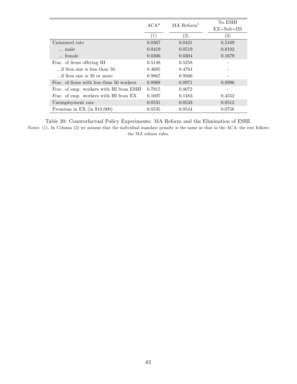<span id="page-63-0"></span>

|                                          | $ACA*$           | $MA$ Reform <sup>1</sup> | No ESHI           |
|------------------------------------------|------------------|--------------------------|-------------------|
|                                          |                  |                          | $EX+Sub+IM$       |
|                                          | $\left(1\right)$ | $\left( 2\right)$        | $\left( 3\right)$ |
| Uninsured rate                           | 0.0367           | 0.0421                   | 0.5169            |
| male                                     | 0.0419           | 0.0519                   | 0.8102            |
| female                                   | 0.0306           | 0.0304                   | 0.1679            |
| Frac. of firms offering HI               | 0.5148           | 0.5258                   |                   |
| if firm size is less than 50             | 0.4605           | 0.4764                   |                   |
| if firm size is 50 or more               | 0.9867           | 0.9566                   |                   |
| Frac. of firms with less than 50 workers | 0.8968           | 0.8971                   | 0.8996            |
| Frac. of emp. workers with HI from ESHI  | 0.7915           | 0.8072                   |                   |
| Frac. of emp. workers with HI from EX    | 0.1697           | 0.1483                   | 0.4552            |
| Unemployment rate                        | 0.0531           | 0.0533                   | 0.0512            |
| Premium in EX (in $$10,000$ )            | 0.0535           | 0.0544                   | 0.0756            |

Table 20: Counterfactual Policy Experiments: MA Reform and the Elimination of ESHI. Notes: (1). In Column (2) we assume that the individual mandate penalty is the same as that in the ACA; the rest follows the MA reform rules.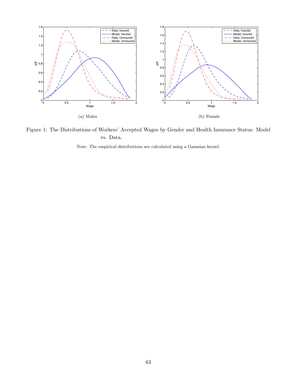

Figure 1: The Distributions of Workers' Accepted Wages by Gender and Health Insurance Status: Model vs. Data.

Note: The empirical distributions are calculated using a Gaussian kernel.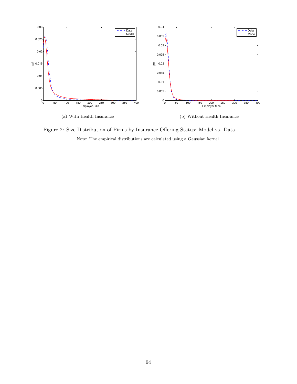

Figure 2: Size Distribution of Firms by Insurance Offering Status: Model vs. Data. Note: The empirical distributions are calculated using a Gaussian kernel.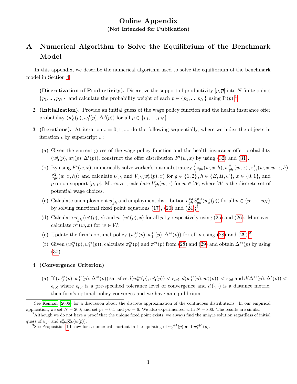## Online Appendix (Not Intended for Publication)

## <span id="page-66-0"></span>A Numerical Algorithm to Solve the Equilibrium of the Benchmark Model

In this appendix, we describe the numerical algorithm used to solve the equilibrium of the benchmark model in Section [4.](#page-20-0)

- 1. (Discretization of Productivity). Discretize the support of productivity  $[p, \overline{p}]$  into N finite points  $\{p_1, ..., p_N\}$  $\{p_1, ..., p_N\}$  $\{p_1, ..., p_N\}$ , and calculate the probability weight of each  $p \in \{p_1, ..., p_N\}$  using  $\Gamma(p)$ .
- 2. (Initialization). Provide an initial guess of the wage policy function and the health insurance offer probability  $(w_0^0(p), w_1^0(p), \Delta^0(p))$  for all  $p \in \{p_1, ..., p_N\}$ .
- <span id="page-66-4"></span>3. (Iterations). At iteration  $\iota = 0, 1, ...,$  do the following sequentially, where we index the objects in iteration  $\iota$  by superscript  $\iota$ :
	- (a) Given the current guess of the wage policy function and the health insurance offer probability  $(w_0^{\iota}(p), w_1^{\iota}(p), \Delta^{\iota}(p))$ , construct the offer distribution  $F^{\iota}(w, x)$  by using [\(32\)](#page-20-1) and [\(31\)](#page-20-1).
	- (b) By using  $F^{\iota}(w, x)$ , numerically solve worker's optimal strategy  $\left\langle \tilde{z}_{gu}(w, x, h), \underline{w}_{gh}^{\tilde{x}}(w, x), \tilde{z}_{ge}^1(\tilde{w}, \tilde{x}, w, x, h), \right\rangle$  $\langle \tilde{z}_{ge}^2(w,x,h) \rangle$  and calculate  $U_{gh}$  and  $V_{gh}(w_x^{\iota}(p),x)$  for  $g \in \{1,2\}$ ,  $h \in \{E,H,U\}$ ,  $x \in \{0,1\}$ , and p on on support  $[p, \bar{p}]$ . Moreover, calculate  $V_{gh}(w, x)$  for  $w \in \mathcal{W}$ , where  $\mathcal W$  is the discrete set of potential wage choices.
	- (c) Calculate unemployment  $u_{gh}^i$  and employment distribution  $e_{gh}^{x,t} S_{gh}^{x,t}(w_x^i(p))$  for all  $p \in \{p_1, ..., p_N\}$ by solving functional fixed point equations [\(17\)](#page-16-0), [\(20\)](#page-17-0) and  $(24)$  $(24)$  $(24)$ ;<sup>2</sup>
	- (d) Calculate  $n'_{gh}(w^{t}(p), x)$  and  $n^{t}(w^{t}(p), x)$  for all p by respectively using [\(25\)](#page-18-1) and [\(26\)](#page-18-2). Moreover, calculate  $n^{\iota}(w, x)$  for  $w \in \mathcal{W}$ ;
	- (e) Update the firm's optimal policy  $(w_0^{*t}(p), w_1^{*t}(p), \Delta^{*t}(p))$  for all p using [\(28\)](#page-19-1) and [\(29\)](#page-19-1);<sup>[3](#page-66-3)</sup>
	- (f) Given  $(w_0^{*}(p), w_1^{*}(p))$ , calculate  $\pi_0^{*}(p)$  and  $\pi_1^{*}(p)$  from [\(28\)](#page-19-1) and [\(29\)](#page-19-1) and obtain  $\Delta^{*}(p)$  by using [\(30\)](#page-19-2).

## 4. (Convergence Criterion)

(a) If  $(w_0^{*t}(p), w_1^{*t}(p), \Delta^{*t}(p))$  satisfies  $d(w_0^{*t}(p), w_0^{t}(p)) < \epsilon_{tol}$ ,  $d(w_1^{*t}(p), w_1^{t}(p)) < \epsilon_{tol}$  and  $d(\Delta^{*t}(p), \Delta^{t}(p)) <$  $\epsilon_{tol}$  where  $\epsilon_{tol}$  is a pre-specified tolerance level of convergence and  $d(\cdot, \cdot)$  is a distance metric, then firm's optimal policy converges and we have an equilibrium.

<span id="page-66-1"></span><sup>1</sup>See [Kennan](#page-50-3) [\(2006\)](#page-50-3) for a discussion about the discrete approximation of the continuous distributions. In our empirical application, we set  $N = 200$ ; and set  $p_1 = 0.1$  and  $p_N = 6$ . We also experimented with  $N = 800$ . The results are similar.

<span id="page-66-2"></span><sup>&</sup>lt;sup>2</sup>Although we do not have a proof that the unique fixed point exists, we always find the unique solution regardless of initial guess of  $u_{gh}$  and  $e_{gh}^x S_{gh}^x(w(p))$ .

<span id="page-66-3"></span><sup>&</sup>lt;sup>3</sup>See Proposition [1](#page-67-0) below for a numerical shortcut in the updating of  $w_0^{t+1}(p)$  and  $w_1^{t+1}(p)$ .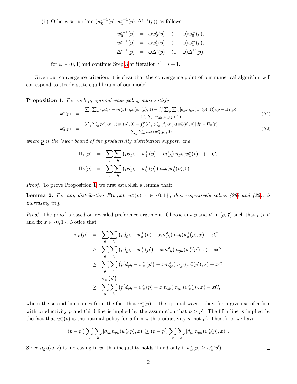(b) Otherwise, update  $(w_0^{t+1}(p), w_1^{t+1}(p), \Delta^{t+1}(p))$  as follows:

$$
w_0^{t+1}(p) = \omega w_0^t(p) + (1 - \omega) w_0^{t}(p),
$$
  
\n
$$
w_1^{t+1}(p) = \omega w_1^t(p) + (1 - \omega) w_1^{t}(p),
$$
  
\n
$$
\Delta^{t+1}(p) = \omega \Delta^t(p) + (1 - \omega) \Delta^{t}(p),
$$

for  $\omega \in (0, 1)$  and continue Step [3](#page-66-4) at iteration  $\iota' = \iota + 1$ .

Given our convergence criterion, it is clear that the convergence point of our numerical algorithm will correspond to steady state equilibrium of our model.

<span id="page-67-0"></span>Proposition 1. For each p, optimal wage policy must satisfy

<span id="page-67-2"></span>
$$
w_1^*(p) = \frac{\sum_g \sum_h (pd_{gh} - m_{gh}^1) n_{gh}(w_1^*(p), 1) - \int_{\underline{p}}^p \sum_g \sum_h [d_{gh}n_{gh}(w_1^*(\tilde{p}), 1)] d\tilde{p} - \Pi_1(\underline{p})}{\sum_g \sum_h n_{gh}(w_1(p), 1)}
$$
(A1)

$$
w_0^*(p) = \frac{\sum_g \sum_h pd_{gh} n_{gh}(w_0^*(p), 0) - \int_{\underline{p}}^p \sum_g \sum_h [d_{gh} n_{gh}(w_0^*(\tilde{p}), 0)] d\tilde{p} - \Pi_0(\underline{p})}{\sum_g \sum_h n_{gh}(w_0^*(p), 0)}.
$$
(A2)

where  $p$  is the lower bound of the productivity distribution support, and

$$
\Pi_1(\underline{p}) = \sum_g \sum_h (\underline{p}d_{gh} - w_1^* (\underline{p}) - m_{gh}^1) n_{gh}(w_1^*(\underline{p}), 1) - C,
$$
  

$$
\Pi_0(\underline{p}) = \sum_g \sum_h (\underline{p}d_{gh} - w_0^* (\underline{p})) n_{gh}(w_0^*(\underline{p}), 0).
$$

Proof. To prove Proposition [1,](#page-67-0) we first establish a lemma that:

<span id="page-67-1"></span>**Lemma 2.** For any distribution  $F(w, x)$ ,  $w_x^*(p), x \in \{0, 1\}$ , that respectively solves [\(28\)](#page-19-1) and [\(29\)](#page-19-1), is increasing in p.

*Proof.* The proof is based on revealed preference argument. Choose any p and p' in  $[p, \bar{p}]$  such that  $p > p'$ and fix  $x \in \{0,1\}$ . Notice that

$$
\pi_x(p) = \sum_g \sum_h (pd_{gh} - w_x^*(p) - xm_{gh}^x) n_{gh}(w_x^*(p), x) - xC
$$
  
\n
$$
\geq \sum_g \sum_h (pd_{gh} - w_x^*(p') - xm_{gh}^x) n_{gh}(w_x^*(p'), x) - xC
$$
  
\n
$$
\geq \sum_g \sum_h (p'd_{gh} - w_x^*(p') - xm_{gh}^x) n_{gh}(w_x^*(p'), x) - xC
$$
  
\n
$$
= \pi_x(p')
$$
  
\n
$$
\geq \sum_g \sum_h (p'd_{gh} - w_x^*(p) - xm_{gh}^x) n_{gh}(w_x^*(p), x) - xC,
$$

where the second line comes from the fact that  $w_x^*(p)$  is the optimal wage policy, for a given x, of a firm with productivity p and third line is implied by the assumption that  $p > p'$ . The fifth line is implied by the fact that  $w_x^*(p)$  is the optimal policy for a firm with productivity p, not p'. Therefore, we have

$$
(p-p')\sum_{g}\sum_{h}[d_{gh}n_{gh}(w_x^*(p),x)] \ge (p-p')\sum_{g}\sum_{h}[d_{gh}n_{gh}(w_x^*(p),x)].
$$

Since  $n_{gh}(w, x)$  is increasing in w, this inequality holds if and only if  $w_x^*(p) \geq w_x^*(p')$ .

 $\Box$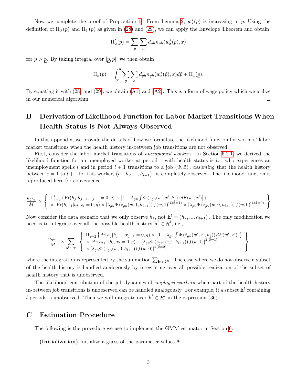Now we complete the proof of Proposition [1.](#page-67-0) From Lemma [2,](#page-67-1)  $w_x^*(p)$  is increasing in p. Using the definition of  $\Pi_0(p)$  and  $\Pi_1(p)$  as given in [\(28\)](#page-19-1) and [\(29\)](#page-19-1), we can apply the Envelope Theorem and obtain

$$
\Pi_x'(p) = \sum_g \sum_h d_{gh} n_{gh}(w_x^*(p), x)
$$

for  $p > p$ . By taking integral over  $[p, p]$ , we then obtain

$$
\Pi_x(p) = \int_{\underline{p}}^p \sum_g \sum_h d_{gh} n_{gh}(w_x^*(\tilde{p}), x) d\tilde{p} + \Pi_x(\underline{p}).
$$

By equating it with  $(28)$  and  $(29)$ , we obtain  $(A1)$  and  $(A2)$ . This is a form of wage policy which we utilize in our numerical algorithm.  $\Box$ 

# B Derivation of Likelihood Function for Labor Market Transitions When Health Status is Not Always Observed

In this appendix, we provide the details of how we formulate the likelihood function for workers' labor market transitions when the health history in-between job transitions are not observed.

First, consider the labor market transitions of unemployed workers. In Section [6.2.1,](#page-29-0) we derived the likelihood function for an unemployed worker at period 1 with health status is  $h_1$ , who experiences an unemployment spells l and in period  $l + 1$  transitions to a job  $(\tilde{w}, \tilde{x})$ , assuming that the health history between  $j = 1$  to  $l + 1$  for this worker,  $(h_1, h_2, ..., h_{l+1})$ , is completely observed. The likelihood function is reproduced here for convenience:

$$
\frac{u_{gh_1}}{M} \times \left\{ \begin{array}{l} \Pi_{j=2}^l \left\{ \Pr(h_j|h_{j-1}, x_{j-1} = 0, g) \times \left[1 - \lambda_{gu} \int \Phi\left(\tilde{z}_{gu}(w', x', h_j)\right) dF(w', x')\right] \right\} \\ \times \left\{ \Pr(h_{l+1}|h_l, x_l = 0, g) \times \left[\lambda_{gu} \Phi\left(\tilde{z}_{gu}(\tilde{w}, 1, h_{l+1})\right) f(\tilde{w}, 1) \right]^{1(\tilde{x}=1)} \times \left[\lambda_{gu} \Phi\left(\tilde{z}_{gu}(\tilde{w}, 0, h_{l+1})\right) f(\tilde{w}, 0) \right]^{1(\tilde{x}=0)} \end{array} \right\}
$$

Now consider the data scenario that we only observe  $h_1$ , not  $\mathbf{h}^l = (h_2, ..., h_{l+1})$ . The only modification we need is to integrate over all the possible health history  $\mathbf{h}^l \in \mathcal{H}^l$ , i.e.,

<span id="page-68-0"></span>
$$
\frac{u_{gh_1}}{M} \times \sum_{\mathbf{h}' \in \mathcal{H}^l} \left\{ \begin{array}{l} \Pi_{j=2}^l \left\{ \Pr(h_j | h_{j-1}, x_{j-1} = 0, g) \times \left[ 1 - \lambda_{gu} \int \Phi\left(\tilde{z}_{gu}(w', x', h_j)\right) dF(w', x') \right] \right\} \\ \times \Pr(h_{l+1} | h_l, x_l = 0, g) \times \left[ \lambda_{gu} \Phi\left(\tilde{z}_{gu}(\tilde{w}, 1, h_{l+1})\right) f(\tilde{w}, 1) \right]^{1(\tilde{x}=1)} \\\ \times \left[ \lambda_{gu} \Phi\left(\tilde{z}_{gu}(\tilde{w}, 0, h_{l+1})\right) f(\tilde{w}, 0) \right]^{1(\tilde{x}=0)} \end{array} \right\}
$$

where the integration is represented by the summation  $\sum_{h' \in \mathcal{H}'}$ . The case where we do not observe a subset of the health history is handled analogously by integrating over all possible realization of the subset of health history that is unobserved.

The likelihood contribution of the job dynamics of *employed workers* when part of the health history in-between job transitions is unobserved can be handled analogously. For example, if a subset  $\mathbf{h}^l$  containing l periods is unobserved. Then we will integrate over  $h^{l} \in \mathcal{H}^{l}$  in the expression [\(36\)](#page-30-0).

## C Estimation Procedure

The following is the procedure we use to implement the GMM estimator in Section [6:](#page-27-0)

1. (Initialization) Initialize a guess of the parameter values  $\theta$ ;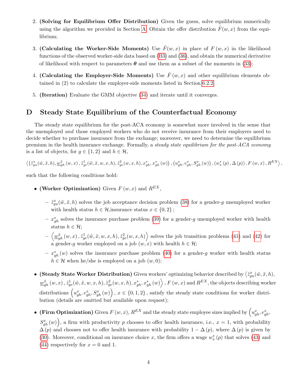- 2. (Solving for Equilibrium Offer Distribution) Given the guess, solve equilibrium numerically using the algorithm we provided in Section [A.](#page-66-0) Obtain the offer distribution  $\hat{F}(w, x)$  from the equilibrium;
- 3. (Calculating the Worker-Side Moments) Use  $\hat{F}(w, x)$  in place of  $F(w, x)$  in the likelihood functions of the observed worker-side data based on [\(B3\)](#page-68-0) and [\(36\)](#page-30-0), and obtain the numerical derivative of likelihood with respect to parameters  $\theta$  and use them as a subset of the moments in [\(33\)](#page-28-0);
- 4. (Calculating the Employer-Side Moments) Use  $\hat{F}(w, x)$  and other equilibrium elements obtained in (2) to calculate the employer-side moments listed in Section [6.2.2;](#page-31-1)
- 5. (Iteration) Evaluate the GMM objective [\(34\)](#page-29-1) and iterate until it converges.

## <span id="page-69-0"></span>D Steady State Equilibrium of the Counterfactual Economy

The steady state equilibrium for the post-ACA economy is somewhat more involved in the sense that the unemployed and those employed workers who do not receive insurance from their employers need to decide whether to purchase insurance from the exchange; moreover, we need to determine the equilibrium premium in the health insurance exchange. Formally, a steady state equilibrium for the post-ACA economy is a list of objects, for  $g \in \{1,2\}$  and  $h \in \mathcal{H}$ ,

$$
\left\langle \left(\tilde{z}_{gu}^{x}(\tilde{w},\tilde{x},h),\underline{w}_{gh}^{\tilde{x}}\left(w,x\right),\tilde{z}_{ge}^{1}(\tilde{w},\tilde{x},w,x,h),\tilde{z}_{ge}^{2}(w,x,h),x_{gh}^{*},x_{gh}^{*}\left(w\right)\right),\left(u_{gh}^{x},e_{gh}^{x},S_{gh}^{x}\left(w\right)\right),\left(w_{x}^{*}\left(p\right),\Delta\left(p\right)\right),F\left(w,x\right),R^{EX}\right\rangle ,
$$

such that the following conditions hold:

- (Worker Optimization) Given  $F(w, x)$  and  $R^{EX}$ ,
	- $\tilde{z}_{gu}^x(\tilde{w}, \tilde{x}, h)$  solves the job acceptance decision problem [\(38\)](#page-36-2) for a gender-g unemployed worker with health status  $h \in \mathcal{H}$ , insurance status  $x \in \{0, 2\}$ ;
	- $x_{gh}^*$  solves the insurance purchase problem [\(39\)](#page-36-1) for a gender-g unemployed worker with health status  $h \in \mathcal{H}$ :
	- $-\langle \underline{w}_{gh}^{\tilde{x}}(w,x), \tilde{z}_{ge}^1(\tilde{w}, \tilde{x}, w, x, h), \tilde{z}_{ge}^2(w, x, h) \rangle$  solves the job transition problems [\(41\)](#page-36-0) and [\(42\)](#page-37-0) for a gender-g worker employed on a job  $(w, x)$  with health  $h \in \mathcal{H}$ ;
	- $x_{gh}^*(w)$  solves the insurance purchase problem [\(40\)](#page-36-1) for a gender-g worker with health status  $h \in \mathcal{H}$  when he/she is employed on a job  $(w, 0)$ ;
- (Steady State Worker Distribution) Given workers' optimizing behavior described by  $\langle \tilde{z}_{gu}^x(\tilde{w}, \tilde{x}, h), \rangle$  $\frac{w_{gh}^{\tilde{x}}\left(w,x\right),\tilde{z}_{ge}^{1}(\tilde{w},\tilde{x},w,x,h),\tilde{z}_{ge}^{2}(w,x,h),x_{gh}^{*},x_{gh}^{*}\left(w\right)\right\rangle ,F\left(w,x\right)$  and  $R^{EX},$  the objects describing worker distributions  $\left(u_{gh}^x, e_{gh}^x, S_{gh}^x(w)\right), x \in \{0,1,2\},$  satisfy the steady state conditions for worker distribution (details are omitted but available upon request);
- (Firm Optimization) Given  $F(w, x)$ ,  $R^{EX}$  and the steady state employee sizes implied by  $\left(u_{gh}^x, e_{gh}^x, \ldots, e_{gh}^x, \ldots, e_{gh}^x, \ldots, e_{gh}^x, \ldots, e_{gh}^x, \ldots, e_{gh}^x, \ldots, e_{gh}^x, \ldots, e_{gh}^x, \ldots, e_{gh}^x, \ldots, e_{gh}^x, \ldots, e_{gh}^x, \ldots$  $S_{gh}^{x}(w)$ , a firm with productivity p chooses to offer health insurance, i.e.,  $x=1$ , with probability  $\Delta(p)$  and chooses not to offer health insurance with probability  $1 - \Delta(p)$ , where  $\Delta(p)$  is given by [\(30\)](#page-19-2). Moreover, conditional on insurance choice x, the firm offers a wage  $w_x^*(p)$  that solves [\(43\)](#page-37-1) and [\(44\)](#page-37-1) respectively for  $x = 0$  and 1.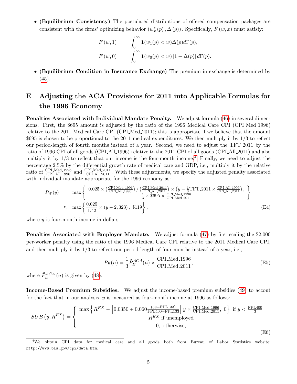• (Equilibrium Consistency) The postulated distributions of offered compensation packages are consistent with the firms' optimizing behavior  $(w_x^*(p), \Delta(p))$ . Specifically,  $F(w, x)$  must satisfy:

$$
F(w,1) = \int_0^\infty \mathbf{1}(w_1(p) < w) \Delta(p) d\Gamma(p),
$$
  

$$
F(w,0) = \int_0^\infty \mathbf{1}(w_0(p) < w) \left[1 - \Delta(p)\right] d\Gamma(p).
$$

• (Equilibrium Condition in Insurance Exchange) The premium in exchange is determined by [\(45\)](#page-38-0).

# <span id="page-70-0"></span>E Adjusting the ACA Provisions for 2011 into Applicable Formulas for the 1996 Economy

Penalties Associated with Individual Mandate Penalty. We adjust formula [\(46\)](#page-39-5) in several dimensions. First, the \$695 amount is adjusted by the ratio of the 1996 Medical Care CPI (CPI Med 1996) relative to the 2011 Medical Care CPI (CPI Med 2011); this is appropriate if we believe that the amount \$695 is chosen to be proportional to the 2011 medical expenditures. We then multiply it by 1/3 to reflect our period-length of fourth months instead of a year. Second, we need to adjust the TFT 2011 by the ratio of 1996 CPI of all goods (CPI All 1996) relative to the 2011 CPI of all goods (CPI All 2011) and also multiply it by  $1/3$  to reflect that our income is the four-month income.<sup>[4](#page-70-1)</sup> Finally, we need to adjust the percentage 2.5% by the differential growth rate of medical care and GDP, i.e., multiply it by the relative ratio of  $\frac{\text{CPLMed}.1996}{\text{CPLAll}.1996}$  and  $\frac{\text{CPLMed}.2011}{\text{CPLAll}.2011}$ . With these adjustments, we specify the adjusted penalty associated with individual mandate appropriate for the 1996 economy as:

$$
P_W(y) = \max \left\{ \begin{array}{l} 0.025 \times \left( \frac{\text{CPLMed}\_1996}{\text{CPLAll}\_1996} \right) / \left( \frac{\text{CPLMed}\_2011}{\text{CPLAll}\_2011} \right) \times \left( y - \frac{1}{3} \text{TFT}\_2011 \times \frac{\text{CPLAll}\_1996}{\text{CPLAll}\_2011} \right), \\ \frac{1}{3} \times \$695 \times \frac{\text{CPLMed}\_1996}{\text{CPLMed}\_2011} \end{array} \right\}
$$
\n
$$
\approx \max \left\{ \frac{0.025}{1.42} \times (y - 2, 323), \$119 \right\}, \tag{E4}
$$

where y is four-month income in dollars.

Penalties Associated with Employer Mandate. We adjust formula  $(47)$  by first scaling the \$2,000 per-worker penalty using the ratio of the 1996 Medical Care CPI relative to the 2011 Medical Care CPI, and then multiply it by 1/3 to reflect our period-length of four months instead of a year, i.e.,

$$
P_E(n) = \frac{1}{3} \tilde{P}_E^{ACA}(n) \times \frac{\text{CPI\_Med}\_1996}{\text{CPI\_Med}\_2011},\tag{E5}
$$

where  $\tilde{P}_{E}^{ACA}(n)$  is given by [\(48\)](#page-39-6).

Income-Based Premium Subsidies. We adjust the income-based premium subsidies [\(49\)](#page-39-3) to accout for the fact that in our analysis, y is measured as four-month income at 1996 as follows:

$$
SUB(y, R^{EX}) = \begin{cases} \max \left\{ R^{EX} - \left[ 0.0350 + 0.060 \frac{(3y - FPL133)}{FPL400 - FPL133} \right] y \times \frac{CPL_{Med\_1996}}{CPL_{Med\_2011}}, 0 \right\} & \text{if } y < \frac{FPL400}{3} \\ R^{EX} & \text{if unemployed} \\ 0, & \text{otherwise,} \end{cases} \tag{E6}
$$

<span id="page-70-1"></span><sup>4</sup>We obtain CPI data for medical care and all goods both from Bureau of Labor Statistics website: http://www.bls.gov/cpi/data.htm.